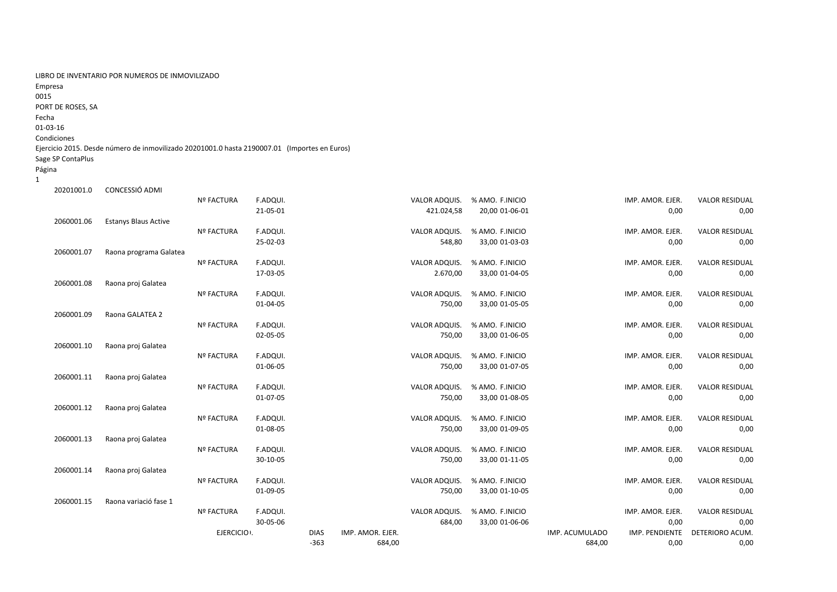| LIBRO DE INVENTARIO POR NUMEROS DE INMOVILIZADO |  |
|-------------------------------------------------|--|
| Empresa                                         |  |
| 0015                                            |  |

PORT DE ROSES, SA

Fecha

## 01‐03‐16

## Condiciones

## Ejercicio 2015. Desde número de inmovilizado 20201001.0 hasta 2190007.01 (Importes en Euros)

Sage SP ContaPlus

Página 1

| 20201001.0 | CONCESSIÓ ADMI              |                   |          |             |                  |               |                 |                |                  |                       |
|------------|-----------------------------|-------------------|----------|-------------|------------------|---------------|-----------------|----------------|------------------|-----------------------|
|            |                             | Nº FACTURA        | F.ADQUI. |             |                  | VALOR ADQUIS. | % AMO. F.INICIO |                | IMP. AMOR. EJER. | <b>VALOR RESIDUAL</b> |
|            |                             |                   | 21-05-01 |             |                  | 421.024,58    | 20,00 01-06-01  |                | 0,00             | 0,00                  |
| 2060001.06 | <b>Estanys Blaus Active</b> |                   |          |             |                  |               |                 |                |                  |                       |
|            |                             | <b>Nº FACTURA</b> | F.ADQUI. |             |                  | VALOR ADQUIS. | % AMO. F.INICIO |                | IMP. AMOR. EJER. | <b>VALOR RESIDUAL</b> |
|            |                             |                   | 25-02-03 |             |                  | 548,80        | 33,00 01-03-03  |                | 0,00             | 0,00                  |
| 2060001.07 | Raona programa Galatea      |                   |          |             |                  |               |                 |                |                  |                       |
|            |                             | <b>Nº FACTURA</b> | F.ADQUI. |             |                  | VALOR ADQUIS. | % AMO. F.INICIO |                | IMP. AMOR. EJER. | <b>VALOR RESIDUAL</b> |
|            |                             |                   | 17-03-05 |             |                  | 2.670,00      | 33,00 01-04-05  |                | 0,00             | 0,00                  |
| 2060001.08 | Raona proj Galatea          |                   |          |             |                  |               |                 |                |                  |                       |
|            |                             | Nº FACTURA        | F.ADQUI. |             |                  | VALOR ADQUIS. | % AMO. F.INICIO |                | IMP. AMOR. EJER. | <b>VALOR RESIDUAL</b> |
|            |                             |                   | 01-04-05 |             |                  | 750,00        | 33,00 01-05-05  |                | 0,00             | 0,00                  |
| 2060001.09 | Raona GALATEA 2             |                   |          |             |                  |               |                 |                |                  |                       |
|            |                             | Nº FACTURA        | F.ADQUI. |             |                  | VALOR ADQUIS. | % AMO. F.INICIO |                | IMP. AMOR. EJER. | <b>VALOR RESIDUAL</b> |
|            |                             |                   | 02-05-05 |             |                  | 750,00        | 33,00 01-06-05  |                | 0,00             | 0,00                  |
| 2060001.10 | Raona proj Galatea          |                   |          |             |                  |               |                 |                |                  |                       |
|            |                             | <b>Nº FACTURA</b> | F.ADQUI. |             |                  | VALOR ADQUIS. | % AMO. F.INICIO |                | IMP. AMOR. EJER. | <b>VALOR RESIDUAL</b> |
|            |                             |                   | 01-06-05 |             |                  | 750,00        | 33,00 01-07-05  |                | 0,00             | 0,00                  |
| 2060001.11 | Raona proj Galatea          |                   |          |             |                  |               |                 |                |                  |                       |
|            |                             | <b>Nº FACTURA</b> | F.ADQUI. |             |                  | VALOR ADQUIS. | % AMO. F.INICIO |                | IMP. AMOR. EJER. | <b>VALOR RESIDUAL</b> |
|            |                             |                   | 01-07-05 |             |                  | 750,00        | 33,00 01-08-05  |                | 0,00             | 0,00                  |
| 2060001.12 | Raona proj Galatea          |                   |          |             |                  |               |                 |                |                  |                       |
|            |                             | Nº FACTURA        | F.ADQUI. |             |                  | VALOR ADQUIS. | % AMO. F.INICIO |                | IMP. AMOR. EJER. | <b>VALOR RESIDUAL</b> |
|            |                             |                   | 01-08-05 |             |                  | 750,00        | 33,00 01-09-05  |                | 0,00             | 0,00                  |
| 2060001.13 | Raona proj Galatea          |                   |          |             |                  |               |                 |                |                  |                       |
|            |                             | <b>Nº FACTURA</b> | F.ADQUI. |             |                  | VALOR ADQUIS. | % AMO. F.INICIO |                | IMP. AMOR. EJER. | <b>VALOR RESIDUAL</b> |
|            |                             |                   | 30-10-05 |             |                  | 750,00        | 33,00 01-11-05  |                | 0,00             | 0,00                  |
| 2060001.14 | Raona proj Galatea          |                   |          |             |                  |               |                 |                |                  |                       |
|            |                             | <b>Nº FACTURA</b> | F.ADQUI. |             |                  | VALOR ADQUIS. | % AMO. F.INICIO |                | IMP. AMOR. EJER. | <b>VALOR RESIDUAL</b> |
|            |                             |                   | 01-09-05 |             |                  | 750,00        | 33,00 01-10-05  |                | 0,00             | 0,00                  |
| 2060001.15 | Raona variació fase 1       |                   |          |             |                  |               |                 |                |                  |                       |
|            |                             | Nº FACTURA        | F.ADQUI. |             |                  | VALOR ADQUIS. | % AMO. F.INICIO |                | IMP. AMOR. EJER. | <b>VALOR RESIDUAL</b> |
|            |                             |                   | 30-05-06 |             |                  | 684,00        | 33,00 01-06-06  |                | 0,00             | 0,00                  |
|            |                             | EJERCICIO .       |          | <b>DIAS</b> | IMP. AMOR. EJER. |               |                 | IMP. ACUMULADO | IMP. PENDIENTE   | DETERIORO ACUM.       |
|            |                             |                   |          | $-363$      | 684.00           |               |                 | 684.00         | 0.00             | 0.00                  |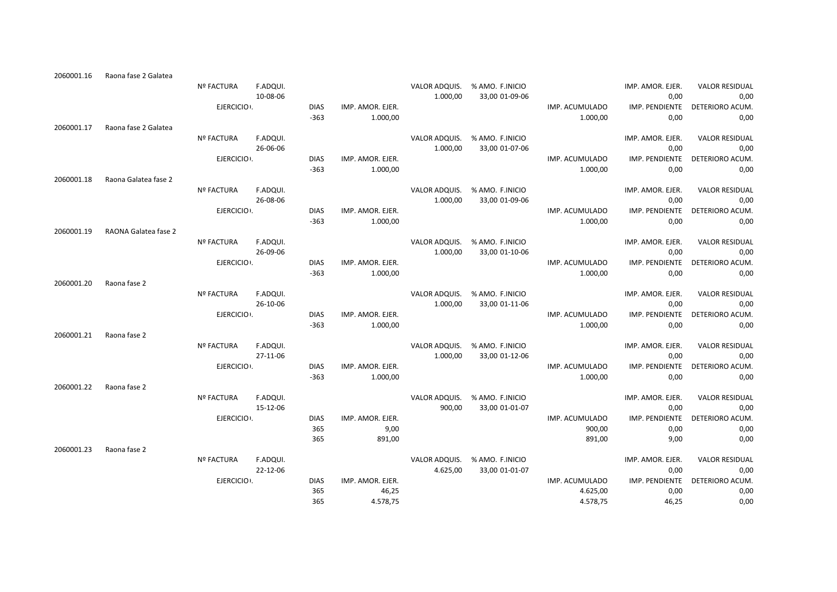| 2060001.16 | Raona fase 2 Galatea |                   |          |             |                  |               |                               |                |                  |                       |
|------------|----------------------|-------------------|----------|-------------|------------------|---------------|-------------------------------|----------------|------------------|-----------------------|
|            |                      | Nº FACTURA        | F.ADQUI. |             |                  | VALOR ADQUIS. | % AMO. F.INICIO               |                | IMP. AMOR. EJER. | <b>VALOR RESIDUAL</b> |
|            |                      |                   | 10-08-06 |             |                  | 1.000,00      | 33,00 01-09-06                |                | 0,00             | 0,00                  |
|            |                      | EJERCICIO .       |          | <b>DIAS</b> | IMP. AMOR. EJER. |               |                               | IMP. ACUMULADO | IMP. PENDIENTE   | DETERIORO ACUM.       |
|            |                      |                   |          | $-363$      | 1.000,00         |               |                               | 1.000,00       | 0,00             | 0,00                  |
| 2060001.17 | Raona fase 2 Galatea |                   |          |             |                  |               |                               |                |                  |                       |
|            |                      | Nº FACTURA        | F.ADQUI. |             |                  | VALOR ADQUIS. | % AMO. F.INICIO               |                | IMP. AMOR. EJER. | <b>VALOR RESIDUAL</b> |
|            |                      |                   | 26-06-06 |             |                  | 1.000,00      | 33,00 01-07-06                |                | 0,00             | 0,00                  |
|            |                      | EJERCICIO .       |          | <b>DIAS</b> | IMP. AMOR. EJER. |               |                               | IMP. ACUMULADO | IMP. PENDIENTE   | DETERIORO ACUM.       |
|            |                      |                   |          | $-363$      | 1.000,00         |               |                               | 1.000,00       | 0,00             | 0,00                  |
| 2060001.18 | Raona Galatea fase 2 |                   |          |             |                  |               |                               |                |                  |                       |
|            |                      | <b>Nº FACTURA</b> | F.ADQUI. |             |                  | VALOR ADQUIS. | % AMO. F.INICIO               |                | IMP. AMOR. EJER. | <b>VALOR RESIDUAL</b> |
|            |                      |                   | 26-08-06 |             |                  | 1.000,00      | 33,00 01-09-06                |                | 0,00             | 0,00                  |
|            |                      | EJERCICIO .       |          | <b>DIAS</b> | IMP. AMOR. EJER. |               |                               | IMP. ACUMULADO | IMP. PENDIENTE   | DETERIORO ACUM.       |
|            |                      |                   |          | $-363$      | 1.000,00         |               |                               | 1.000,00       | 0,00             | 0,00                  |
| 2060001.19 | RAONA Galatea fase 2 |                   |          |             |                  |               |                               |                |                  |                       |
|            |                      | <b>Nº FACTURA</b> | F.ADQUI. |             |                  | VALOR ADQUIS. | % AMO. F.INICIO               |                | IMP. AMOR. EJER. | <b>VALOR RESIDUAL</b> |
|            |                      |                   | 26-09-06 |             |                  | 1.000,00      | 33,00 01-10-06                |                | 0,00             | 0,00                  |
|            |                      | EJERCICIO .       |          | <b>DIAS</b> | IMP. AMOR. EJER. |               |                               | IMP. ACUMULADO | IMP. PENDIENTE   | DETERIORO ACUM.       |
|            |                      |                   |          | $-363$      | 1.000,00         |               |                               | 1.000,00       | 0,00             | 0,00                  |
| 2060001.20 | Raona fase 2         |                   |          |             |                  |               |                               |                |                  |                       |
|            |                      | <b>Nº FACTURA</b> | F.ADQUI. |             |                  | VALOR ADQUIS. | % AMO. F.INICIO               |                | IMP. AMOR. EJER. | <b>VALOR RESIDUAL</b> |
|            |                      |                   | 26-10-06 |             |                  | 1.000,00      | 33,00 01-11-06                |                | 0,00             | 0,00                  |
|            |                      | EJERCICIO .       |          | <b>DIAS</b> | IMP. AMOR. EJER. |               |                               | IMP. ACUMULADO | IMP. PENDIENTE   | DETERIORO ACUM.       |
|            |                      |                   |          | $-363$      | 1.000,00         |               |                               | 1.000,00       | 0,00             | 0,00                  |
| 2060001.21 | Raona fase 2         |                   |          |             |                  |               |                               |                |                  |                       |
|            |                      | Nº FACTURA        | F.ADQUI. |             |                  | VALOR ADQUIS. | % AMO. F.INICIO               |                | IMP. AMOR. EJER. | <b>VALOR RESIDUAL</b> |
|            |                      |                   | 27-11-06 |             |                  | 1.000,00      | 33,00 01-12-06                |                | 0,00             | 0,00                  |
|            |                      | EJERCICIO .       |          | <b>DIAS</b> | IMP. AMOR. EJER. |               |                               | IMP. ACUMULADO | IMP. PENDIENTE   | DETERIORO ACUM.       |
|            |                      |                   |          | $-363$      | 1.000,00         |               |                               | 1.000,00       | 0,00             | 0,00                  |
| 2060001.22 | Raona fase 2         |                   |          |             |                  |               |                               |                |                  |                       |
|            |                      | <b>Nº FACTURA</b> | F.ADQUI. |             |                  | VALOR ADQUIS. | % AMO. F.INICIO               |                | IMP. AMOR. EJER. | <b>VALOR RESIDUAL</b> |
|            |                      |                   | 15-12-06 |             |                  | 900,00        | 33,00 01-01-07                |                | 0,00             | 0,00                  |
|            |                      | EJERCICIO .       |          | <b>DIAS</b> | IMP. AMOR. EJER. |               |                               | IMP. ACUMULADO | IMP. PENDIENTE   | DETERIORO ACUM.       |
|            |                      |                   |          | 365         | 9,00             |               |                               | 900,00         | 0,00             | 0,00                  |
|            |                      |                   |          | 365         | 891,00           |               |                               | 891,00         | 9,00             | 0,00                  |
| 2060001.23 | Raona fase 2         |                   |          |             |                  |               |                               |                |                  |                       |
|            |                      | <b>Nº FACTURA</b> | F.ADQUI. |             |                  |               | VALOR ADQUIS. % AMO. F.INICIO |                | IMP. AMOR. EJER. | <b>VALOR RESIDUAL</b> |
|            |                      |                   | 22-12-06 |             |                  | 4.625,00      | 33,00 01-01-07                |                | 0,00             | 0,00                  |
|            |                      | EJERCICIO .       |          | <b>DIAS</b> | IMP. AMOR. EJER. |               |                               | IMP. ACUMULADO | IMP. PENDIENTE   | DETERIORO ACUM.       |
|            |                      |                   |          | 365         | 46,25            |               |                               | 4.625,00       | 0,00             | 0,00                  |
|            |                      |                   |          | 365         | 4.578,75         |               |                               | 4.578,75       | 46,25            | 0,00                  |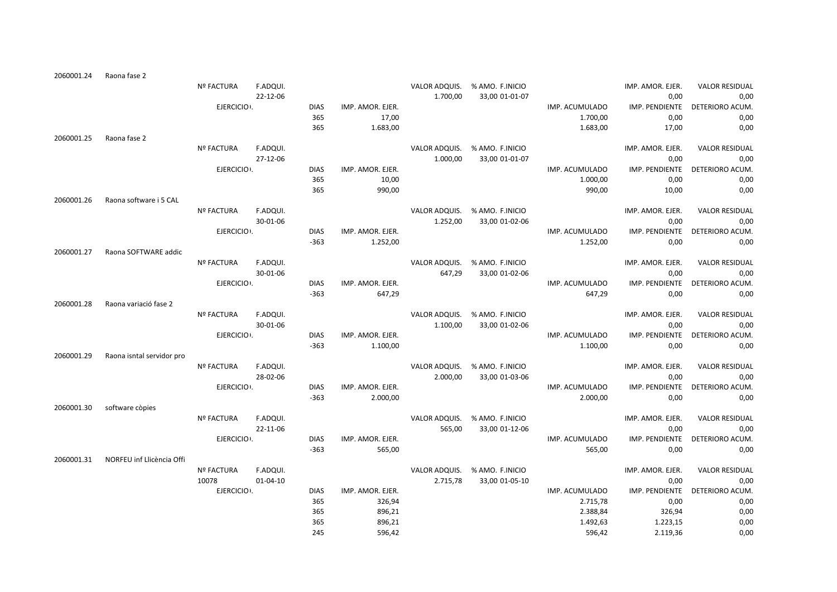| 2060001.24 | Raona fase 2              |                   |                |             |                  |               |                               |                |                  |                       |
|------------|---------------------------|-------------------|----------------|-------------|------------------|---------------|-------------------------------|----------------|------------------|-----------------------|
|            |                           | <b>Nº FACTURA</b> | F.ADQUI.       |             |                  |               | VALOR ADQUIS. % AMO. F.INICIO |                | IMP. AMOR. EJER. | <b>VALOR RESIDUAL</b> |
|            |                           |                   | 22-12-06       |             |                  | 1.700,00      | 33,00 01-01-07                |                | 0,00             | 0,00                  |
|            |                           | EJERCICIO .       |                | <b>DIAS</b> | IMP. AMOR. EJER. |               |                               | IMP. ACUMULADO | IMP. PENDIENTE   | DETERIORO ACUM.       |
|            |                           |                   |                | 365         | 17,00            |               |                               | 1.700,00       | 0,00             | 0,00                  |
|            |                           |                   |                | 365         | 1.683,00         |               |                               | 1.683,00       | 17,00            | 0,00                  |
| 2060001.25 | Raona fase 2              |                   |                |             |                  |               |                               |                |                  |                       |
|            |                           | <b>Nº FACTURA</b> | F.ADQUI.       |             |                  |               | VALOR ADQUIS. % AMO. F.INICIO |                | IMP. AMOR. EJER. | <b>VALOR RESIDUAL</b> |
|            |                           |                   | 27-12-06       |             |                  | 1.000,00      | 33,00 01-01-07                |                | 0,00             | 0,00                  |
|            |                           | EJERCICIO .       |                | <b>DIAS</b> | IMP. AMOR. EJER. |               |                               | IMP. ACUMULADO | IMP. PENDIENTE   | DETERIORO ACUM.       |
|            |                           |                   |                | 365         | 10,00            |               |                               | 1.000,00       | 0,00             | 0,00                  |
|            |                           |                   |                | 365         | 990,00           |               |                               | 990,00         | 10,00            | 0,00                  |
| 2060001.26 | Raona software i 5 CAL    |                   |                |             |                  |               |                               |                |                  |                       |
|            |                           | <b>Nº FACTURA</b> | F.ADQUI.       |             |                  |               | VALOR ADQUIS. % AMO. F.INICIO |                | IMP. AMOR. EJER. | <b>VALOR RESIDUAL</b> |
|            |                           |                   | 30-01-06       |             |                  | 1.252,00      | 33,00 01-02-06                |                | 0,00             | 0,00                  |
|            |                           | EJERCICIO .       |                | <b>DIAS</b> | IMP. AMOR. EJER. |               |                               | IMP. ACUMULADO | IMP. PENDIENTE   | DETERIORO ACUM.       |
|            |                           |                   |                | $-363$      | 1.252,00         |               |                               | 1.252,00       | 0,00             | 0,00                  |
| 2060001.27 | Raona SOFTWARE addic      |                   |                |             |                  |               |                               |                |                  |                       |
|            |                           | <b>Nº FACTURA</b> | F.ADQUI.       |             |                  | VALOR ADQUIS. | % AMO. F.INICIO               |                | IMP. AMOR. EJER. | <b>VALOR RESIDUAL</b> |
|            |                           |                   | 30-01-06       |             |                  | 647,29        | 33,00 01-02-06                |                | 0,00             | 0,00                  |
|            |                           | EJERCICIO .       |                | <b>DIAS</b> | IMP. AMOR. EJER. |               |                               | IMP. ACUMULADO | IMP. PENDIENTE   | DETERIORO ACUM.       |
|            |                           |                   |                | $-363$      | 647,29           |               |                               | 647,29         | 0,00             | 0,00                  |
| 2060001.28 | Raona variació fase 2     |                   |                |             |                  |               |                               |                |                  |                       |
|            |                           | Nº FACTURA        | F.ADQUI.       |             |                  |               | VALOR ADQUIS. % AMO. F.INICIO |                | IMP. AMOR. EJER. | <b>VALOR RESIDUAL</b> |
|            |                           |                   | 30-01-06       |             |                  | 1.100,00      | 33,00 01-02-06                |                | 0,00             | 0,00                  |
|            |                           | EJERCICIO .       |                | <b>DIAS</b> | IMP. AMOR. EJER. |               |                               | IMP. ACUMULADO | IMP. PENDIENTE   | DETERIORO ACUM.       |
|            |                           |                   |                | $-363$      | 1.100,00         |               |                               | 1.100,00       | 0,00             | 0,00                  |
| 2060001.29 | Raona isntal servidor pro |                   |                |             |                  |               |                               |                |                  |                       |
|            |                           | <b>Nº FACTURA</b> | F.ADQUI.       |             |                  |               | VALOR ADQUIS. % AMO. F.INICIO |                | IMP. AMOR. EJER. | <b>VALOR RESIDUAL</b> |
|            |                           |                   | 28-02-06       |             |                  | 2.000,00      | 33,00 01-03-06                |                | 0,00             | 0,00                  |
|            |                           | EJERCICIO .       |                | <b>DIAS</b> | IMP. AMOR. EJER. |               |                               | IMP. ACUMULADO | IMP. PENDIENTE   | DETERIORO ACUM.       |
|            |                           |                   |                | $-363$      | 2.000,00         |               |                               | 2.000,00       | 0,00             | 0,00                  |
| 2060001.30 | software còpies           |                   |                |             |                  |               |                               |                |                  |                       |
|            |                           | <b>Nº FACTURA</b> | F.ADQUI.       |             |                  | VALOR ADQUIS. | % AMO. F.INICIO               |                | IMP. AMOR. EJER. | <b>VALOR RESIDUAL</b> |
|            |                           |                   | 22-11-06       |             |                  | 565,00        | 33,00 01-12-06                |                | 0,00             | 0,00                  |
|            |                           | EJERCICIO .       |                | <b>DIAS</b> | IMP. AMOR. EJER. |               |                               | IMP. ACUMULADO | IMP. PENDIENTE   | DETERIORO ACUM.       |
|            |                           |                   |                | $-363$      | 565,00           |               |                               | 565,00         | 0,00             | 0,00                  |
| 2060001.31 | NORFEU inf Llicència Offi |                   |                |             |                  |               |                               |                |                  |                       |
|            |                           | <b>Nº FACTURA</b> | F.ADQUI.       |             |                  |               | VALOR ADQUIS. % AMO. F.INICIO |                | IMP. AMOR. EJER. | <b>VALOR RESIDUAL</b> |
|            |                           | 10078             | $01 - 04 - 10$ |             |                  | 2.715,78      | 33,00 01-05-10                |                | 0,00             | 0,00                  |
|            |                           | EJERCICIO .       |                | <b>DIAS</b> | IMP. AMOR. EJER. |               |                               | IMP. ACUMULADO | IMP. PENDIENTE   | DETERIORO ACUM.       |
|            |                           |                   |                | 365         | 326,94           |               |                               | 2.715,78       | 0,00             | 0,00                  |
|            |                           |                   |                | 365         | 896,21           |               |                               | 2.388,84       | 326,94           | 0,00                  |
|            |                           |                   |                | 365         | 896,21           |               |                               | 1.492,63       | 1.223,15         | 0,00                  |
|            |                           |                   |                | 245         | 596,42           |               |                               | 596,42         | 2.119,36         | 0,00                  |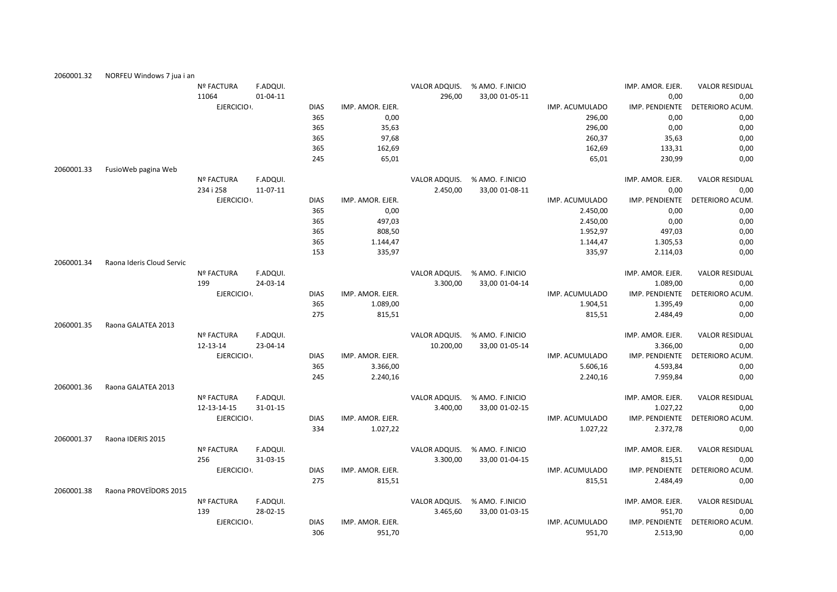| 2060001.32 | NORFEU Windows 7 jua i an |                   |          |             |                  |               |                 |                |                  |                       |
|------------|---------------------------|-------------------|----------|-------------|------------------|---------------|-----------------|----------------|------------------|-----------------------|
|            |                           | <b>Nº FACTURA</b> | F.ADQUI. |             |                  | VALOR ADQUIS. | % AMO. F.INICIO |                | IMP. AMOR. EJER. | <b>VALOR RESIDUAL</b> |
|            |                           | 11064             | 01-04-11 |             |                  | 296,00        | 33,00 01-05-11  |                | 0,00             | 0,00                  |
|            |                           | EJERCICIO .       |          | <b>DIAS</b> | IMP. AMOR. EJER. |               |                 | IMP. ACUMULADO | IMP. PENDIENTE   | DETERIORO ACUM.       |
|            |                           |                   |          | 365         | 0,00             |               |                 | 296,00         | 0,00             | 0,00                  |
|            |                           |                   |          | 365         | 35,63            |               |                 | 296,00         | 0,00             | 0,00                  |
|            |                           |                   |          | 365         | 97,68            |               |                 | 260,37         | 35,63            | 0,00                  |
|            |                           |                   |          | 365         | 162,69           |               |                 | 162,69         | 133,31           | 0,00                  |
|            |                           |                   |          | 245         | 65,01            |               |                 | 65,01          | 230,99           | 0,00                  |
| 2060001.33 | FusioWeb pagina Web       |                   |          |             |                  |               |                 |                |                  |                       |
|            |                           | <b>Nº FACTURA</b> | F.ADQUI. |             |                  | VALOR ADQUIS. | % AMO. F.INICIO |                | IMP. AMOR. EJER. | <b>VALOR RESIDUAL</b> |
|            |                           | 234 i 258         | 11-07-11 |             |                  | 2.450,00      | 33,00 01-08-11  |                | 0,00             | 0,00                  |
|            |                           | EJERCICIO .       |          | <b>DIAS</b> | IMP. AMOR. EJER. |               |                 | IMP. ACUMULADO | IMP. PENDIENTE   | DETERIORO ACUM.       |
|            |                           |                   |          | 365         | 0,00             |               |                 | 2.450,00       | 0,00             | 0,00                  |
|            |                           |                   |          | 365         | 497,03           |               |                 | 2.450,00       | 0,00             | 0,00                  |
|            |                           |                   |          | 365         | 808,50           |               |                 | 1.952,97       | 497,03           | 0,00                  |
|            |                           |                   |          | 365         | 1.144,47         |               |                 | 1.144,47       | 1.305,53         | 0,00                  |
|            |                           |                   |          | 153         | 335,97           |               |                 | 335,97         | 2.114,03         | 0,00                  |
| 2060001.34 | Raona Ideris Cloud Servic |                   |          |             |                  |               |                 |                |                  |                       |
|            |                           | <b>Nº FACTURA</b> | F.ADQUI. |             |                  | VALOR ADQUIS. | % AMO. F.INICIO |                | IMP. AMOR. EJER. | <b>VALOR RESIDUAL</b> |
|            |                           | 199               | 24-03-14 |             |                  | 3.300,00      | 33,00 01-04-14  |                | 1.089,00         | 0,00                  |
|            |                           | EJERCICIO .       |          | <b>DIAS</b> | IMP. AMOR. EJER. |               |                 | IMP. ACUMULADO | IMP. PENDIENTE   | DETERIORO ACUM.       |
|            |                           |                   |          | 365         | 1.089,00         |               |                 | 1.904,51       | 1.395,49         | 0,00                  |
|            |                           |                   |          | 275         | 815,51           |               |                 | 815,51         | 2.484,49         | 0,00                  |
| 2060001.35 | Raona GALATEA 2013        |                   |          |             |                  |               |                 |                |                  |                       |
|            |                           | <b>Nº FACTURA</b> | F.ADQUI. |             |                  | VALOR ADQUIS. | % AMO. F.INICIO |                | IMP. AMOR. EJER. | <b>VALOR RESIDUAL</b> |
|            |                           | 12-13-14          | 23-04-14 |             |                  | 10.200,00     | 33,00 01-05-14  |                | 3.366,00         | 0,00                  |
|            |                           | EJERCICIO .       |          | <b>DIAS</b> | IMP. AMOR. EJER. |               |                 | IMP. ACUMULADO | IMP. PENDIENTE   | DETERIORO ACUM.       |
|            |                           |                   |          | 365         | 3.366,00         |               |                 | 5.606,16       | 4.593,84         | 0,00                  |
|            |                           |                   |          | 245         | 2.240,16         |               |                 | 2.240,16       | 7.959,84         | 0,00                  |
| 2060001.36 | Raona GALATEA 2013        |                   |          |             |                  |               |                 |                |                  |                       |
|            |                           | <b>Nº FACTURA</b> | F.ADQUI. |             |                  | VALOR ADQUIS. | % AMO. F.INICIO |                | IMP. AMOR. EJER. | <b>VALOR RESIDUAL</b> |
|            |                           | 12-13-14-15       | 31-01-15 |             |                  | 3.400,00      | 33,00 01-02-15  |                | 1.027,22         | 0,00                  |
|            |                           | EJERCICIO .       |          | <b>DIAS</b> | IMP. AMOR. EJER. |               |                 | IMP. ACUMULADO | IMP. PENDIENTE   | DETERIORO ACUM.       |
|            |                           |                   |          | 334         | 1.027,22         |               |                 | 1.027,22       | 2.372,78         | 0,00                  |
| 2060001.37 | Raona IDERIS 2015         |                   |          |             |                  |               |                 |                |                  |                       |
|            |                           | <b>Nº FACTURA</b> | F.ADQUI. |             |                  | VALOR ADQUIS. | % AMO. F.INICIO |                | IMP. AMOR. EJER. | <b>VALOR RESIDUAL</b> |
|            |                           | 256               | 31-03-15 |             |                  | 3.300,00      | 33,00 01-04-15  |                | 815,51           | 0,00                  |
|            |                           | EJERCICIO .       |          | <b>DIAS</b> | IMP. AMOR. EJER. |               |                 | IMP. ACUMULADO | IMP. PENDIENTE   | DETERIORO ACUM.       |
|            |                           |                   |          | 275         | 815,51           |               |                 | 815,51         | 2.484,49         | 0,00                  |
| 2060001.38 | Raona PROVEÏDORS 2015     |                   |          |             |                  |               |                 |                |                  |                       |
|            |                           | <b>Nº FACTURA</b> | F.ADQUI. |             |                  | VALOR ADQUIS. | % AMO. F.INICIO |                | IMP. AMOR. EJER. | <b>VALOR RESIDUAL</b> |
|            |                           | 139               | 28-02-15 |             |                  | 3.465,60      | 33,00 01-03-15  |                | 951,70           | 0,00                  |
|            |                           | EJERCICIO .       |          | <b>DIAS</b> | IMP. AMOR. EJER. |               |                 | IMP. ACUMULADO | IMP. PENDIENTE   | DETERIORO ACUM.       |
|            |                           |                   |          | 306         | 951,70           |               |                 | 951,70         | 2.513,90         | 0,00                  |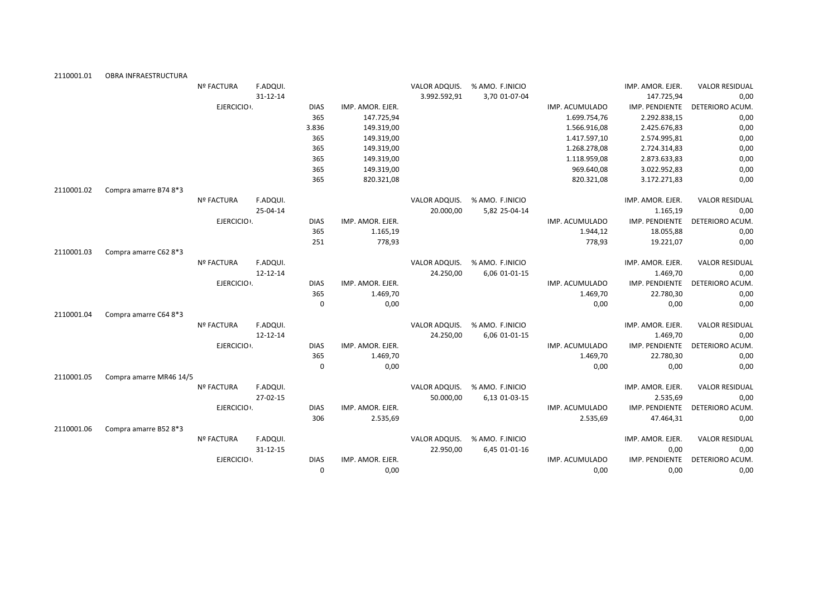| 2110001.01 | OBRA INFRAESTRUCTURA    |                   |          |             |                  |               |                 |                |                  |                       |
|------------|-------------------------|-------------------|----------|-------------|------------------|---------------|-----------------|----------------|------------------|-----------------------|
|            |                         | <b>Nº FACTURA</b> | F.ADQUI. |             |                  | VALOR ADQUIS. | % AMO. F.INICIO |                | IMP. AMOR. EJER. | <b>VALOR RESIDUAL</b> |
|            |                         |                   | 31-12-14 |             |                  | 3.992.592,91  | 3,70 01-07-04   |                | 147.725,94       | 0,00                  |
|            |                         | EJERCICIO .       |          | <b>DIAS</b> | IMP. AMOR. EJER. |               |                 | IMP. ACUMULADO | IMP. PENDIENTE   | DETERIORO ACUM.       |
|            |                         |                   |          | 365         | 147.725,94       |               |                 | 1.699.754,76   | 2.292.838,15     | 0,00                  |
|            |                         |                   |          | 3.836       | 149.319,00       |               |                 | 1.566.916,08   | 2.425.676,83     | 0,00                  |
|            |                         |                   |          | 365         | 149.319,00       |               |                 | 1.417.597,10   | 2.574.995,81     | 0,00                  |
|            |                         |                   |          | 365         | 149.319,00       |               |                 | 1.268.278,08   | 2.724.314,83     | 0,00                  |
|            |                         |                   |          | 365         | 149.319,00       |               |                 | 1.118.959,08   | 2.873.633,83     | 0,00                  |
|            |                         |                   |          | 365         | 149.319,00       |               |                 | 969.640,08     | 3.022.952,83     | 0,00                  |
|            |                         |                   |          | 365         | 820.321,08       |               |                 | 820.321,08     | 3.172.271,83     | 0,00                  |
| 2110001.02 | Compra amarre B74 8*3   |                   |          |             |                  |               |                 |                |                  |                       |
|            |                         | Nº FACTURA        | F.ADQUI. |             |                  | VALOR ADQUIS. | % AMO. F.INICIO |                | IMP. AMOR. EJER. | <b>VALOR RESIDUAL</b> |
|            |                         |                   | 25-04-14 |             |                  | 20.000,00     | 5,82 25-04-14   |                | 1.165,19         | 0,00                  |
|            |                         | EJERCICIO :       |          | <b>DIAS</b> | IMP. AMOR. EJER. |               |                 | IMP. ACUMULADO | IMP. PENDIENTE   | DETERIORO ACUM.       |
|            |                         |                   |          | 365         | 1.165,19         |               |                 | 1.944,12       | 18.055,88        | 0,00                  |
|            |                         |                   |          | 251         | 778,93           |               |                 | 778,93         | 19.221,07        | 0,00                  |
| 2110001.03 | Compra amarre C62 8*3   |                   |          |             |                  |               |                 |                |                  |                       |
|            |                         | <b>Nº FACTURA</b> | F.ADQUI. |             |                  | VALOR ADQUIS. | % AMO. F.INICIO |                | IMP. AMOR. EJER. | <b>VALOR RESIDUAL</b> |
|            |                         |                   | 12-12-14 |             |                  | 24.250,00     | 6,06 01-01-15   |                | 1.469,70         | 0,00                  |
|            |                         | EJERCICIO .       |          | <b>DIAS</b> | IMP. AMOR. EJER. |               |                 | IMP. ACUMULADO | IMP. PENDIENTE   | DETERIORO ACUM.       |
|            |                         |                   |          | 365         | 1.469,70         |               |                 | 1.469,70       | 22.780,30        | 0,00                  |
|            |                         |                   |          | $\Omega$    | 0,00             |               |                 | 0,00           | 0,00             | 0,00                  |
| 2110001.04 | Compra amarre C64 8*3   |                   |          |             |                  |               |                 |                |                  |                       |
|            |                         | Nº FACTURA        | F.ADQUI. |             |                  | VALOR ADQUIS. | % AMO. F.INICIO |                | IMP. AMOR. EJER. | <b>VALOR RESIDUAL</b> |
|            |                         |                   | 12-12-14 |             |                  | 24.250,00     | 6,06 01-01-15   |                | 1.469,70         | 0,00                  |
|            |                         | EJERCICIO .       |          | <b>DIAS</b> | IMP. AMOR. EJER. |               |                 | IMP. ACUMULADO | IMP. PENDIENTE   | DETERIORO ACUM.       |
|            |                         |                   |          | 365         | 1.469,70         |               |                 | 1.469,70       | 22.780,30        | 0,00                  |
|            |                         |                   |          | $\Omega$    | 0,00             |               |                 | 0,00           | 0,00             | 0,00                  |
| 2110001.05 | Compra amarre MR46 14/5 |                   |          |             |                  |               |                 |                |                  |                       |
|            |                         | <b>Nº FACTURA</b> | F.ADQUI. |             |                  | VALOR ADQUIS. | % AMO. F.INICIO |                | IMP. AMOR. EJER. | <b>VALOR RESIDUAL</b> |
|            |                         |                   | 27-02-15 |             |                  | 50.000,00     | 6,13 01-03-15   |                | 2.535,69         | 0,00                  |
|            |                         | EJERCICIO .       |          | <b>DIAS</b> | IMP. AMOR. EJER. |               |                 | IMP. ACUMULADO | IMP. PENDIENTE   | DETERIORO ACUM.       |
|            |                         |                   |          | 306         | 2.535,69         |               |                 | 2.535,69       | 47.464,31        | 0,00                  |
| 2110001.06 | Compra amarre B52 8*3   |                   |          |             |                  |               |                 |                |                  |                       |
|            |                         | <b>Nº FACTURA</b> | F.ADQUI. |             |                  | VALOR ADQUIS. | % AMO. F.INICIO |                | IMP. AMOR. EJER. | <b>VALOR RESIDUAL</b> |
|            |                         |                   | 31-12-15 |             |                  | 22.950,00     | 6,45 01-01-16   |                | 0,00             | 0,00                  |
|            |                         | EJERCICIO .       |          | <b>DIAS</b> | IMP. AMOR. EJER. |               |                 | IMP. ACUMULADO | IMP. PENDIENTE   | DETERIORO ACUM.       |
|            |                         |                   |          | $\Omega$    | 0,00             |               |                 | 0,00           | 0,00             | 0,00                  |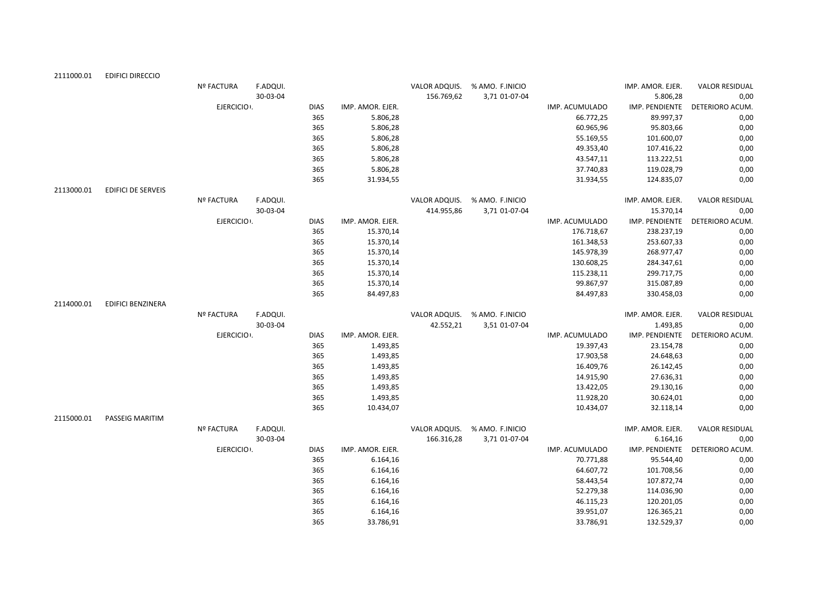| 2111000.01 | <b>EDIFICI DIRECCIO</b>   |                   |          |             |                  |               |                               |                |                  |                       |
|------------|---------------------------|-------------------|----------|-------------|------------------|---------------|-------------------------------|----------------|------------------|-----------------------|
|            |                           | <b>Nº FACTURA</b> | F.ADQUI. |             |                  | VALOR ADQUIS. | % AMO. F.INICIO               |                | IMP. AMOR. EJER. | <b>VALOR RESIDUAL</b> |
|            |                           |                   | 30-03-04 |             |                  | 156.769,62    | 3,71 01-07-04                 |                | 5.806,28         | 0,00                  |
|            |                           | EJERCICIO :       |          | <b>DIAS</b> | IMP. AMOR. EJER. |               |                               | IMP. ACUMULADO | IMP. PENDIENTE   | DETERIORO ACUM.       |
|            |                           |                   |          | 365         | 5.806,28         |               |                               | 66.772,25      | 89.997,37        | 0,00                  |
|            |                           |                   |          | 365         | 5.806,28         |               |                               | 60.965,96      | 95.803,66        | 0,00                  |
|            |                           |                   |          | 365         | 5.806,28         |               |                               | 55.169,55      | 101.600,07       | 0,00                  |
|            |                           |                   |          | 365         | 5.806,28         |               |                               | 49.353,40      | 107.416,22       | 0,00                  |
|            |                           |                   |          | 365         | 5.806,28         |               |                               | 43.547,11      | 113.222,51       | 0,00                  |
|            |                           |                   |          | 365         | 5.806,28         |               |                               | 37.740,83      | 119.028,79       | 0,00                  |
|            |                           |                   |          | 365         | 31.934,55        |               |                               | 31.934,55      | 124.835,07       | 0,00                  |
| 2113000.01 | <b>EDIFICI DE SERVEIS</b> |                   |          |             |                  |               |                               |                |                  |                       |
|            |                           | <b>Nº FACTURA</b> | F.ADQUI. |             |                  | VALOR ADQUIS. | % AMO. F.INICIO               |                | IMP. AMOR. EJER. | <b>VALOR RESIDUAL</b> |
|            |                           |                   | 30-03-04 |             |                  | 414.955,86    | 3,71 01-07-04                 |                | 15.370,14        | 0,00                  |
|            |                           | EJERCICIO :       |          | <b>DIAS</b> | IMP. AMOR. EJER. |               |                               | IMP. ACUMULADO | IMP. PENDIENTE   | DETERIORO ACUM.       |
|            |                           |                   |          | 365         | 15.370,14        |               |                               | 176.718,67     | 238.237,19       | 0,00                  |
|            |                           |                   |          | 365         | 15.370,14        |               |                               | 161.348,53     | 253.607,33       | 0,00                  |
|            |                           |                   |          | 365         | 15.370,14        |               |                               | 145.978,39     | 268.977,47       | 0,00                  |
|            |                           |                   |          | 365         | 15.370,14        |               |                               | 130.608,25     | 284.347,61       | $0,\!00$              |
|            |                           |                   |          | 365         | 15.370,14        |               |                               | 115.238,11     | 299.717,75       | 0,00                  |
|            |                           |                   |          | 365         | 15.370,14        |               |                               | 99.867,97      | 315.087,89       | 0,00                  |
|            |                           |                   |          | 365         | 84.497,83        |               |                               | 84.497,83      | 330.458,03       | 0,00                  |
| 2114000.01 | <b>EDIFICI BENZINERA</b>  |                   |          |             |                  |               |                               |                |                  |                       |
|            |                           | <b>Nº FACTURA</b> | F.ADQUI. |             |                  |               | VALOR ADQUIS. % AMO. F.INICIO |                | IMP. AMOR. EJER. | <b>VALOR RESIDUAL</b> |
|            |                           |                   | 30-03-04 |             |                  | 42.552,21     | 3,51 01-07-04                 |                | 1.493,85         | 0,00                  |
|            |                           | EJERCICIO .       |          | <b>DIAS</b> | IMP. AMOR. EJER. |               |                               | IMP. ACUMULADO | IMP. PENDIENTE   | DETERIORO ACUM.       |
|            |                           |                   |          | 365         | 1.493,85         |               |                               | 19.397,43      | 23.154,78        | 0,00                  |
|            |                           |                   |          | 365         | 1.493,85         |               |                               | 17.903,58      | 24.648,63        | 0,00                  |
|            |                           |                   |          | 365         | 1.493,85         |               |                               | 16.409,76      | 26.142,45        | 0,00                  |
|            |                           |                   |          | 365         | 1.493,85         |               |                               | 14.915,90      | 27.636,31        | 0,00                  |
|            |                           |                   |          | 365         | 1.493,85         |               |                               | 13.422,05      | 29.130,16        | 0,00                  |
|            |                           |                   |          | 365         | 1.493,85         |               |                               | 11.928,20      | 30.624,01        | 0,00                  |
|            |                           |                   |          | 365         | 10.434,07        |               |                               | 10.434,07      | 32.118,14        | 0,00                  |
| 2115000.01 | PASSEIG MARITIM           |                   |          |             |                  |               |                               |                |                  |                       |
|            |                           | <b>Nº FACTURA</b> | F.ADQUI. |             |                  |               | VALOR ADQUIS. % AMO. F.INICIO |                | IMP. AMOR. EJER. | <b>VALOR RESIDUAL</b> |
|            |                           |                   | 30-03-04 |             |                  | 166.316,28    | 3,71 01-07-04                 |                | 6.164,16         | 0,00                  |
|            |                           | EJERCICIO ·.      |          | <b>DIAS</b> | IMP. AMOR. EJER. |               |                               | IMP. ACUMULADO | IMP. PENDIENTE   | DETERIORO ACUM.       |
|            |                           |                   |          | 365         | 6.164,16         |               |                               | 70.771,88      | 95.544,40        | 0,00                  |
|            |                           |                   |          | 365         | 6.164,16         |               |                               | 64.607,72      | 101.708,56       | 0,00                  |
|            |                           |                   |          | 365         | 6.164,16         |               |                               | 58.443,54      | 107.872,74       | 0,00                  |
|            |                           |                   |          | 365         | 6.164,16         |               |                               | 52.279,38      | 114.036,90       | 0,00                  |
|            |                           |                   |          | 365         | 6.164,16         |               |                               | 46.115,23      | 120.201,05       | 0,00                  |
|            |                           |                   |          | 365         | 6.164,16         |               |                               | 39.951,07      | 126.365,21       | 0,00                  |
|            |                           |                   |          | 365         | 33.786,91        |               |                               | 33.786,91      | 132.529,37       | 0,00                  |
|            |                           |                   |          |             |                  |               |                               |                |                  |                       |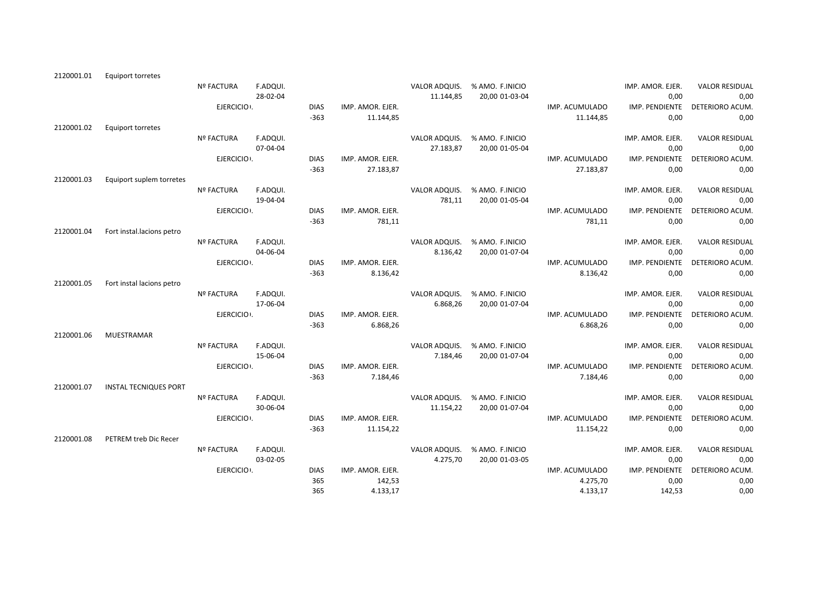| Equiport torretes         |                                                                                                  |                                                                                                |                                                                                                                                                                                                                                              |                                                                                                                                              |                                                                                                                                                                                             |                                                                                             |                                                                                                                                                                                                                                                           |                                                                                                                                                                                   |                                                                                                                                                                                                                                                                                                        |
|---------------------------|--------------------------------------------------------------------------------------------------|------------------------------------------------------------------------------------------------|----------------------------------------------------------------------------------------------------------------------------------------------------------------------------------------------------------------------------------------------|----------------------------------------------------------------------------------------------------------------------------------------------|---------------------------------------------------------------------------------------------------------------------------------------------------------------------------------------------|---------------------------------------------------------------------------------------------|-----------------------------------------------------------------------------------------------------------------------------------------------------------------------------------------------------------------------------------------------------------|-----------------------------------------------------------------------------------------------------------------------------------------------------------------------------------|--------------------------------------------------------------------------------------------------------------------------------------------------------------------------------------------------------------------------------------------------------------------------------------------------------|
|                           | Nº FACTURA                                                                                       | F.ADQUI.                                                                                       |                                                                                                                                                                                                                                              |                                                                                                                                              | VALOR ADQUIS.                                                                                                                                                                               | % AMO. F.INICIO                                                                             |                                                                                                                                                                                                                                                           | IMP. AMOR. EJER.                                                                                                                                                                  | <b>VALOR RESIDUAL</b>                                                                                                                                                                                                                                                                                  |
|                           |                                                                                                  | 28-02-04                                                                                       |                                                                                                                                                                                                                                              |                                                                                                                                              | 11.144,85                                                                                                                                                                                   | 20,00 01-03-04                                                                              |                                                                                                                                                                                                                                                           | 0,00                                                                                                                                                                              | 0,00                                                                                                                                                                                                                                                                                                   |
|                           |                                                                                                  |                                                                                                | <b>DIAS</b>                                                                                                                                                                                                                                  | IMP. AMOR. EJER.                                                                                                                             |                                                                                                                                                                                             |                                                                                             | IMP. ACUMULADO                                                                                                                                                                                                                                            | IMP. PENDIENTE                                                                                                                                                                    | DETERIORO ACUM.                                                                                                                                                                                                                                                                                        |
|                           |                                                                                                  |                                                                                                | $-363$                                                                                                                                                                                                                                       | 11.144,85                                                                                                                                    |                                                                                                                                                                                             |                                                                                             | 11.144,85                                                                                                                                                                                                                                                 | 0,00                                                                                                                                                                              | 0,00                                                                                                                                                                                                                                                                                                   |
| Equiport torretes         |                                                                                                  |                                                                                                |                                                                                                                                                                                                                                              |                                                                                                                                              |                                                                                                                                                                                             |                                                                                             |                                                                                                                                                                                                                                                           |                                                                                                                                                                                   |                                                                                                                                                                                                                                                                                                        |
|                           | Nº FACTURA                                                                                       | F.ADQUI.                                                                                       |                                                                                                                                                                                                                                              |                                                                                                                                              |                                                                                                                                                                                             | % AMO. F.INICIO                                                                             |                                                                                                                                                                                                                                                           | IMP. AMOR. EJER.                                                                                                                                                                  | <b>VALOR RESIDUAL</b>                                                                                                                                                                                                                                                                                  |
|                           |                                                                                                  | 07-04-04                                                                                       |                                                                                                                                                                                                                                              |                                                                                                                                              | 27.183,87                                                                                                                                                                                   | 20,00 01-05-04                                                                              |                                                                                                                                                                                                                                                           | 0,00                                                                                                                                                                              | 0,00                                                                                                                                                                                                                                                                                                   |
|                           |                                                                                                  |                                                                                                | <b>DIAS</b>                                                                                                                                                                                                                                  | IMP. AMOR. EJER.                                                                                                                             |                                                                                                                                                                                             |                                                                                             | IMP. ACUMULADO                                                                                                                                                                                                                                            | IMP. PENDIENTE                                                                                                                                                                    | DETERIORO ACUM.                                                                                                                                                                                                                                                                                        |
|                           |                                                                                                  |                                                                                                | $-363$                                                                                                                                                                                                                                       | 27.183,87                                                                                                                                    |                                                                                                                                                                                             |                                                                                             | 27.183,87                                                                                                                                                                                                                                                 | 0,00                                                                                                                                                                              | 0,00                                                                                                                                                                                                                                                                                                   |
| Equiport suplem torretes  |                                                                                                  |                                                                                                |                                                                                                                                                                                                                                              |                                                                                                                                              |                                                                                                                                                                                             |                                                                                             |                                                                                                                                                                                                                                                           |                                                                                                                                                                                   |                                                                                                                                                                                                                                                                                                        |
|                           | <b>Nº FACTURA</b>                                                                                | F.ADQUI.                                                                                       |                                                                                                                                                                                                                                              |                                                                                                                                              | VALOR ADQUIS.                                                                                                                                                                               | % AMO. F.INICIO                                                                             |                                                                                                                                                                                                                                                           | IMP. AMOR. EJER.                                                                                                                                                                  | <b>VALOR RESIDUAL</b>                                                                                                                                                                                                                                                                                  |
|                           |                                                                                                  | 19-04-04                                                                                       |                                                                                                                                                                                                                                              |                                                                                                                                              | 781,11                                                                                                                                                                                      | 20,00 01-05-04                                                                              |                                                                                                                                                                                                                                                           | 0,00                                                                                                                                                                              | 0,00                                                                                                                                                                                                                                                                                                   |
|                           |                                                                                                  |                                                                                                |                                                                                                                                                                                                                                              |                                                                                                                                              |                                                                                                                                                                                             |                                                                                             |                                                                                                                                                                                                                                                           |                                                                                                                                                                                   | DETERIORO ACUM.                                                                                                                                                                                                                                                                                        |
|                           |                                                                                                  |                                                                                                | $-363$                                                                                                                                                                                                                                       | 781,11                                                                                                                                       |                                                                                                                                                                                             |                                                                                             | 781,11                                                                                                                                                                                                                                                    | 0,00                                                                                                                                                                              | 0,00                                                                                                                                                                                                                                                                                                   |
| Fort instal.lacions petro |                                                                                                  |                                                                                                |                                                                                                                                                                                                                                              |                                                                                                                                              |                                                                                                                                                                                             |                                                                                             |                                                                                                                                                                                                                                                           |                                                                                                                                                                                   |                                                                                                                                                                                                                                                                                                        |
|                           |                                                                                                  |                                                                                                |                                                                                                                                                                                                                                              |                                                                                                                                              |                                                                                                                                                                                             |                                                                                             |                                                                                                                                                                                                                                                           |                                                                                                                                                                                   | <b>VALOR RESIDUAL</b>                                                                                                                                                                                                                                                                                  |
|                           |                                                                                                  |                                                                                                |                                                                                                                                                                                                                                              |                                                                                                                                              |                                                                                                                                                                                             |                                                                                             |                                                                                                                                                                                                                                                           |                                                                                                                                                                                   | 0,00                                                                                                                                                                                                                                                                                                   |
|                           |                                                                                                  |                                                                                                |                                                                                                                                                                                                                                              |                                                                                                                                              |                                                                                                                                                                                             |                                                                                             |                                                                                                                                                                                                                                                           |                                                                                                                                                                                   | DETERIORO ACUM.                                                                                                                                                                                                                                                                                        |
|                           |                                                                                                  |                                                                                                |                                                                                                                                                                                                                                              |                                                                                                                                              |                                                                                                                                                                                             |                                                                                             |                                                                                                                                                                                                                                                           |                                                                                                                                                                                   | 0,00                                                                                                                                                                                                                                                                                                   |
|                           |                                                                                                  |                                                                                                |                                                                                                                                                                                                                                              |                                                                                                                                              |                                                                                                                                                                                             |                                                                                             |                                                                                                                                                                                                                                                           |                                                                                                                                                                                   |                                                                                                                                                                                                                                                                                                        |
|                           |                                                                                                  |                                                                                                |                                                                                                                                                                                                                                              |                                                                                                                                              |                                                                                                                                                                                             |                                                                                             |                                                                                                                                                                                                                                                           |                                                                                                                                                                                   | <b>VALOR RESIDUAL</b>                                                                                                                                                                                                                                                                                  |
|                           |                                                                                                  |                                                                                                |                                                                                                                                                                                                                                              |                                                                                                                                              |                                                                                                                                                                                             |                                                                                             |                                                                                                                                                                                                                                                           |                                                                                                                                                                                   | 0,00                                                                                                                                                                                                                                                                                                   |
|                           |                                                                                                  |                                                                                                |                                                                                                                                                                                                                                              |                                                                                                                                              |                                                                                                                                                                                             |                                                                                             |                                                                                                                                                                                                                                                           |                                                                                                                                                                                   | DETERIORO ACUM.                                                                                                                                                                                                                                                                                        |
|                           |                                                                                                  |                                                                                                |                                                                                                                                                                                                                                              |                                                                                                                                              |                                                                                                                                                                                             |                                                                                             |                                                                                                                                                                                                                                                           |                                                                                                                                                                                   | 0,00                                                                                                                                                                                                                                                                                                   |
|                           |                                                                                                  |                                                                                                |                                                                                                                                                                                                                                              |                                                                                                                                              |                                                                                                                                                                                             |                                                                                             |                                                                                                                                                                                                                                                           |                                                                                                                                                                                   |                                                                                                                                                                                                                                                                                                        |
|                           |                                                                                                  |                                                                                                |                                                                                                                                                                                                                                              |                                                                                                                                              |                                                                                                                                                                                             |                                                                                             |                                                                                                                                                                                                                                                           |                                                                                                                                                                                   | <b>VALOR RESIDUAL</b>                                                                                                                                                                                                                                                                                  |
|                           |                                                                                                  |                                                                                                |                                                                                                                                                                                                                                              |                                                                                                                                              |                                                                                                                                                                                             |                                                                                             |                                                                                                                                                                                                                                                           |                                                                                                                                                                                   | 0,00                                                                                                                                                                                                                                                                                                   |
|                           |                                                                                                  |                                                                                                |                                                                                                                                                                                                                                              |                                                                                                                                              |                                                                                                                                                                                             |                                                                                             |                                                                                                                                                                                                                                                           |                                                                                                                                                                                   | DETERIORO ACUM.                                                                                                                                                                                                                                                                                        |
|                           |                                                                                                  |                                                                                                |                                                                                                                                                                                                                                              |                                                                                                                                              |                                                                                                                                                                                             |                                                                                             |                                                                                                                                                                                                                                                           |                                                                                                                                                                                   | 0,00                                                                                                                                                                                                                                                                                                   |
|                           |                                                                                                  |                                                                                                |                                                                                                                                                                                                                                              |                                                                                                                                              |                                                                                                                                                                                             |                                                                                             |                                                                                                                                                                                                                                                           |                                                                                                                                                                                   |                                                                                                                                                                                                                                                                                                        |
|                           |                                                                                                  |                                                                                                |                                                                                                                                                                                                                                              |                                                                                                                                              |                                                                                                                                                                                             |                                                                                             |                                                                                                                                                                                                                                                           |                                                                                                                                                                                   | <b>VALOR RESIDUAL</b>                                                                                                                                                                                                                                                                                  |
|                           |                                                                                                  |                                                                                                |                                                                                                                                                                                                                                              |                                                                                                                                              |                                                                                                                                                                                             |                                                                                             |                                                                                                                                                                                                                                                           |                                                                                                                                                                                   | 0,00                                                                                                                                                                                                                                                                                                   |
|                           |                                                                                                  |                                                                                                |                                                                                                                                                                                                                                              |                                                                                                                                              |                                                                                                                                                                                             |                                                                                             |                                                                                                                                                                                                                                                           |                                                                                                                                                                                   | DETERIORO ACUM.                                                                                                                                                                                                                                                                                        |
|                           |                                                                                                  |                                                                                                |                                                                                                                                                                                                                                              |                                                                                                                                              |                                                                                                                                                                                             |                                                                                             |                                                                                                                                                                                                                                                           |                                                                                                                                                                                   | 0,00                                                                                                                                                                                                                                                                                                   |
|                           |                                                                                                  |                                                                                                |                                                                                                                                                                                                                                              |                                                                                                                                              |                                                                                                                                                                                             |                                                                                             |                                                                                                                                                                                                                                                           |                                                                                                                                                                                   |                                                                                                                                                                                                                                                                                                        |
|                           |                                                                                                  |                                                                                                |                                                                                                                                                                                                                                              |                                                                                                                                              |                                                                                                                                                                                             |                                                                                             |                                                                                                                                                                                                                                                           |                                                                                                                                                                                   | <b>VALOR RESIDUAL</b>                                                                                                                                                                                                                                                                                  |
|                           |                                                                                                  |                                                                                                |                                                                                                                                                                                                                                              |                                                                                                                                              |                                                                                                                                                                                             |                                                                                             |                                                                                                                                                                                                                                                           |                                                                                                                                                                                   | 0,00                                                                                                                                                                                                                                                                                                   |
|                           |                                                                                                  |                                                                                                |                                                                                                                                                                                                                                              |                                                                                                                                              |                                                                                                                                                                                             |                                                                                             |                                                                                                                                                                                                                                                           |                                                                                                                                                                                   | DETERIORO ACUM.                                                                                                                                                                                                                                                                                        |
|                           |                                                                                                  |                                                                                                |                                                                                                                                                                                                                                              |                                                                                                                                              |                                                                                                                                                                                             |                                                                                             |                                                                                                                                                                                                                                                           |                                                                                                                                                                                   | 0,00<br>0,00                                                                                                                                                                                                                                                                                           |
|                           |                                                                                                  |                                                                                                |                                                                                                                                                                                                                                              |                                                                                                                                              |                                                                                                                                                                                             |                                                                                             |                                                                                                                                                                                                                                                           |                                                                                                                                                                                   |                                                                                                                                                                                                                                                                                                        |
|                           | Fort instal lacions petro<br>MUESTRAMAR<br><b>INSTAL TECNIQUES PORT</b><br>PETREM treb Dic Recer | <b>Nº FACTURA</b><br><b>Nº FACTURA</b><br><b>Nº FACTURA</b><br><b>Nº FACTURA</b><br>Nº FACTURA | EJERCICIO .<br>EJERCICIO .<br>EJERCICIO .<br>F.ADQUI.<br>04-06-04<br>EJERCICIO .<br>F.ADQUI.<br>17-06-04<br>EJERCICIO .<br>F.ADQUI.<br>15-06-04<br>EJERCICIO .<br>F.ADQUI.<br>30-06-04<br>EJERCICIO .<br>F.ADQUI.<br>03-02-05<br>EJERCICIO . | <b>DIAS</b><br><b>DIAS</b><br>$-363$<br><b>DIAS</b><br>$-363$<br><b>DIAS</b><br>$-363$<br><b>DIAS</b><br>$-363$<br><b>DIAS</b><br>365<br>365 | IMP. AMOR. EJER.<br>IMP. AMOR. EJER.<br>8.136,42<br>IMP. AMOR. EJER.<br>6.868,26<br>IMP. AMOR. EJER.<br>7.184,46<br>IMP. AMOR. EJER.<br>11.154,22<br>IMP. AMOR. EJER.<br>142,53<br>4.133,17 | 8.136,42<br>VALOR ADQUIS.<br>6.868,26<br>7.184,46<br>11.154,22<br>VALOR ADQUIS.<br>4.275,70 | VALOR ADQUIS.<br>VALOR ADQUIS.<br>% AMO. F.INICIO<br>20,00 01-07-04<br>% AMO. F.INICIO<br>20,00 01-07-04<br>VALOR ADQUIS.<br>% AMO. F.INICIO<br>20,00 01-07-04<br>VALOR ADQUIS.<br>% AMO. F.INICIO<br>20,00 01-07-04<br>% AMO. F.INICIO<br>20,00 01-03-05 | IMP. ACUMULADO<br>IMP. ACUMULADO<br>8.136,42<br>IMP. ACUMULADO<br>6.868,26<br>IMP. ACUMULADO<br>7.184,46<br>IMP. ACUMULADO<br>11.154,22<br>IMP. ACUMULADO<br>4.275,70<br>4.133,17 | IMP. PENDIENTE<br>IMP. AMOR. EJER.<br>0,00<br>IMP. PENDIENTE<br>0,00<br>IMP. AMOR. EJER.<br>0,00<br>IMP. PENDIENTE<br>0,00<br>IMP. AMOR. EJER.<br>0,00<br>IMP. PENDIENTE<br>0,00<br>IMP. AMOR. EJER.<br>0,00<br>IMP. PENDIENTE<br>0,00<br>IMP. AMOR. EJER.<br>0,00<br>IMP. PENDIENTE<br>0,00<br>142,53 |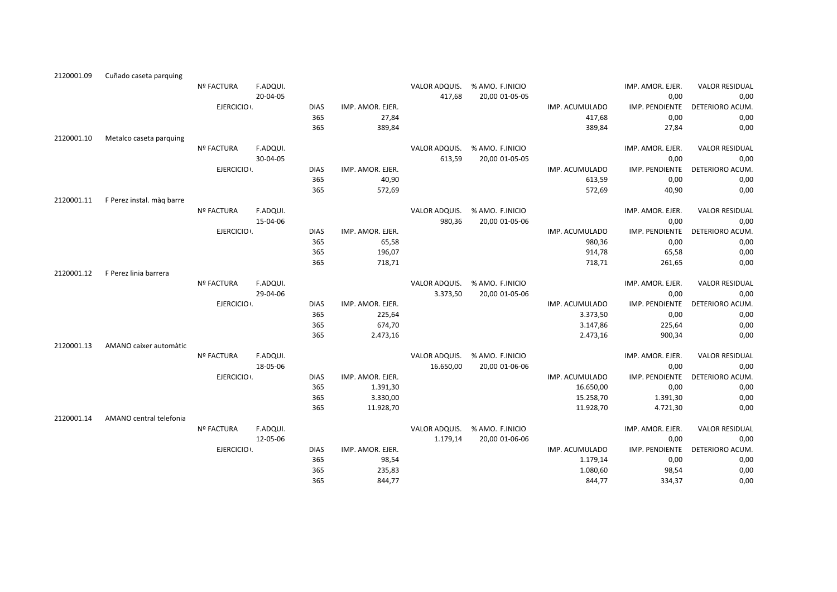| 2120001.09 | Cuñado caseta parquing    |                   |          |             |                  |               |                 |                |                  |                       |
|------------|---------------------------|-------------------|----------|-------------|------------------|---------------|-----------------|----------------|------------------|-----------------------|
|            |                           | <b>Nº FACTURA</b> | F.ADQUI. |             |                  | VALOR ADQUIS. | % AMO. F.INICIO |                | IMP. AMOR. EJER. | <b>VALOR RESIDUAL</b> |
|            |                           |                   | 20-04-05 |             |                  | 417,68        | 20,00 01-05-05  |                | 0,00             | 0,00                  |
|            |                           | EJERCICIO :       |          | <b>DIAS</b> | IMP. AMOR. EJER. |               |                 | IMP. ACUMULADO | IMP. PENDIENTE   | DETERIORO ACUM.       |
|            |                           |                   |          | 365         | 27,84            |               |                 | 417,68         | 0,00             | 0,00                  |
|            |                           |                   |          | 365         | 389,84           |               |                 | 389,84         | 27,84            | 0,00                  |
| 2120001.10 | Metalco caseta parquing   |                   |          |             |                  |               |                 |                |                  |                       |
|            |                           | <b>Nº FACTURA</b> | F.ADQUI. |             |                  | VALOR ADQUIS. | % AMO. F.INICIO |                | IMP. AMOR. EJER. | <b>VALOR RESIDUAL</b> |
|            |                           |                   | 30-04-05 |             |                  | 613,59        | 20,00 01-05-05  |                | 0,00             | 0,00                  |
|            |                           | EJERCICIO .       |          | <b>DIAS</b> | IMP. AMOR. EJER. |               |                 | IMP. ACUMULADO | IMP. PENDIENTE   | DETERIORO ACUM.       |
|            |                           |                   |          | 365         | 40,90            |               |                 | 613,59         | 0,00             | 0,00                  |
|            |                           |                   |          | 365         | 572,69           |               |                 | 572,69         | 40,90            | 0,00                  |
| 2120001.11 | F Perez instal. màg barre |                   |          |             |                  |               |                 |                |                  |                       |
|            |                           | Nº FACTURA        | F.ADQUI. |             |                  | VALOR ADQUIS. | % AMO. F.INICIO |                | IMP. AMOR. EJER. | <b>VALOR RESIDUAL</b> |
|            |                           |                   | 15-04-06 |             |                  | 980,36        | 20,00 01-05-06  |                | 0,00             | 0,00                  |
|            |                           | EJERCICIO .       |          | <b>DIAS</b> | IMP. AMOR. EJER. |               |                 | IMP. ACUMULADO | IMP. PENDIENTE   | DETERIORO ACUM.       |
|            |                           |                   |          | 365         | 65,58            |               |                 | 980,36         | 0,00             | 0,00                  |
|            |                           |                   |          | 365         | 196,07           |               |                 | 914,78         | 65,58            | 0,00                  |
|            |                           |                   |          | 365         | 718,71           |               |                 | 718,71         | 261,65           | 0,00                  |
| 2120001.12 | F Perez linia barrera     |                   |          |             |                  |               |                 |                |                  |                       |
|            |                           | <b>Nº FACTURA</b> | F.ADQUI. |             |                  | VALOR ADQUIS. | % AMO. F.INICIO |                | IMP. AMOR. EJER. | <b>VALOR RESIDUAL</b> |
|            |                           |                   | 29-04-06 |             |                  | 3.373,50      | 20,00 01-05-06  |                | 0,00             | 0,00                  |
|            |                           | EJERCICIO .       |          | <b>DIAS</b> | IMP. AMOR. EJER. |               |                 | IMP. ACUMULADO | IMP. PENDIENTE   | DETERIORO ACUM.       |
|            |                           |                   |          | 365         | 225,64           |               |                 | 3.373,50       | 0,00             | 0,00                  |
|            |                           |                   |          | 365         | 674,70           |               |                 | 3.147,86       | 225,64           | 0,00                  |
|            |                           |                   |          | 365         | 2.473,16         |               |                 | 2.473,16       | 900,34           | 0,00                  |
| 2120001.13 | AMANO caixer automàtic    |                   |          |             |                  |               |                 |                |                  |                       |
|            |                           | Nº FACTURA        | F.ADQUI. |             |                  | VALOR ADQUIS. | % AMO. F.INICIO |                | IMP. AMOR. EJER. | <b>VALOR RESIDUAL</b> |
|            |                           |                   | 18-05-06 |             |                  | 16.650,00     | 20,00 01-06-06  |                | 0,00             | 0,00                  |
|            |                           | EJERCICIO .       |          | <b>DIAS</b> | IMP. AMOR. EJER. |               |                 | IMP. ACUMULADO | IMP. PENDIENTE   | DETERIORO ACUM.       |
|            |                           |                   |          | 365         | 1.391,30         |               |                 | 16.650,00      | 0,00             | 0,00                  |
|            |                           |                   |          | 365         | 3.330,00         |               |                 | 15.258,70      | 1.391,30         | 0,00                  |
|            |                           |                   |          | 365         | 11.928,70        |               |                 | 11.928,70      | 4.721,30         | 0,00                  |
| 2120001.14 | AMANO central telefonia   |                   |          |             |                  |               |                 |                |                  |                       |
|            |                           | <b>Nº FACTURA</b> | F.ADQUI. |             |                  | VALOR ADQUIS. | % AMO. F.INICIO |                | IMP. AMOR. EJER. | <b>VALOR RESIDUAL</b> |
|            |                           |                   | 12-05-06 |             |                  | 1.179,14      | 20,00 01-06-06  |                | 0,00             | 0,00                  |
|            |                           | EJERCICIO :       |          | <b>DIAS</b> | IMP. AMOR. EJER. |               |                 | IMP. ACUMULADO | IMP. PENDIENTE   | DETERIORO ACUM.       |
|            |                           |                   |          | 365         | 98,54            |               |                 | 1.179,14       | 0,00             | 0,00                  |
|            |                           |                   |          | 365         | 235,83           |               |                 | 1.080,60       | 98,54            | 0,00                  |
|            |                           |                   |          | 365         | 844.77           |               |                 | 844.77         | 334.37           | 0.00                  |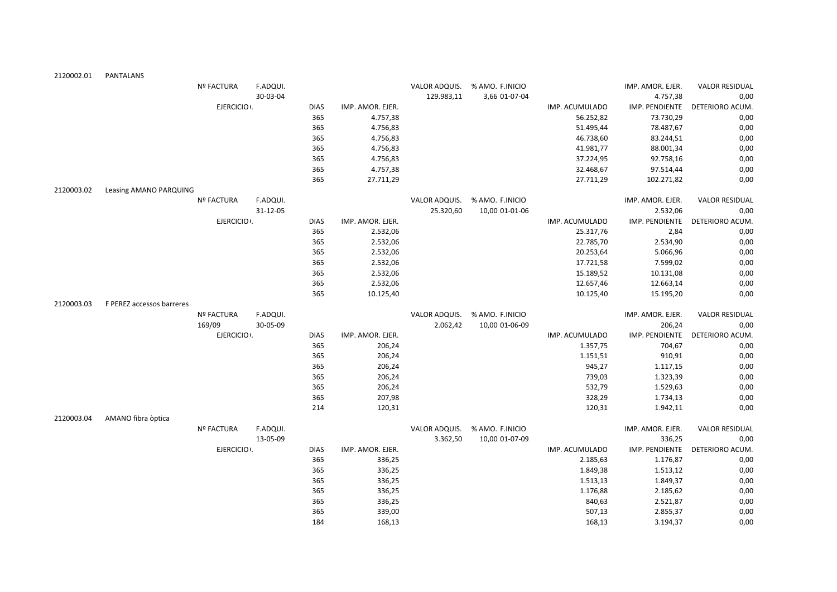| 2120002.01 | PANTALANS                 |                   |          |             |                  |               |                               |                |                  |                       |
|------------|---------------------------|-------------------|----------|-------------|------------------|---------------|-------------------------------|----------------|------------------|-----------------------|
|            |                           | <b>Nº FACTURA</b> | F.ADQUI. |             |                  |               | VALOR ADQUIS. % AMO. F.INICIO |                | IMP. AMOR. EJER. | <b>VALOR RESIDUAL</b> |
|            |                           |                   | 30-03-04 |             |                  | 129.983,11    | 3,66 01-07-04                 |                | 4.757,38         | 0,00                  |
|            |                           | EJERCICIO .       |          | <b>DIAS</b> | IMP. AMOR. EJER. |               |                               | IMP. ACUMULADO | IMP. PENDIENTE   | DETERIORO ACUM.       |
|            |                           |                   |          | 365         | 4.757,38         |               |                               | 56.252,82      | 73.730,29        | 0,00                  |
|            |                           |                   |          | 365         | 4.756,83         |               |                               | 51.495,44      | 78.487,67        | 0,00                  |
|            |                           |                   |          | 365         | 4.756,83         |               |                               | 46.738,60      | 83.244,51        | 0,00                  |
|            |                           |                   |          | 365         | 4.756,83         |               |                               | 41.981,77      | 88.001,34        | 0,00                  |
|            |                           |                   |          | 365         | 4.756,83         |               |                               | 37.224,95      | 92.758,16        | 0,00                  |
|            |                           |                   |          | 365         | 4.757,38         |               |                               | 32.468,67      | 97.514,44        | 0,00                  |
|            |                           |                   |          | 365         | 27.711,29        |               |                               | 27.711,29      | 102.271,82       | 0,00                  |
| 2120003.02 | Leasing AMANO PARQUING    |                   |          |             |                  |               |                               |                |                  |                       |
|            |                           | <b>Nº FACTURA</b> | F.ADQUI. |             |                  | VALOR ADQUIS. | % AMO. F.INICIO               |                | IMP. AMOR. EJER. | <b>VALOR RESIDUAL</b> |
|            |                           |                   | 31-12-05 |             |                  | 25.320,60     | 10,00 01-01-06                |                | 2.532,06         | 0,00                  |
|            |                           | EJERCICIO .       |          | <b>DIAS</b> | IMP. AMOR. EJER. |               |                               | IMP. ACUMULADO | IMP. PENDIENTE   | DETERIORO ACUM.       |
|            |                           |                   |          | 365         | 2.532,06         |               |                               | 25.317,76      | 2,84             | 0,00                  |
|            |                           |                   |          | 365         | 2.532,06         |               |                               | 22.785,70      | 2.534,90         | 0,00                  |
|            |                           |                   |          | 365         | 2.532,06         |               |                               | 20.253,64      | 5.066,96         | 0,00                  |
|            |                           |                   |          | 365         | 2.532,06         |               |                               | 17.721,58      | 7.599,02         | 0,00                  |
|            |                           |                   |          | 365         | 2.532,06         |               |                               | 15.189,52      | 10.131,08        | 0,00                  |
|            |                           |                   |          | 365         | 2.532,06         |               |                               | 12.657,46      | 12.663,14        | 0,00                  |
|            |                           |                   |          | 365         | 10.125,40        |               |                               | 10.125,40      | 15.195,20        | 0,00                  |
| 2120003.03 | F PEREZ accessos barreres |                   |          |             |                  |               |                               |                |                  |                       |
|            |                           | Nº FACTURA        | F.ADQUI. |             |                  | VALOR ADQUIS. | % AMO. F.INICIO               |                | IMP. AMOR. EJER. | <b>VALOR RESIDUAL</b> |
|            |                           | 169/09            | 30-05-09 |             |                  | 2.062,42      | 10,00 01-06-09                |                | 206,24           | 0,00                  |
|            |                           | EJERCICIO :       |          | <b>DIAS</b> | IMP. AMOR. EJER. |               |                               | IMP. ACUMULADO | IMP. PENDIENTE   | DETERIORO ACUM.       |
|            |                           |                   |          | 365         | 206,24           |               |                               | 1.357,75       | 704,67           | 0,00                  |
|            |                           |                   |          | 365         | 206,24           |               |                               | 1.151,51       | 910,91           | 0,00                  |
|            |                           |                   |          | 365         | 206,24           |               |                               | 945,27         | 1.117,15         | 0,00                  |
|            |                           |                   |          | 365         | 206,24           |               |                               | 739,03         | 1.323,39         | 0,00                  |
|            |                           |                   |          | 365         | 206,24           |               |                               | 532,79         | 1.529,63         | 0,00                  |
|            |                           |                   |          | 365         | 207,98           |               |                               | 328,29         | 1.734,13         | 0,00                  |
|            |                           |                   |          | 214         | 120,31           |               |                               | 120,31         | 1.942,11         | 0,00                  |
| 2120003.04 | AMANO fibra òptica        |                   |          |             |                  |               |                               |                |                  |                       |
|            |                           | <b>Nº FACTURA</b> | F.ADQUI. |             |                  | VALOR ADQUIS. | % AMO. F.INICIO               |                | IMP. AMOR. EJER. | <b>VALOR RESIDUAL</b> |
|            |                           |                   | 13-05-09 |             |                  | 3.362,50      | 10,00 01-07-09                |                | 336,25           | 0,00                  |
|            |                           | EJERCICIO .       |          | <b>DIAS</b> | IMP. AMOR. EJER. |               |                               | IMP. ACUMULADO | IMP. PENDIENTE   | DETERIORO ACUM.       |
|            |                           |                   |          | 365         | 336,25           |               |                               | 2.185,63       | 1.176,87         | 0,00                  |
|            |                           |                   |          | 365         | 336,25           |               |                               | 1.849,38       | 1.513,12         | 0,00                  |
|            |                           |                   |          | 365         | 336,25           |               |                               | 1.513,13       | 1.849,37         | 0,00                  |
|            |                           |                   |          | 365         | 336,25           |               |                               | 1.176,88       | 2.185,62         | 0,00                  |
|            |                           |                   |          | 365         | 336,25           |               |                               | 840,63         | 2.521,87         | 0,00                  |
|            |                           |                   |          | 365         | 339,00           |               |                               | 507,13         | 2.855,37         | 0,00                  |
|            |                           |                   |          | 184         | 168,13           |               |                               | 168,13         | 3.194,37         | 0,00                  |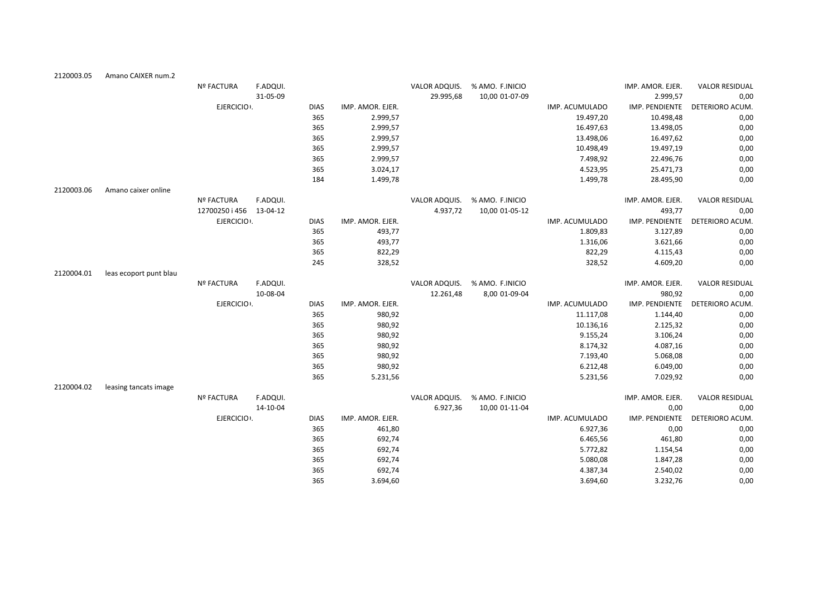| 2120003.05 | Amano CAIXER num.2     |                   |          |             |                  |               |                               |                |                  |                       |
|------------|------------------------|-------------------|----------|-------------|------------------|---------------|-------------------------------|----------------|------------------|-----------------------|
|            |                        | Nº FACTURA        | F.ADQUI. |             |                  | VALOR ADQUIS. | % AMO. F.INICIO               |                | IMP. AMOR. EJER. | <b>VALOR RESIDUAL</b> |
|            |                        |                   | 31-05-09 |             |                  | 29.995,68     | 10,00 01-07-09                |                | 2.999,57         | 0,00                  |
|            |                        | EJERCICIO .       |          | <b>DIAS</b> | IMP. AMOR. EJER. |               |                               | IMP. ACUMULADO | IMP. PENDIENTE   | DETERIORO ACUM.       |
|            |                        |                   |          | 365         | 2.999,57         |               |                               | 19.497,20      | 10.498,48        | 0,00                  |
|            |                        |                   |          | 365         | 2.999,57         |               |                               | 16.497,63      | 13.498,05        | 0,00                  |
|            |                        |                   |          | 365         | 2.999,57         |               |                               | 13.498,06      | 16.497,62        | 0,00                  |
|            |                        |                   |          | 365         | 2.999,57         |               |                               | 10.498,49      | 19.497,19        | 0,00                  |
|            |                        |                   |          | 365         | 2.999,57         |               |                               | 7.498,92       | 22.496,76        | 0,00                  |
|            |                        |                   |          | 365         | 3.024,17         |               |                               | 4.523,95       | 25.471,73        | 0,00                  |
|            |                        |                   |          | 184         | 1.499,78         |               |                               | 1.499,78       | 28.495,90        | 0,00                  |
| 2120003.06 | Amano caixer online    |                   |          |             |                  |               |                               |                |                  |                       |
|            |                        | Nº FACTURA        | F.ADQUI. |             |                  |               | VALOR ADQUIS. % AMO. F.INICIO |                | IMP. AMOR. EJER. | <b>VALOR RESIDUAL</b> |
|            |                        | 12700250 i 456    | 13-04-12 |             |                  | 4.937,72      | 10,00 01-05-12                |                | 493,77           | 0,00                  |
|            |                        | EJERCICIO .       |          | <b>DIAS</b> | IMP. AMOR. EJER. |               |                               | IMP. ACUMULADO | IMP. PENDIENTE   | DETERIORO ACUM.       |
|            |                        |                   |          | 365         | 493,77           |               |                               | 1.809,83       | 3.127,89         | 0,00                  |
|            |                        |                   |          | 365         | 493,77           |               |                               | 1.316,06       | 3.621,66         | 0,00                  |
|            |                        |                   |          | 365         | 822,29           |               |                               | 822,29         | 4.115,43         | 0,00                  |
|            |                        |                   |          | 245         | 328,52           |               |                               | 328,52         | 4.609,20         | 0,00                  |
| 2120004.01 | leas ecoport punt blau |                   |          |             |                  |               |                               |                |                  |                       |
|            |                        | <b>Nº FACTURA</b> | F.ADQUI. |             |                  | VALOR ADQUIS. | % AMO. F.INICIO               |                | IMP. AMOR. EJER. | <b>VALOR RESIDUAL</b> |
|            |                        |                   | 10-08-04 |             |                  | 12.261,48     | 8,00 01-09-04                 |                | 980,92           | 0,00                  |
|            |                        | EJERCICIO .       |          | <b>DIAS</b> | IMP. AMOR. EJER. |               |                               | IMP. ACUMULADO | IMP. PENDIENTE   | DETERIORO ACUM.       |
|            |                        |                   |          | 365         | 980,92           |               |                               | 11.117,08      | 1.144,40         | 0,00                  |
|            |                        |                   |          | 365         | 980,92           |               |                               | 10.136,16      | 2.125,32         | 0,00                  |
|            |                        |                   |          | 365         | 980,92           |               |                               | 9.155,24       | 3.106,24         | 0,00                  |
|            |                        |                   |          | 365         | 980,92           |               |                               | 8.174,32       | 4.087,16         | 0,00                  |
|            |                        |                   |          | 365         | 980,92           |               |                               | 7.193,40       | 5.068,08         | 0,00                  |
|            |                        |                   |          | 365         | 980,92           |               |                               | 6.212,48       | 6.049,00         | 0,00                  |
|            |                        |                   |          | 365         | 5.231,56         |               |                               | 5.231,56       | 7.029,92         | 0,00                  |
| 2120004.02 | leasing tancats image  |                   |          |             |                  |               |                               |                |                  |                       |
|            |                        | <b>Nº FACTURA</b> | F.ADQUI. |             |                  | VALOR ADQUIS. | % AMO. F.INICIO               |                | IMP. AMOR. EJER. | <b>VALOR RESIDUAL</b> |
|            |                        |                   | 14-10-04 |             |                  | 6.927,36      | 10,00 01-11-04                |                | 0,00             | 0,00                  |
|            |                        | EJERCICIO .       |          | <b>DIAS</b> | IMP. AMOR. EJER. |               |                               | IMP. ACUMULADO | IMP. PENDIENTE   | DETERIORO ACUM.       |
|            |                        |                   |          | 365         | 461,80           |               |                               | 6.927,36       | 0,00             | 0,00                  |
|            |                        |                   |          | 365         | 692,74           |               |                               | 6.465,56       | 461,80           | 0,00                  |
|            |                        |                   |          | 365         | 692,74           |               |                               | 5.772,82       | 1.154,54         | 0,00                  |
|            |                        |                   |          | 365         | 692,74           |               |                               | 5.080,08       | 1.847,28         | 0,00                  |
|            |                        |                   |          | 365         | 692,74           |               |                               | 4.387,34       | 2.540,02         | 0,00                  |
|            |                        |                   |          | 365         | 3.694,60         |               |                               | 3.694,60       | 3.232,76         | 0,00                  |
|            |                        |                   |          |             |                  |               |                               |                |                  |                       |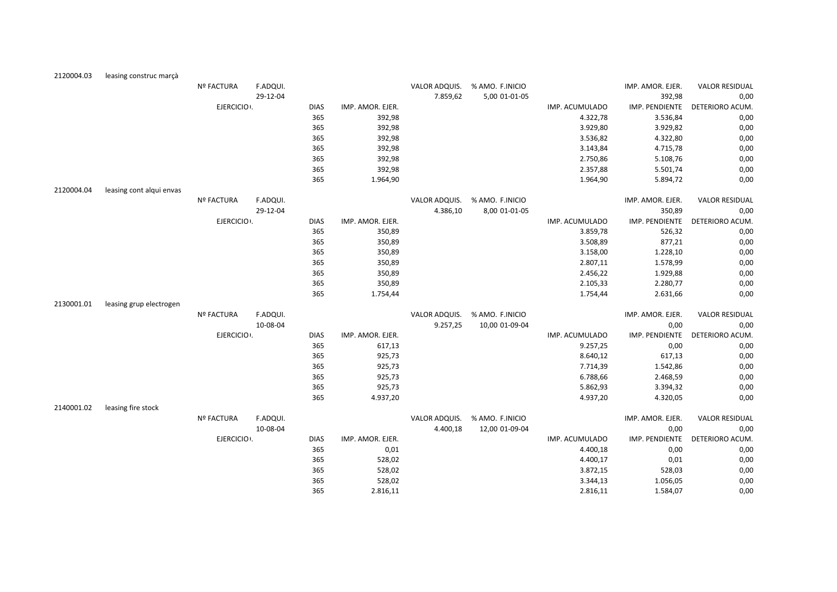| 2120004.03 | leasing construc marçà   |                   |          |             |                  |               |                               |                |                  |                       |
|------------|--------------------------|-------------------|----------|-------------|------------------|---------------|-------------------------------|----------------|------------------|-----------------------|
|            |                          | Nº FACTURA        | F.ADQUI. |             |                  |               | VALOR ADQUIS. % AMO. F.INICIO |                | IMP. AMOR. EJER. | <b>VALOR RESIDUAL</b> |
|            |                          |                   | 29-12-04 |             |                  | 7.859,62      | 5,00 01-01-05                 |                | 392,98           | 0,00                  |
|            |                          | EJERCICIO .       |          | <b>DIAS</b> | IMP. AMOR. EJER. |               |                               | IMP. ACUMULADO | IMP. PENDIENTE   | DETERIORO ACUM.       |
|            |                          |                   |          | 365         | 392,98           |               |                               | 4.322,78       | 3.536,84         | 0,00                  |
|            |                          |                   |          | 365         | 392,98           |               |                               | 3.929,80       | 3.929,82         | 0,00                  |
|            |                          |                   |          | 365         | 392,98           |               |                               | 3.536,82       | 4.322,80         | 0,00                  |
|            |                          |                   |          | 365         | 392,98           |               |                               | 3.143,84       | 4.715,78         | 0,00                  |
|            |                          |                   |          | 365         | 392,98           |               |                               | 2.750,86       | 5.108,76         | 0,00                  |
|            |                          |                   |          | 365         | 392,98           |               |                               | 2.357,88       | 5.501,74         | 0,00                  |
|            |                          |                   |          | 365         | 1.964,90         |               |                               | 1.964,90       | 5.894,72         | 0,00                  |
| 2120004.04 | leasing cont alqui envas |                   |          |             |                  |               |                               |                |                  |                       |
|            |                          | <b>Nº FACTURA</b> | F.ADQUI. |             |                  | VALOR ADQUIS. | % AMO. F.INICIO               |                | IMP. AMOR. EJER. | <b>VALOR RESIDUAL</b> |
|            |                          |                   | 29-12-04 |             |                  | 4.386,10      | 8,00 01-01-05                 |                | 350,89           | 0,00                  |
|            |                          | EJERCICIO .       |          | <b>DIAS</b> | IMP. AMOR. EJER. |               |                               | IMP. ACUMULADO | IMP. PENDIENTE   | DETERIORO ACUM.       |
|            |                          |                   |          | 365         | 350,89           |               |                               | 3.859,78       | 526,32           | 0,00                  |
|            |                          |                   |          | 365         | 350,89           |               |                               | 3.508,89       | 877,21           | 0,00                  |
|            |                          |                   |          | 365         | 350,89           |               |                               | 3.158,00       | 1.228,10         | 0,00                  |
|            |                          |                   |          | 365         | 350,89           |               |                               | 2.807,11       | 1.578,99         | 0,00                  |
|            |                          |                   |          | 365         | 350,89           |               |                               | 2.456,22       | 1.929,88         | 0,00                  |
|            |                          |                   |          | 365         | 350,89           |               |                               | 2.105,33       | 2.280,77         | 0,00                  |
|            |                          |                   |          | 365         | 1.754,44         |               |                               | 1.754,44       | 2.631,66         | 0,00                  |
| 2130001.01 | leasing grup electrogen  |                   |          |             |                  |               |                               |                |                  |                       |
|            |                          | <b>Nº FACTURA</b> | F.ADQUI. |             |                  | VALOR ADQUIS. | % AMO. F.INICIO               |                | IMP. AMOR. EJER. | <b>VALOR RESIDUAL</b> |
|            |                          |                   | 10-08-04 |             |                  | 9.257,25      | 10,00 01-09-04                |                | 0,00             | 0,00                  |
|            |                          | EJERCICIO .       |          | <b>DIAS</b> | IMP. AMOR. EJER. |               |                               | IMP. ACUMULADO | IMP. PENDIENTE   | DETERIORO ACUM.       |
|            |                          |                   |          | 365         | 617,13           |               |                               | 9.257,25       | 0,00             | 0,00                  |
|            |                          |                   |          | 365         | 925,73           |               |                               | 8.640,12       | 617,13           | 0,00                  |
|            |                          |                   |          | 365         | 925,73           |               |                               | 7.714,39       | 1.542,86         | 0,00                  |
|            |                          |                   |          | 365         | 925,73           |               |                               | 6.788,66       | 2.468,59         | 0,00                  |
|            |                          |                   |          | 365         | 925,73           |               |                               | 5.862,93       | 3.394,32         | 0,00                  |
|            |                          |                   |          | 365         | 4.937,20         |               |                               | 4.937,20       | 4.320,05         | 0,00                  |
| 2140001.02 | leasing fire stock       |                   |          |             |                  |               |                               |                |                  |                       |
|            |                          | <b>Nº FACTURA</b> | F.ADQUI. |             |                  | VALOR ADQUIS. | % AMO. F.INICIO               |                | IMP. AMOR. EJER. | <b>VALOR RESIDUAL</b> |
|            |                          |                   | 10-08-04 |             |                  | 4.400,18      | 12,00 01-09-04                |                | 0,00             | 0,00                  |
|            |                          | EJERCICIO .       |          | <b>DIAS</b> | IMP. AMOR. EJER. |               |                               | IMP. ACUMULADO | IMP. PENDIENTE   | DETERIORO ACUM.       |
|            |                          |                   |          | 365         | 0,01             |               |                               | 4.400,18       | 0,00             | 0,00                  |
|            |                          |                   |          | 365         | 528,02           |               |                               | 4.400,17       | 0,01             | 0,00                  |
|            |                          |                   |          | 365         | 528,02           |               |                               | 3.872,15       | 528,03           | 0,00                  |
|            |                          |                   |          | 365         | 528,02           |               |                               | 3.344,13       | 1.056,05         | 0,00                  |
|            |                          |                   |          | 365         | 2.816,11         |               |                               | 2.816,11       | 1.584,07         | 0,00                  |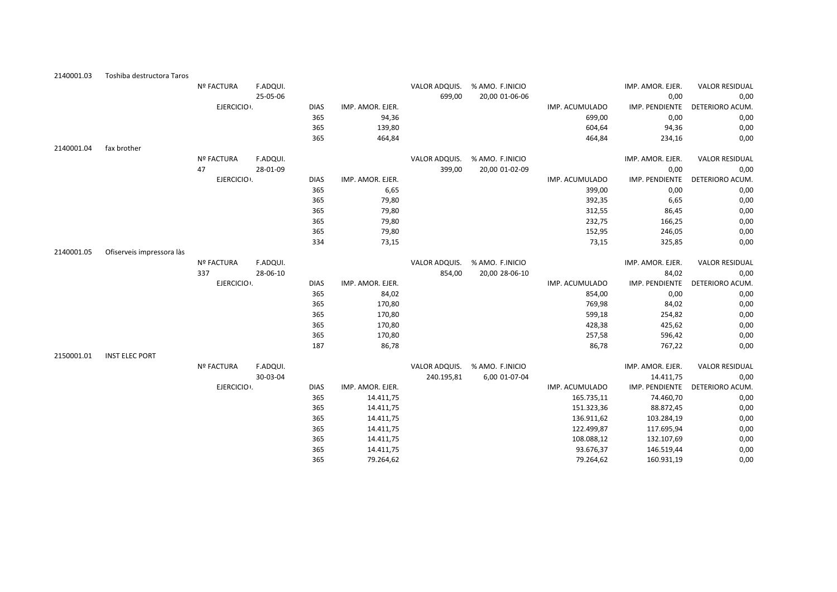| 2140001.03 | Toshiba destructora Taros |                   |          |             |                  |               |                 |                |                  |                       |
|------------|---------------------------|-------------------|----------|-------------|------------------|---------------|-----------------|----------------|------------------|-----------------------|
|            |                           | <b>Nº FACTURA</b> | F.ADQUI. |             |                  | VALOR ADQUIS. | % AMO. F.INICIO |                | IMP. AMOR. EJER. | <b>VALOR RESIDUAL</b> |
|            |                           |                   | 25-05-06 |             |                  | 699,00        | 20,00 01-06-06  |                | 0,00             | 0,00                  |
|            |                           | EJERCICIO .       |          | <b>DIAS</b> | IMP. AMOR. EJER. |               |                 | IMP. ACUMULADO | IMP. PENDIENTE   | DETERIORO ACUM.       |
|            |                           |                   |          | 365         | 94,36            |               |                 | 699,00         | 0,00             | 0,00                  |
|            |                           |                   |          | 365         | 139,80           |               |                 | 604,64         | 94,36            | 0,00                  |
|            |                           |                   |          | 365         | 464,84           |               |                 | 464,84         | 234,16           | 0,00                  |
| 2140001.04 | fax brother               |                   |          |             |                  |               |                 |                |                  |                       |
|            |                           | <b>Nº FACTURA</b> | F.ADQUI. |             |                  | VALOR ADQUIS. | % AMO. F.INICIO |                | IMP. AMOR. EJER. | <b>VALOR RESIDUAL</b> |
|            |                           | 47                | 28-01-09 |             |                  | 399,00        | 20,00 01-02-09  |                | 0,00             | 0,00                  |
|            |                           | EJERCICIO .       |          | <b>DIAS</b> | IMP. AMOR. EJER. |               |                 | IMP. ACUMULADO | IMP. PENDIENTE   | DETERIORO ACUM.       |
|            |                           |                   |          | 365         | 6,65             |               |                 | 399,00         | 0,00             | 0,00                  |
|            |                           |                   |          | 365         | 79,80            |               |                 | 392,35         | 6,65             | 0,00                  |
|            |                           |                   |          | 365         | 79,80            |               |                 | 312,55         | 86,45            | 0,00                  |
|            |                           |                   |          | 365         | 79,80            |               |                 | 232,75         | 166,25           | 0,00                  |
|            |                           |                   |          | 365         | 79,80            |               |                 | 152,95         | 246,05           | 0,00                  |
|            |                           |                   |          | 334         | 73,15            |               |                 | 73,15          | 325,85           | 0,00                  |
| 2140001.05 | Ofiserveis impressora làs |                   |          |             |                  |               |                 |                |                  |                       |
|            |                           | Nº FACTURA        | F.ADQUI. |             |                  | VALOR ADQUIS. | % AMO. F.INICIO |                | IMP. AMOR. EJER. | <b>VALOR RESIDUAL</b> |
|            |                           | 337               | 28-06-10 |             |                  | 854,00        | 20,00 28-06-10  |                | 84,02            | 0,00                  |
|            |                           | EJERCICIO :       |          | <b>DIAS</b> | IMP. AMOR. EJER. |               |                 | IMP. ACUMULADO | IMP. PENDIENTE   | DETERIORO ACUM.       |
|            |                           |                   |          | 365         | 84,02            |               |                 | 854,00         | 0,00             | 0,00                  |
|            |                           |                   |          | 365         | 170,80           |               |                 | 769,98         | 84,02            | 0,00                  |
|            |                           |                   |          | 365         | 170,80           |               |                 | 599,18         | 254,82           | 0,00                  |
|            |                           |                   |          | 365         | 170,80           |               |                 | 428,38         | 425,62           | 0,00                  |
|            |                           |                   |          | 365         | 170,80           |               |                 | 257,58         | 596,42           | 0,00                  |
|            |                           |                   |          | 187         | 86,78            |               |                 | 86,78          | 767,22           | 0,00                  |
| 2150001.01 | <b>INST ELEC PORT</b>     |                   |          |             |                  |               |                 |                |                  |                       |
|            |                           | Nº FACTURA        | F.ADQUI. |             |                  | VALOR ADQUIS. | % AMO. F.INICIO |                | IMP. AMOR. EJER. | <b>VALOR RESIDUAL</b> |
|            |                           |                   | 30-03-04 |             |                  | 240.195,81    | 6,00 01-07-04   |                | 14.411,75        | 0,00                  |
|            |                           | EJERCICIO :       |          | <b>DIAS</b> | IMP. AMOR. EJER. |               |                 | IMP. ACUMULADO | IMP. PENDIENTE   | DETERIORO ACUM.       |
|            |                           |                   |          | 365         | 14.411,75        |               |                 | 165.735,11     | 74.460,70        | 0,00                  |
|            |                           |                   |          | 365         | 14.411,75        |               |                 | 151.323,36     | 88.872,45        | 0,00                  |
|            |                           |                   |          | 365         | 14.411,75        |               |                 | 136.911,62     | 103.284,19       | 0,00                  |
|            |                           |                   |          | 365         | 14.411,75        |               |                 | 122.499,87     | 117.695,94       | 0,00                  |
|            |                           |                   |          | 365         | 14.411,75        |               |                 | 108.088,12     | 132.107,69       | 0,00                  |
|            |                           |                   |          | 365         | 14.411,75        |               |                 | 93.676,37      | 146.519,44       | 0,00                  |
|            |                           |                   |          | 365         | 79.264,62        |               |                 | 79.264,62      | 160.931,19       | 0,00                  |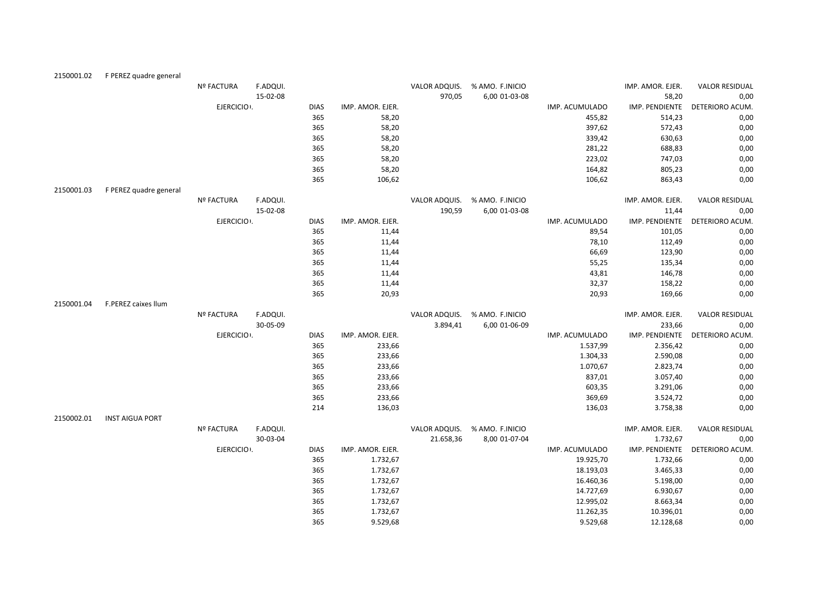| 2150001.02 | F PEREZ quadre general |                   |          |             |                  |               |                 |                |                  |                       |
|------------|------------------------|-------------------|----------|-------------|------------------|---------------|-----------------|----------------|------------------|-----------------------|
|            |                        | <b>Nº FACTURA</b> | F.ADQUI. |             |                  | VALOR ADQUIS. | % AMO. F.INICIO |                | IMP. AMOR. EJER. | <b>VALOR RESIDUAL</b> |
|            |                        |                   | 15-02-08 |             |                  | 970,05        | 6,00 01-03-08   |                | 58,20            | 0,00                  |
|            |                        | EJERCICIO .       |          | <b>DIAS</b> | IMP. AMOR. EJER. |               |                 | IMP. ACUMULADO | IMP. PENDIENTE   | DETERIORO ACUM.       |
|            |                        |                   |          | 365         | 58,20            |               |                 | 455,82         | 514,23           | 0,00                  |
|            |                        |                   |          | 365         | 58,20            |               |                 | 397,62         | 572,43           | 0,00                  |
|            |                        |                   |          | 365         | 58,20            |               |                 | 339,42         | 630,63           | 0,00                  |
|            |                        |                   |          | 365         | 58,20            |               |                 | 281,22         | 688,83           | 0,00                  |
|            |                        |                   |          | 365         | 58,20            |               |                 | 223,02         | 747,03           | 0,00                  |
|            |                        |                   |          | 365         | 58,20            |               |                 | 164,82         | 805,23           | 0,00                  |
|            |                        |                   |          | 365         | 106,62           |               |                 | 106,62         | 863,43           | 0,00                  |
| 2150001.03 | F PEREZ quadre general |                   |          |             |                  |               |                 |                |                  |                       |
|            |                        | Nº FACTURA        | F.ADQUI. |             |                  | VALOR ADQUIS. | % AMO. F.INICIO |                | IMP. AMOR. EJER. | <b>VALOR RESIDUAL</b> |
|            |                        |                   | 15-02-08 |             |                  | 190,59        | 6,00 01-03-08   |                | 11,44            | 0,00                  |
|            |                        | EJERCICIO :       |          | <b>DIAS</b> | IMP. AMOR. EJER. |               |                 | IMP. ACUMULADO | IMP. PENDIENTE   | DETERIORO ACUM.       |
|            |                        |                   |          | 365         | 11,44            |               |                 | 89,54          | 101,05           | 0,00                  |
|            |                        |                   |          | 365         | 11,44            |               |                 | 78,10          | 112,49           | 0,00                  |
|            |                        |                   |          | 365         | 11,44            |               |                 | 66,69          | 123,90           | 0,00                  |
|            |                        |                   |          | 365         | 11,44            |               |                 | 55,25          | 135,34           | 0,00                  |
|            |                        |                   |          | 365         | 11,44            |               |                 | 43,81          | 146,78           | 0,00                  |
|            |                        |                   |          | 365         | 11,44            |               |                 | 32,37          | 158,22           | 0,00                  |
|            |                        |                   |          | 365         | 20,93            |               |                 | 20,93          | 169,66           | 0,00                  |
| 2150001.04 | F.PEREZ caixes llum    |                   |          |             |                  |               |                 |                |                  |                       |
|            |                        | <b>Nº FACTURA</b> | F.ADQUI. |             |                  | VALOR ADQUIS. | % AMO. F.INICIO |                | IMP. AMOR. EJER. | <b>VALOR RESIDUAL</b> |
|            |                        |                   | 30-05-09 |             |                  | 3.894,41      | 6,00 01-06-09   |                | 233,66           | 0,00                  |
|            |                        | EJERCICIO :       |          | <b>DIAS</b> | IMP. AMOR. EJER. |               |                 | IMP. ACUMULADO | IMP. PENDIENTE   | DETERIORO ACUM.       |
|            |                        |                   |          | 365         | 233,66           |               |                 | 1.537,99       | 2.356,42         | 0,00                  |
|            |                        |                   |          | 365         | 233,66           |               |                 | 1.304,33       | 2.590,08         | 0,00                  |
|            |                        |                   |          | 365         | 233,66           |               |                 | 1.070,67       | 2.823,74         | 0,00                  |
|            |                        |                   |          | 365         | 233,66           |               |                 | 837,01         | 3.057,40         | 0,00                  |
|            |                        |                   |          | 365         | 233,66           |               |                 | 603,35         | 3.291,06         | 0,00                  |
|            |                        |                   |          | 365         | 233,66           |               |                 | 369,69         | 3.524,72         | 0,00                  |
|            |                        |                   |          | 214         | 136,03           |               |                 | 136,03         | 3.758,38         | 0,00                  |
| 2150002.01 | <b>INST AIGUA PORT</b> |                   |          |             |                  |               |                 |                |                  |                       |
|            |                        | <b>Nº FACTURA</b> | F.ADQUI. |             |                  | VALOR ADQUIS. | % AMO. F.INICIO |                | IMP. AMOR. EJER. | <b>VALOR RESIDUAL</b> |
|            |                        |                   | 30-03-04 |             |                  | 21.658,36     | 8,00 01-07-04   |                | 1.732,67         | 0,00                  |
|            |                        | EJERCICIO .       |          | <b>DIAS</b> | IMP. AMOR. EJER. |               |                 | IMP. ACUMULADO | IMP. PENDIENTE   | DETERIORO ACUM.       |
|            |                        |                   |          | 365         | 1.732,67         |               |                 | 19.925,70      | 1.732,66         | 0,00                  |
|            |                        |                   |          | 365         | 1.732,67         |               |                 | 18.193,03      | 3.465,33         | 0,00                  |
|            |                        |                   |          | 365         | 1.732,67         |               |                 | 16.460,36      | 5.198,00         | 0,00                  |
|            |                        |                   |          | 365         | 1.732,67         |               |                 | 14.727,69      | 6.930,67         | 0,00                  |
|            |                        |                   |          | 365         | 1.732,67         |               |                 | 12.995,02      | 8.663,34         | 0,00                  |
|            |                        |                   |          | 365         | 1.732,67         |               |                 | 11.262,35      | 10.396,01        | 0,00                  |
|            |                        |                   |          | 365         | 9.529.68         |               |                 | 9.529.68       | 12.128.68        | 0.00                  |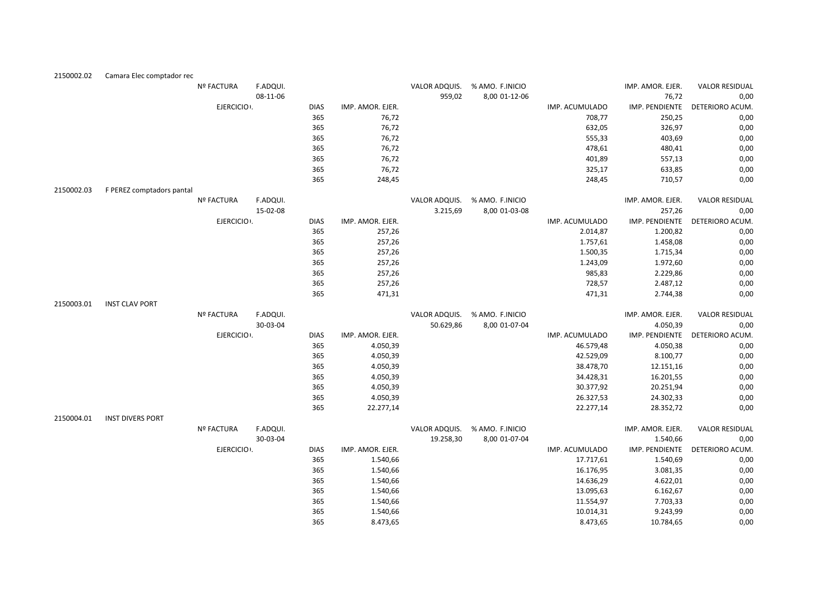| 2150002.02 | Camara Elec comptador rec |                   |          |             |                  |           |                               |                |                  |                                |
|------------|---------------------------|-------------------|----------|-------------|------------------|-----------|-------------------------------|----------------|------------------|--------------------------------|
|            |                           | <b>Nº FACTURA</b> | F.ADQUI. |             |                  |           | VALOR ADQUIS. % AMO. F.INICIO |                | IMP. AMOR. EJER. | <b>VALOR RESIDUAL</b>          |
|            |                           |                   | 08-11-06 |             |                  | 959,02    | 8,00 01-12-06                 |                | 76,72            | 0,00                           |
|            |                           | EJERCICIO .       |          | <b>DIAS</b> | IMP. AMOR. EJER. |           |                               | IMP. ACUMULADO | IMP. PENDIENTE   | DETERIORO ACUM.                |
|            |                           |                   |          | 365         | 76,72            |           |                               | 708,77         | 250,25           | 0,00                           |
|            |                           |                   |          | 365         | 76,72            |           |                               | 632,05         | 326,97           | 0,00                           |
|            |                           |                   |          | 365         | 76,72            |           |                               | 555,33         | 403,69           | 0,00                           |
|            |                           |                   |          | 365         | 76,72            |           |                               | 478,61         | 480,41           | 0,00                           |
|            |                           |                   |          | 365         | 76,72            |           |                               | 401,89         | 557,13           | 0,00                           |
|            |                           |                   |          | 365         | 76,72            |           |                               | 325,17         | 633,85           | 0,00                           |
|            |                           |                   |          | 365         | 248,45           |           |                               | 248,45         | 710,57           | 0,00                           |
| 2150002.03 | F PEREZ comptadors pantal |                   |          |             |                  |           |                               |                |                  |                                |
|            |                           | <b>Nº FACTURA</b> | F.ADQUI. |             |                  |           | VALOR ADQUIS. % AMO. F.INICIO |                | IMP. AMOR. EJER. | <b>VALOR RESIDUAL</b>          |
|            |                           |                   | 15-02-08 |             |                  | 3.215,69  | 8,00 01-03-08                 |                | 257,26           | 0,00                           |
|            |                           | EJERCICIO :       |          | <b>DIAS</b> | IMP. AMOR. EJER. |           |                               | IMP. ACUMULADO | IMP. PENDIENTE   | DETERIORO ACUM.                |
|            |                           |                   |          | 365         | 257,26           |           |                               | 2.014,87       | 1.200,82         | 0,00                           |
|            |                           |                   |          | 365         | 257,26           |           |                               | 1.757,61       | 1.458,08         | 0,00                           |
|            |                           |                   |          | 365         | 257,26           |           |                               | 1.500,35       | 1.715,34         | 0,00                           |
|            |                           |                   |          | 365         | 257,26           |           |                               | 1.243,09       | 1.972,60         | 0,00                           |
|            |                           |                   |          | 365         | 257,26           |           |                               | 985,83         | 2.229,86         | 0,00                           |
|            |                           |                   |          | 365         | 257,26           |           |                               | 728,57         | 2.487,12         | 0,00                           |
|            |                           |                   |          | 365         | 471,31           |           |                               | 471,31         | 2.744,38         | 0,00                           |
| 2150003.01 | <b>INST CLAV PORT</b>     |                   |          |             |                  |           |                               |                |                  |                                |
|            |                           | Nº FACTURA        | F.ADQUI. |             |                  |           | VALOR ADQUIS. % AMO. F.INICIO |                | IMP. AMOR. EJER. | <b>VALOR RESIDUAL</b>          |
|            |                           |                   | 30-03-04 |             |                  | 50.629,86 | 8,00 01-07-04                 |                | 4.050,39         | 0,00                           |
|            |                           | EJERCICIO .       |          | <b>DIAS</b> | IMP. AMOR. EJER. |           |                               | IMP. ACUMULADO |                  | IMP. PENDIENTE DETERIORO ACUM. |
|            |                           |                   |          | 365         | 4.050,39         |           |                               | 46.579,48      | 4.050,38         | 0,00                           |
|            |                           |                   |          | 365         | 4.050,39         |           |                               | 42.529,09      | 8.100,77         | 0,00                           |
|            |                           |                   |          | 365         | 4.050,39         |           |                               | 38.478,70      | 12.151,16        | 0,00                           |
|            |                           |                   |          | 365         | 4.050,39         |           |                               | 34.428,31      | 16.201,55        | 0,00                           |
|            |                           |                   |          | 365         | 4.050,39         |           |                               | 30.377,92      | 20.251,94        | 0,00                           |
|            |                           |                   |          | 365         | 4.050,39         |           |                               | 26.327,53      | 24.302,33        | 0,00                           |
|            |                           |                   |          | 365         | 22.277,14        |           |                               | 22.277,14      | 28.352,72        | 0,00                           |
| 2150004.01 | <b>INST DIVERS PORT</b>   |                   |          |             |                  |           |                               |                |                  |                                |
|            |                           | Nº FACTURA        | F.ADQUI. |             |                  |           | VALOR ADQUIS. % AMO. F.INICIO |                | IMP. AMOR. EJER. | <b>VALOR RESIDUAL</b>          |
|            |                           |                   | 30-03-04 |             |                  | 19.258,30 | 8,00 01-07-04                 |                | 1.540,66         | 0,00                           |
|            |                           | EJERCICIO .       |          | <b>DIAS</b> | IMP. AMOR. EJER. |           |                               | IMP. ACUMULADO | IMP. PENDIENTE   | DETERIORO ACUM.                |
|            |                           |                   |          | 365         | 1.540,66         |           |                               | 17.717,61      | 1.540,69         | 0,00                           |
|            |                           |                   |          | 365         | 1.540,66         |           |                               | 16.176,95      | 3.081,35         | 0,00                           |
|            |                           |                   |          | 365         | 1.540,66         |           |                               | 14.636,29      | 4.622,01         | 0,00                           |
|            |                           |                   |          | 365         | 1.540,66         |           |                               | 13.095,63      | 6.162,67         | 0,00                           |
|            |                           |                   |          | 365         | 1.540,66         |           |                               | 11.554,97      | 7.703,33         | 0,00                           |
|            |                           |                   |          | 365         | 1.540,66         |           |                               | 10.014,31      | 9.243,99         | 0,00                           |
|            |                           |                   |          | 365         | 8.473,65         |           |                               | 8.473,65       | 10.784,65        | 0.00                           |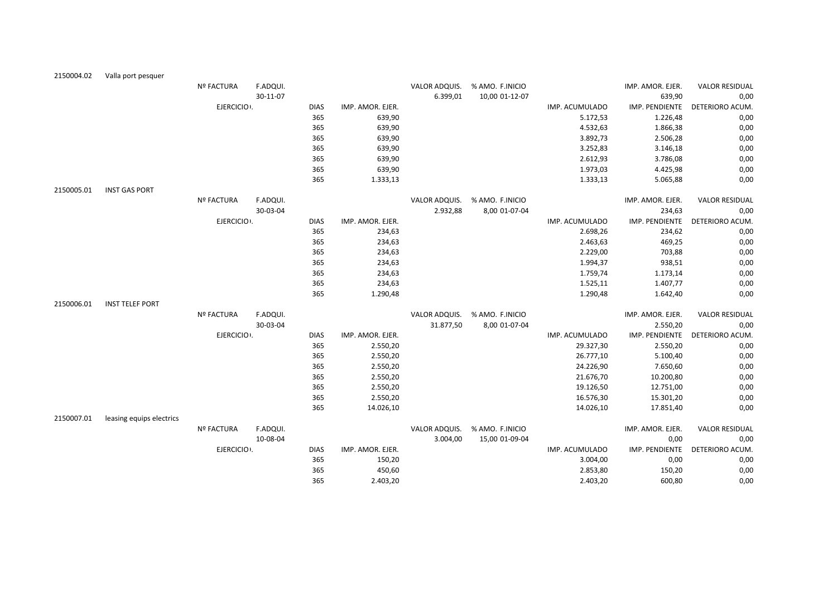| 2150004.02 | Valla port pesquer       |                   |          |             |                  |               |                               |                |                  |                       |
|------------|--------------------------|-------------------|----------|-------------|------------------|---------------|-------------------------------|----------------|------------------|-----------------------|
|            |                          | Nº FACTURA        | F.ADQUI. |             |                  |               | VALOR ADQUIS. % AMO. F.INICIO |                | IMP. AMOR. EJER. | <b>VALOR RESIDUAL</b> |
|            |                          |                   | 30-11-07 |             |                  | 6.399,01      | 10,00 01-12-07                |                | 639,90           | 0,00                  |
|            |                          | EJERCICIO :       |          | <b>DIAS</b> | IMP. AMOR. EJER. |               |                               | IMP. ACUMULADO | IMP. PENDIENTE   | DETERIORO ACUM.       |
|            |                          |                   |          | 365         | 639,90           |               |                               | 5.172,53       | 1.226,48         | 0,00                  |
|            |                          |                   |          | 365         | 639,90           |               |                               | 4.532,63       | 1.866,38         | 0,00                  |
|            |                          |                   |          | 365         | 639,90           |               |                               | 3.892,73       | 2.506,28         | 0,00                  |
|            |                          |                   |          | 365         | 639,90           |               |                               | 3.252,83       | 3.146,18         | 0,00                  |
|            |                          |                   |          | 365         | 639,90           |               |                               | 2.612,93       | 3.786,08         | 0,00                  |
|            |                          |                   |          | 365         | 639,90           |               |                               | 1.973,03       | 4.425,98         | 0,00                  |
|            |                          |                   |          | 365         | 1.333,13         |               |                               | 1.333,13       | 5.065,88         | 0,00                  |
| 2150005.01 | <b>INST GAS PORT</b>     |                   |          |             |                  |               |                               |                |                  |                       |
|            |                          | Nº FACTURA        | F.ADQUI. |             |                  | VALOR ADQUIS. | % AMO. F.INICIO               |                | IMP. AMOR. EJER. | <b>VALOR RESIDUAL</b> |
|            |                          |                   | 30-03-04 |             |                  | 2.932,88      | 8,00 01-07-04                 |                | 234,63           | 0,00                  |
|            |                          | EJERCICIO .       |          | <b>DIAS</b> | IMP. AMOR. EJER. |               |                               | IMP. ACUMULADO | IMP. PENDIENTE   | DETERIORO ACUM.       |
|            |                          |                   |          | 365         | 234,63           |               |                               | 2.698,26       | 234,62           | 0,00                  |
|            |                          |                   |          | 365         | 234,63           |               |                               | 2.463,63       | 469,25           | 0,00                  |
|            |                          |                   |          | 365         | 234,63           |               |                               | 2.229,00       | 703,88           | 0,00                  |
|            |                          |                   |          | 365         | 234,63           |               |                               | 1.994,37       | 938,51           | 0,00                  |
|            |                          |                   |          | 365         | 234,63           |               |                               | 1.759,74       | 1.173,14         | 0,00                  |
|            |                          |                   |          | 365         | 234,63           |               |                               | 1.525,11       | 1.407,77         | 0,00                  |
|            |                          |                   |          | 365         | 1.290,48         |               |                               | 1.290,48       | 1.642,40         | 0,00                  |
| 2150006.01 | <b>INST TELEF PORT</b>   |                   |          |             |                  |               |                               |                |                  |                       |
|            |                          | <b>Nº FACTURA</b> | F.ADQUI. |             |                  |               | VALOR ADQUIS. % AMO. F.INICIO |                | IMP. AMOR. EJER. | <b>VALOR RESIDUAL</b> |
|            |                          |                   | 30-03-04 |             |                  | 31.877,50     | 8,00 01-07-04                 |                | 2.550,20         | 0,00                  |
|            |                          | EJERCICIO .       |          | <b>DIAS</b> | IMP. AMOR. EJER. |               |                               | IMP. ACUMULADO | IMP. PENDIENTE   | DETERIORO ACUM.       |
|            |                          |                   |          | 365         | 2.550,20         |               |                               | 29.327,30      | 2.550,20         | 0,00                  |
|            |                          |                   |          | 365         | 2.550,20         |               |                               | 26.777,10      | 5.100,40         | 0,00                  |
|            |                          |                   |          | 365         | 2.550,20         |               |                               | 24.226,90      | 7.650,60         | 0,00                  |
|            |                          |                   |          | 365         | 2.550,20         |               |                               | 21.676,70      | 10.200,80        | 0,00                  |
|            |                          |                   |          | 365         | 2.550,20         |               |                               | 19.126,50      | 12.751,00        | 0,00                  |
|            |                          |                   |          | 365         | 2.550,20         |               |                               | 16.576,30      | 15.301,20        | 0,00                  |
|            |                          |                   |          | 365         | 14.026,10        |               |                               | 14.026,10      | 17.851,40        | 0,00                  |
| 2150007.01 | leasing equips electrics |                   |          |             |                  |               |                               |                |                  |                       |
|            |                          | Nº FACTURA        | F.ADQUI. |             |                  | VALOR ADQUIS. | % AMO. F.INICIO               |                | IMP. AMOR. EJER. | <b>VALOR RESIDUAL</b> |
|            |                          |                   | 10-08-04 |             |                  | 3.004,00      | 15,00 01-09-04                |                | 0,00             | 0,00                  |
|            |                          | EJERCICIO .       |          | <b>DIAS</b> | IMP. AMOR. EJER. |               |                               | IMP. ACUMULADO | IMP. PENDIENTE   | DETERIORO ACUM.       |
|            |                          |                   |          | 365         | 150,20           |               |                               | 3.004,00       | 0,00             | 0,00                  |
|            |                          |                   |          | 365         | 450,60           |               |                               | 2.853,80       | 150,20           | 0,00                  |
|            |                          |                   |          | 365         | 2.403,20         |               |                               | 2.403,20       | 600,80           | 0,00                  |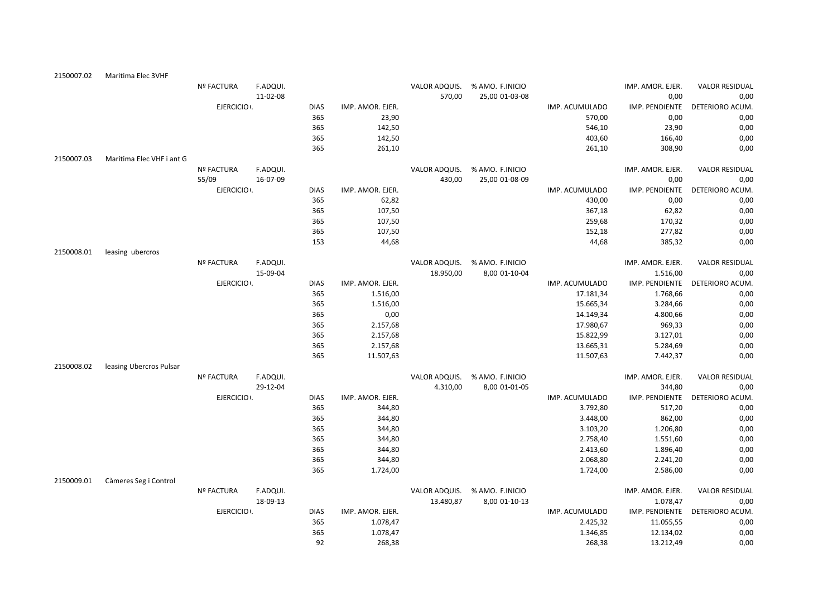| 2150007.02 | Maritima Elec 3VHF        |                   |          |             |                  |               |                 |                |                  |                       |
|------------|---------------------------|-------------------|----------|-------------|------------------|---------------|-----------------|----------------|------------------|-----------------------|
|            |                           | Nº FACTURA        | F.ADQUI. |             |                  | VALOR ADQUIS. | % AMO. F.INICIO |                | IMP. AMOR. EJER. | <b>VALOR RESIDUAL</b> |
|            |                           |                   | 11-02-08 |             |                  | 570,00        | 25,00 01-03-08  |                | 0,00             | 0,00                  |
|            |                           | EJERCICIO :       |          | <b>DIAS</b> | IMP. AMOR. EJER. |               |                 | IMP. ACUMULADO | IMP. PENDIENTE   | DETERIORO ACUM.       |
|            |                           |                   |          | 365         | 23,90            |               |                 | 570,00         | 0,00             | 0,00                  |
|            |                           |                   |          | 365         | 142,50           |               |                 | 546,10         | 23,90            | 0,00                  |
|            |                           |                   |          | 365         | 142,50           |               |                 | 403,60         | 166,40           | 0,00                  |
|            |                           |                   |          | 365         | 261,10           |               |                 | 261,10         | 308,90           | 0,00                  |
| 2150007.03 | Maritima Elec VHF i ant G |                   |          |             |                  |               |                 |                |                  |                       |
|            |                           | <b>Nº FACTURA</b> | F.ADQUI. |             |                  | VALOR ADQUIS. | % AMO. F.INICIO |                | IMP. AMOR. EJER. | <b>VALOR RESIDUAL</b> |
|            |                           | 55/09             | 16-07-09 |             |                  | 430,00        | 25,00 01-08-09  |                | 0,00             | 0,00                  |
|            |                           | EJERCICIO .       |          | <b>DIAS</b> | IMP. AMOR. EJER. |               |                 | IMP. ACUMULADO | IMP. PENDIENTE   | DETERIORO ACUM.       |
|            |                           |                   |          | 365         | 62,82            |               |                 | 430,00         | 0,00             | 0,00                  |
|            |                           |                   |          | 365         | 107,50           |               |                 | 367,18         | 62,82            | 0,00                  |
|            |                           |                   |          | 365         | 107,50           |               |                 | 259,68         | 170,32           | 0,00                  |
|            |                           |                   |          | 365         | 107,50           |               |                 | 152,18         | 277,82           | 0,00                  |
|            |                           |                   |          | 153         | 44,68            |               |                 | 44,68          | 385,32           | 0,00                  |
| 2150008.01 | leasing ubercros          |                   |          |             |                  |               |                 |                |                  |                       |
|            |                           | <b>Nº FACTURA</b> | F.ADQUI. |             |                  | VALOR ADQUIS. | % AMO. F.INICIO |                | IMP. AMOR. EJER. | <b>VALOR RESIDUAL</b> |
|            |                           |                   | 15-09-04 |             |                  | 18.950,00     | 8,00 01-10-04   |                | 1.516,00         | 0,00                  |
|            |                           | EJERCICIO .       |          | <b>DIAS</b> | IMP. AMOR. EJER. |               |                 | IMP. ACUMULADO | IMP. PENDIENTE   | DETERIORO ACUM.       |
|            |                           |                   |          | 365         | 1.516,00         |               |                 | 17.181,34      | 1.768,66         | 0,00                  |
|            |                           |                   |          | 365         | 1.516,00         |               |                 | 15.665,34      | 3.284,66         | 0,00                  |
|            |                           |                   |          | 365         | 0,00             |               |                 | 14.149,34      | 4.800,66         | 0,00                  |
|            |                           |                   |          | 365         | 2.157,68         |               |                 | 17.980,67      | 969,33           | 0,00                  |
|            |                           |                   |          | 365         | 2.157,68         |               |                 | 15.822,99      | 3.127,01         | 0,00                  |
|            |                           |                   |          | 365         | 2.157,68         |               |                 | 13.665,31      | 5.284,69         | 0,00                  |
|            |                           |                   |          | 365         | 11.507,63        |               |                 | 11.507,63      | 7.442,37         | 0,00                  |
| 2150008.02 | leasing Ubercros Pulsar   |                   |          |             |                  |               |                 |                |                  |                       |
|            |                           | <b>Nº FACTURA</b> | F.ADQUI. |             |                  | VALOR ADQUIS. | % AMO. F.INICIO |                | IMP. AMOR. EJER. | <b>VALOR RESIDUAL</b> |
|            |                           |                   | 29-12-04 |             |                  | 4.310,00      | 8,00 01-01-05   |                | 344,80           | 0,00                  |
|            |                           | EJERCICIO .       |          | <b>DIAS</b> | IMP. AMOR. EJER. |               |                 | IMP. ACUMULADO | IMP. PENDIENTE   | DETERIORO ACUM.       |
|            |                           |                   |          | 365         | 344,80           |               |                 | 3.792,80       | 517,20           | 0,00                  |
|            |                           |                   |          | 365         | 344,80           |               |                 | 3.448,00       | 862,00           | 0,00                  |
|            |                           |                   |          | 365         | 344,80           |               |                 | 3.103,20       | 1.206,80         | 0,00                  |
|            |                           |                   |          | 365         | 344,80           |               |                 | 2.758,40       | 1.551,60         | 0,00                  |
|            |                           |                   |          | 365         | 344,80           |               |                 | 2.413,60       | 1.896,40         | 0,00                  |
|            |                           |                   |          | 365         | 344,80           |               |                 | 2.068,80       | 2.241,20         | 0,00                  |
|            |                           |                   |          | 365         | 1.724,00         |               |                 | 1.724,00       | 2.586,00         | 0,00                  |
| 2150009.01 | Càmeres Seg i Control     |                   |          |             |                  |               |                 |                |                  |                       |
|            |                           | <b>Nº FACTURA</b> | F.ADQUI. |             |                  | VALOR ADQUIS. | % AMO. F.INICIO |                | IMP. AMOR. EJER. | <b>VALOR RESIDUAL</b> |
|            |                           |                   | 18-09-13 |             |                  | 13.480,87     | 8,00 01-10-13   |                | 1.078,47         | 0,00                  |
|            |                           | EJERCICIO .       |          | <b>DIAS</b> | IMP. AMOR. EJER. |               |                 | IMP. ACUMULADO | IMP. PENDIENTE   | DETERIORO ACUM.       |
|            |                           |                   |          | 365         | 1.078,47         |               |                 | 2.425,32       | 11.055,55        | 0,00                  |
|            |                           |                   |          | 365         | 1.078,47         |               |                 | 1.346,85       | 12.134,02        | 0,00                  |
|            |                           |                   |          | 92          | 268,38           |               |                 | 268,38         | 13.212,49        | 0,00                  |
|            |                           |                   |          |             |                  |               |                 |                |                  |                       |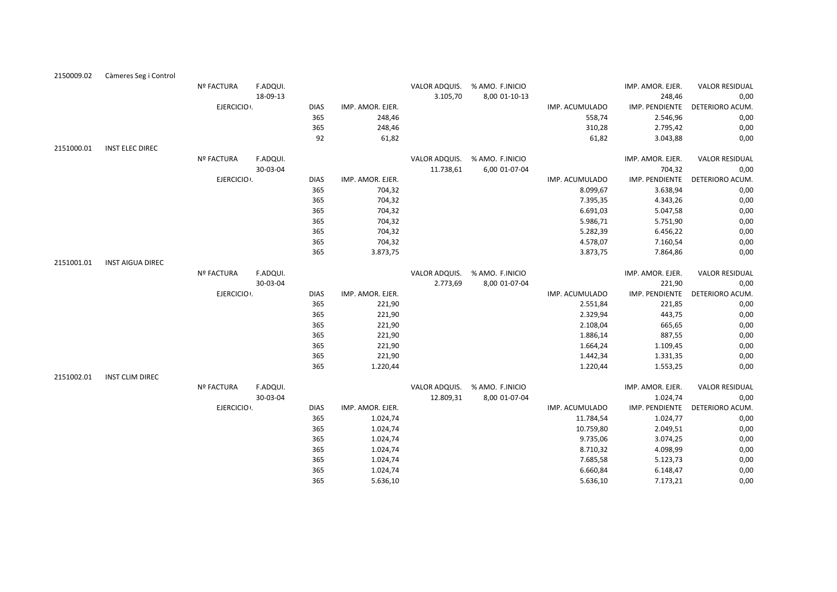| 2150009.02 | Càmeres Seg i Control   |                   |          |             |                  |               |                               |                |                  |                       |
|------------|-------------------------|-------------------|----------|-------------|------------------|---------------|-------------------------------|----------------|------------------|-----------------------|
|            |                         | <b>Nº FACTURA</b> | F.ADQUI. |             |                  | VALOR ADQUIS. | % AMO. F.INICIO               |                | IMP. AMOR. EJER. | <b>VALOR RESIDUAL</b> |
|            |                         |                   | 18-09-13 |             |                  | 3.105,70      | 8,00 01-10-13                 |                | 248,46           | 0,00                  |
|            |                         | EJERCICIO .       |          | <b>DIAS</b> | IMP. AMOR. EJER. |               |                               | IMP. ACUMULADO | IMP. PENDIENTE   | DETERIORO ACUM.       |
|            |                         |                   |          | 365         | 248,46           |               |                               | 558,74         | 2.546,96         | 0,00                  |
|            |                         |                   |          | 365         | 248,46           |               |                               | 310,28         | 2.795,42         | 0,00                  |
|            |                         |                   |          | 92          | 61,82            |               |                               | 61,82          | 3.043,88         | 0,00                  |
| 2151000.01 | <b>INST ELEC DIREC</b>  |                   |          |             |                  |               |                               |                |                  |                       |
|            |                         | <b>Nº FACTURA</b> | F.ADQUI. |             |                  |               | VALOR ADQUIS. % AMO. F.INICIO |                | IMP. AMOR. EJER. | <b>VALOR RESIDUAL</b> |
|            |                         |                   | 30-03-04 |             |                  | 11.738,61     | 6,00 01-07-04                 |                | 704,32           | 0,00                  |
|            |                         | EJERCICIO .       |          | <b>DIAS</b> | IMP. AMOR. EJER. |               |                               | IMP. ACUMULADO | IMP. PENDIENTE   | DETERIORO ACUM.       |
|            |                         |                   |          | 365         | 704,32           |               |                               | 8.099,67       | 3.638,94         | 0,00                  |
|            |                         |                   |          | 365         | 704,32           |               |                               | 7.395,35       | 4.343,26         | 0,00                  |
|            |                         |                   |          | 365         | 704,32           |               |                               | 6.691,03       | 5.047,58         | 0,00                  |
|            |                         |                   |          | 365         | 704,32           |               |                               | 5.986,71       | 5.751,90         | 0,00                  |
|            |                         |                   |          | 365         | 704,32           |               |                               | 5.282,39       | 6.456,22         | 0,00                  |
|            |                         |                   |          | 365         | 704,32           |               |                               | 4.578,07       | 7.160,54         | 0,00                  |
|            |                         |                   |          | 365         | 3.873,75         |               |                               | 3.873,75       | 7.864,86         | 0,00                  |
| 2151001.01 | <b>INST AIGUA DIREC</b> |                   |          |             |                  |               |                               |                |                  |                       |
|            |                         | <b>Nº FACTURA</b> | F.ADQUI. |             |                  | VALOR ADQUIS. | % AMO. F.INICIO               |                | IMP. AMOR. EJER. | <b>VALOR RESIDUAL</b> |
|            |                         |                   | 30-03-04 |             |                  | 2.773,69      | 8,00 01-07-04                 |                | 221,90           | 0,00                  |
|            |                         | EJERCICIO .       |          | <b>DIAS</b> | IMP. AMOR. EJER. |               |                               | IMP. ACUMULADO | IMP. PENDIENTE   | DETERIORO ACUM.       |
|            |                         |                   |          | 365         | 221,90           |               |                               | 2.551,84       | 221,85           | 0,00                  |
|            |                         |                   |          | 365         | 221,90           |               |                               | 2.329,94       | 443,75           | 0,00                  |
|            |                         |                   |          | 365         | 221,90           |               |                               | 2.108,04       | 665,65           | 0,00                  |
|            |                         |                   |          | 365         | 221,90           |               |                               | 1.886,14       | 887,55           | 0,00                  |
|            |                         |                   |          | 365         | 221,90           |               |                               | 1.664,24       | 1.109,45         | 0,00                  |
|            |                         |                   |          | 365         | 221,90           |               |                               | 1.442,34       | 1.331,35         | 0,00                  |
|            |                         |                   |          | 365         | 1.220,44         |               |                               | 1.220,44       | 1.553,25         | 0,00                  |
| 2151002.01 | <b>INST CLIM DIREC</b>  |                   |          |             |                  |               |                               |                |                  |                       |
|            |                         | Nº FACTURA        | F.ADQUI. |             |                  |               | VALOR ADQUIS. % AMO. F.INICIO |                | IMP. AMOR. EJER. | <b>VALOR RESIDUAL</b> |
|            |                         |                   | 30-03-04 |             |                  | 12.809,31     | 8,00 01-07-04                 |                | 1.024,74         | 0,00                  |
|            |                         | EJERCICIO .       |          | <b>DIAS</b> | IMP. AMOR. EJER. |               |                               | IMP. ACUMULADO | IMP. PENDIENTE   | DETERIORO ACUM.       |
|            |                         |                   |          | 365         | 1.024,74         |               |                               | 11.784,54      | 1.024,77         | 0,00                  |
|            |                         |                   |          | 365         | 1.024,74         |               |                               | 10.759,80      | 2.049,51         | 0,00                  |
|            |                         |                   |          | 365         | 1.024,74         |               |                               | 9.735,06       | 3.074,25         | 0,00                  |
|            |                         |                   |          | 365         | 1.024,74         |               |                               | 8.710,32       | 4.098,99         | 0,00                  |
|            |                         |                   |          | 365         | 1.024,74         |               |                               | 7.685,58       | 5.123,73         | 0,00                  |
|            |                         |                   |          | 365         | 1.024,74         |               |                               | 6.660,84       | 6.148,47         | 0,00                  |
|            |                         |                   |          | 365         | 5.636,10         |               |                               | 5.636,10       | 7.173,21         | 0,00                  |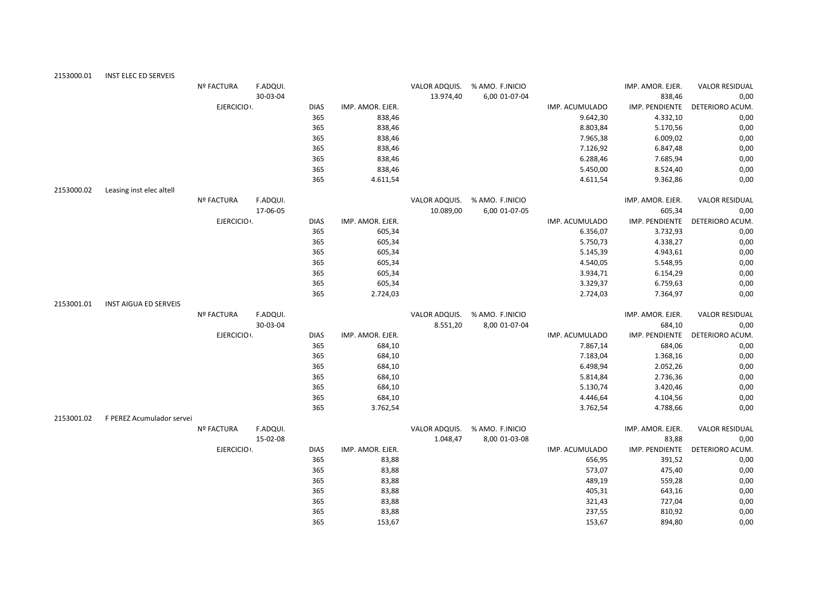| 2153000.01 | INST ELEC ED SERVEIS         |                   |          |             |                  |           |                               |                |                  |                       |
|------------|------------------------------|-------------------|----------|-------------|------------------|-----------|-------------------------------|----------------|------------------|-----------------------|
|            |                              | <b>Nº FACTURA</b> | F.ADQUI. |             |                  |           | VALOR ADQUIS. % AMO. F.INICIO |                | IMP. AMOR. EJER. | <b>VALOR RESIDUAL</b> |
|            |                              |                   | 30-03-04 |             |                  | 13.974,40 | 6,00 01-07-04                 |                | 838,46           | 0,00                  |
|            |                              | EJERCICIO .       |          | <b>DIAS</b> | IMP. AMOR. EJER. |           |                               | IMP. ACUMULADO | IMP. PENDIENTE   | DETERIORO ACUM.       |
|            |                              |                   |          | 365         | 838,46           |           |                               | 9.642,30       | 4.332,10         | 0,00                  |
|            |                              |                   |          | 365         | 838,46           |           |                               | 8.803,84       | 5.170,56         | 0,00                  |
|            |                              |                   |          | 365         | 838,46           |           |                               | 7.965,38       | 6.009,02         | 0,00                  |
|            |                              |                   |          | 365         | 838,46           |           |                               | 7.126,92       | 6.847,48         | 0,00                  |
|            |                              |                   |          | 365         | 838,46           |           |                               | 6.288,46       | 7.685,94         | 0,00                  |
|            |                              |                   |          | 365         | 838,46           |           |                               | 5.450,00       | 8.524,40         | 0,00                  |
|            |                              |                   |          | 365         | 4.611,54         |           |                               | 4.611,54       | 9.362,86         | 0,00                  |
| 2153000.02 | Leasing inst elec altell     |                   |          |             |                  |           |                               |                |                  |                       |
|            |                              | <b>Nº FACTURA</b> | F.ADQUI. |             |                  |           | VALOR ADQUIS. % AMO. F.INICIO |                | IMP. AMOR. EJER. | <b>VALOR RESIDUAL</b> |
|            |                              |                   | 17-06-05 |             |                  | 10.089,00 | 6,00 01-07-05                 |                | 605,34           | 0,00                  |
|            |                              | EJERCICIO .       |          | <b>DIAS</b> | IMP. AMOR. EJER. |           |                               | IMP. ACUMULADO | IMP. PENDIENTE   | DETERIORO ACUM.       |
|            |                              |                   |          | 365         | 605,34           |           |                               | 6.356,07       | 3.732,93         | 0,00                  |
|            |                              |                   |          | 365         | 605,34           |           |                               | 5.750,73       | 4.338,27         | 0,00                  |
|            |                              |                   |          | 365         | 605,34           |           |                               | 5.145,39       | 4.943,61         | 0,00                  |
|            |                              |                   |          | 365         | 605,34           |           |                               | 4.540,05       | 5.548,95         | 0,00                  |
|            |                              |                   |          | 365         | 605,34           |           |                               | 3.934,71       | 6.154,29         | 0,00                  |
|            |                              |                   |          | 365         | 605,34           |           |                               | 3.329,37       | 6.759,63         | 0,00                  |
|            |                              |                   |          | 365         | 2.724,03         |           |                               | 2.724,03       | 7.364,97         | 0,00                  |
| 2153001.01 | <b>INST AIGUA ED SERVEIS</b> |                   |          |             |                  |           |                               |                |                  |                       |
|            |                              | <b>Nº FACTURA</b> | F.ADQUI. |             |                  |           | VALOR ADQUIS. % AMO. F.INICIO |                | IMP. AMOR. EJER. | <b>VALOR RESIDUAL</b> |
|            |                              |                   | 30-03-04 |             |                  | 8.551,20  | 8,00 01-07-04                 |                | 684,10           | 0,00                  |
|            |                              | EJERCICIO .       |          | <b>DIAS</b> | IMP. AMOR. EJER. |           |                               | IMP. ACUMULADO | IMP. PENDIENTE   | DETERIORO ACUM.       |
|            |                              |                   |          | 365         | 684,10           |           |                               | 7.867,14       | 684,06           | 0,00                  |
|            |                              |                   |          | 365         | 684,10           |           |                               | 7.183,04       | 1.368,16         | 0,00                  |
|            |                              |                   |          | 365         | 684,10           |           |                               | 6.498,94       | 2.052,26         | 0,00                  |
|            |                              |                   |          | 365         | 684,10           |           |                               | 5.814,84       | 2.736,36         | 0,00                  |
|            |                              |                   |          | 365         | 684,10           |           |                               | 5.130,74       | 3.420,46         | 0,00                  |
|            |                              |                   |          | 365         | 684,10           |           |                               | 4.446,64       | 4.104,56         | 0,00                  |
|            |                              |                   |          | 365         | 3.762,54         |           |                               | 3.762,54       | 4.788,66         | 0,00                  |
| 2153001.02 | F PEREZ Acumulador servei    |                   |          |             |                  |           |                               |                |                  |                       |
|            |                              | <b>Nº FACTURA</b> | F.ADQUI. |             |                  |           | VALOR ADQUIS. % AMO. F.INICIO |                | IMP. AMOR. EJER. | <b>VALOR RESIDUAL</b> |
|            |                              |                   | 15-02-08 |             |                  | 1.048,47  | 8,00 01-03-08                 |                | 83,88            | 0,00                  |
|            |                              | EJERCICIO .       |          | <b>DIAS</b> | IMP. AMOR. EJER. |           |                               | IMP. ACUMULADO | IMP. PENDIENTE   | DETERIORO ACUM.       |
|            |                              |                   |          | 365         | 83,88            |           |                               | 656,95         | 391,52           | 0,00                  |
|            |                              |                   |          | 365         | 83,88            |           |                               | 573,07         | 475,40           | 0,00                  |
|            |                              |                   |          | 365         | 83,88            |           |                               | 489,19         | 559,28           | 0,00                  |
|            |                              |                   |          | 365         | 83,88            |           |                               | 405,31         | 643,16           | 0,00                  |
|            |                              |                   |          | 365         | 83,88            |           |                               | 321,43         | 727,04           | 0,00                  |
|            |                              |                   |          | 365         | 83,88            |           |                               | 237,55         | 810,92           | 0,00                  |
|            |                              |                   |          | 365         | 153,67           |           |                               | 153,67         | 894,80           | 0,00                  |
|            |                              |                   |          |             |                  |           |                               |                |                  |                       |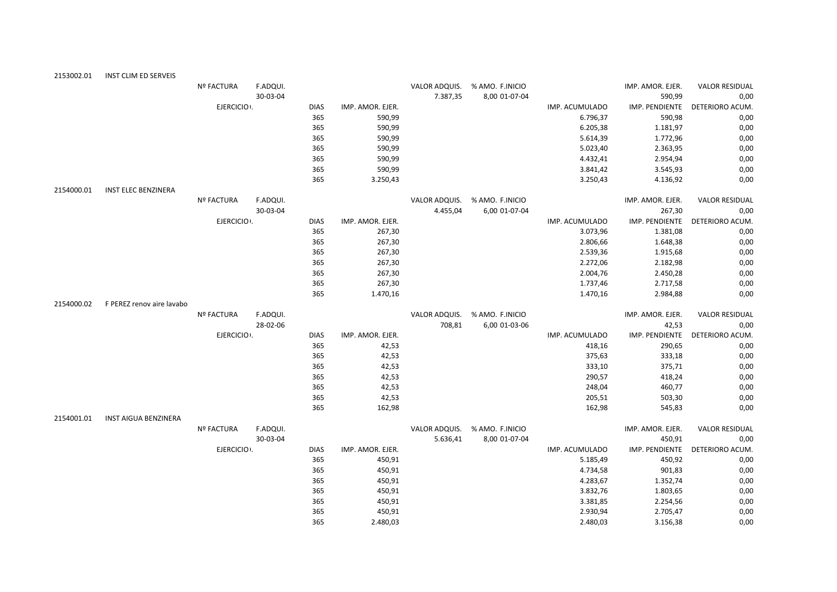| 2153002.01 | INST CLIM ED SERVEIS      |                   |          |             |                  |          |                               |                |                  |                       |
|------------|---------------------------|-------------------|----------|-------------|------------------|----------|-------------------------------|----------------|------------------|-----------------------|
|            |                           | <b>Nº FACTURA</b> | F.ADQUI. |             |                  |          | VALOR ADQUIS. % AMO. F.INICIO |                | IMP. AMOR. EJER. | <b>VALOR RESIDUAL</b> |
|            |                           |                   | 30-03-04 |             |                  | 7.387,35 | 8,00 01-07-04                 |                | 590,99           | 0,00                  |
|            |                           | EJERCICIO .       |          | <b>DIAS</b> | IMP. AMOR. EJER. |          |                               | IMP. ACUMULADO | IMP. PENDIENTE   | DETERIORO ACUM.       |
|            |                           |                   |          | 365         | 590,99           |          |                               | 6.796,37       | 590,98           | 0,00                  |
|            |                           |                   |          | 365         | 590,99           |          |                               | 6.205,38       | 1.181,97         | 0,00                  |
|            |                           |                   |          | 365         | 590,99           |          |                               | 5.614,39       | 1.772,96         | 0,00                  |
|            |                           |                   |          | 365         | 590,99           |          |                               | 5.023,40       | 2.363,95         | 0,00                  |
|            |                           |                   |          | 365         | 590,99           |          |                               | 4.432,41       | 2.954,94         | 0,00                  |
|            |                           |                   |          | 365         | 590,99           |          |                               | 3.841,42       | 3.545,93         | 0,00                  |
|            |                           |                   |          | 365         | 3.250,43         |          |                               | 3.250,43       | 4.136,92         | 0,00                  |
| 2154000.01 | INST ELEC BENZINERA       |                   |          |             |                  |          |                               |                |                  |                       |
|            |                           | <b>Nº FACTURA</b> | F.ADQUI. |             |                  |          | VALOR ADQUIS. % AMO. F.INICIO |                | IMP. AMOR. EJER. | <b>VALOR RESIDUAL</b> |
|            |                           |                   | 30-03-04 |             |                  | 4.455,04 | 6,00 01-07-04                 |                | 267,30           | 0,00                  |
|            |                           | EJERCICIO .       |          | <b>DIAS</b> | IMP. AMOR. EJER. |          |                               | IMP. ACUMULADO | IMP. PENDIENTE   | DETERIORO ACUM.       |
|            |                           |                   |          | 365         | 267,30           |          |                               | 3.073,96       | 1.381,08         | 0,00                  |
|            |                           |                   |          | 365         | 267,30           |          |                               | 2.806,66       | 1.648,38         | 0,00                  |
|            |                           |                   |          | 365         | 267,30           |          |                               | 2.539,36       | 1.915,68         | 0,00                  |
|            |                           |                   |          | 365         | 267,30           |          |                               | 2.272,06       | 2.182,98         | 0,00                  |
|            |                           |                   |          | 365         | 267,30           |          |                               | 2.004,76       | 2.450,28         | 0,00                  |
|            |                           |                   |          | 365         | 267,30           |          |                               | 1.737,46       | 2.717,58         | 0,00                  |
|            |                           |                   |          | 365         | 1.470,16         |          |                               | 1.470,16       | 2.984,88         | 0,00                  |
| 2154000.02 | F PEREZ renov aire lavabo |                   |          |             |                  |          |                               |                |                  |                       |
|            |                           | <b>Nº FACTURA</b> | F.ADQUI. |             |                  |          | VALOR ADQUIS. % AMO. F.INICIO |                | IMP. AMOR. EJER. | <b>VALOR RESIDUAL</b> |
|            |                           |                   | 28-02-06 |             |                  | 708,81   | 6,00 01-03-06                 |                | 42,53            | 0,00                  |
|            |                           | EJERCICIO .       |          | <b>DIAS</b> | IMP. AMOR. EJER. |          |                               | IMP. ACUMULADO | IMP. PENDIENTE   | DETERIORO ACUM.       |
|            |                           |                   |          | 365         | 42,53            |          |                               | 418,16         | 290,65           | 0,00                  |
|            |                           |                   |          | 365         | 42,53            |          |                               | 375,63         | 333,18           | 0,00                  |
|            |                           |                   |          | 365         | 42,53            |          |                               | 333,10         | 375,71           | 0,00                  |
|            |                           |                   |          | 365         | 42,53            |          |                               | 290,57         | 418,24           | 0,00                  |
|            |                           |                   |          | 365         | 42,53            |          |                               | 248,04         | 460,77           | 0,00                  |
|            |                           |                   |          | 365         | 42,53            |          |                               | 205,51         | 503,30           | 0,00                  |
|            |                           |                   |          | 365         | 162,98           |          |                               | 162,98         | 545,83           | 0,00                  |
| 2154001.01 | INST AIGUA BENZINERA      |                   |          |             |                  |          |                               |                |                  |                       |
|            |                           | <b>Nº FACTURA</b> | F.ADQUI. |             |                  |          | VALOR ADQUIS. % AMO. F.INICIO |                | IMP. AMOR. EJER. | <b>VALOR RESIDUAL</b> |
|            |                           |                   | 30-03-04 |             |                  | 5.636,41 | 8,00 01-07-04                 |                | 450,91           | 0,00                  |
|            |                           | EJERCICIO .       |          | <b>DIAS</b> | IMP. AMOR. EJER. |          |                               | IMP. ACUMULADO | IMP. PENDIENTE   | DETERIORO ACUM.       |
|            |                           |                   |          | 365         | 450,91           |          |                               | 5.185,49       | 450,92           | 0,00                  |
|            |                           |                   |          | 365         | 450,91           |          |                               | 4.734,58       | 901,83           | 0,00                  |
|            |                           |                   |          | 365         | 450,91           |          |                               | 4.283,67       | 1.352,74         | 0,00                  |
|            |                           |                   |          | 365         | 450,91           |          |                               | 3.832,76       | 1.803,65         | 0,00                  |
|            |                           |                   |          | 365         | 450,91           |          |                               | 3.381,85       | 2.254,56         | 0,00                  |
|            |                           |                   |          | 365         | 450,91           |          |                               | 2.930,94       | 2.705,47         | 0,00                  |
|            |                           |                   |          | 365         | 2.480.03         |          |                               | 2.480.03       | 3.156.38         | 0.00                  |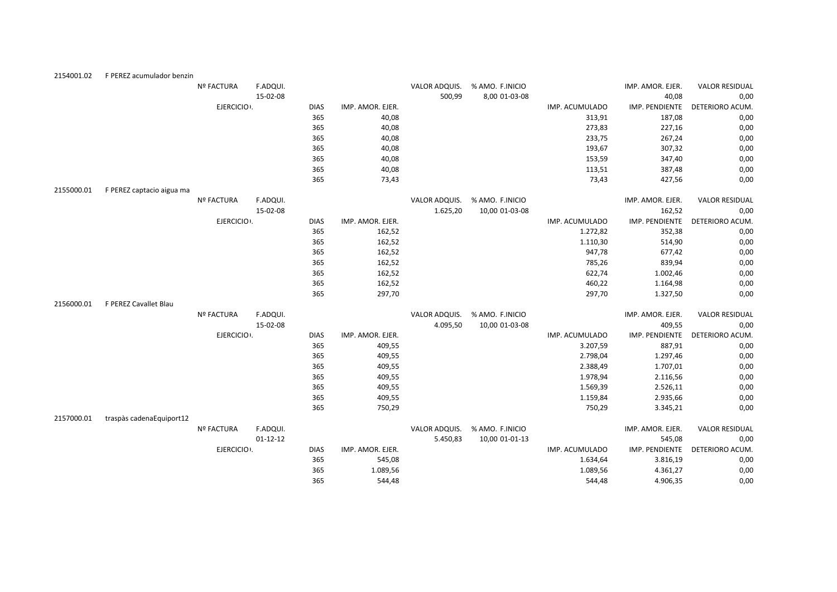| 2154001.02 | F PEREZ acumulador benzin |                   |                |             |                  |               |                 |                |                  |                       |
|------------|---------------------------|-------------------|----------------|-------------|------------------|---------------|-----------------|----------------|------------------|-----------------------|
|            |                           | <b>Nº FACTURA</b> | F.ADQUI.       |             |                  | VALOR ADQUIS. | % AMO. F.INICIO |                | IMP. AMOR. EJER. | <b>VALOR RESIDUAL</b> |
|            |                           |                   | 15-02-08       |             |                  | 500,99        | 8,00 01-03-08   |                | 40,08            | 0,00                  |
|            |                           | EJERCICIO .       |                | <b>DIAS</b> | IMP. AMOR. EJER. |               |                 | IMP. ACUMULADO | IMP. PENDIENTE   | DETERIORO ACUM.       |
|            |                           |                   |                | 365         | 40,08            |               |                 | 313,91         | 187,08           | 0,00                  |
|            |                           |                   |                | 365         | 40,08            |               |                 | 273,83         | 227,16           | 0,00                  |
|            |                           |                   |                | 365         | 40,08            |               |                 | 233,75         | 267,24           | 0,00                  |
|            |                           |                   |                | 365         | 40,08            |               |                 | 193,67         | 307,32           | 0,00                  |
|            |                           |                   |                | 365         | 40,08            |               |                 | 153,59         | 347,40           | 0,00                  |
|            |                           |                   |                | 365         | 40,08            |               |                 | 113,51         | 387,48           | 0,00                  |
|            |                           |                   |                | 365         | 73,43            |               |                 | 73,43          | 427,56           | 0,00                  |
| 2155000.01 | F PEREZ captacio aigua ma |                   |                |             |                  |               |                 |                |                  |                       |
|            |                           | <b>Nº FACTURA</b> | F.ADQUI.       |             |                  | VALOR ADQUIS. | % AMO. F.INICIO |                | IMP. AMOR. EJER. | <b>VALOR RESIDUAL</b> |
|            |                           |                   | 15-02-08       |             |                  | 1.625,20      | 10,00 01-03-08  |                | 162,52           | 0,00                  |
|            |                           | EJERCICIO .       |                | <b>DIAS</b> | IMP. AMOR. EJER. |               |                 | IMP. ACUMULADO | IMP. PENDIENTE   | DETERIORO ACUM.       |
|            |                           |                   |                | 365         | 162,52           |               |                 | 1.272,82       | 352,38           | 0,00                  |
|            |                           |                   |                | 365         | 162,52           |               |                 | 1.110,30       | 514,90           | 0,00                  |
|            |                           |                   |                | 365         | 162,52           |               |                 | 947,78         | 677,42           | 0,00                  |
|            |                           |                   |                | 365         | 162,52           |               |                 | 785,26         | 839,94           | 0,00                  |
|            |                           |                   |                | 365         | 162,52           |               |                 | 622,74         | 1.002,46         | 0,00                  |
|            |                           |                   |                | 365         | 162,52           |               |                 | 460,22         | 1.164,98         | 0,00                  |
|            |                           |                   |                | 365         | 297,70           |               |                 | 297,70         | 1.327,50         | 0,00                  |
| 2156000.01 | F PEREZ Cavallet Blau     |                   |                |             |                  |               |                 |                |                  |                       |
|            |                           | <b>Nº FACTURA</b> | F.ADQUI.       |             |                  | VALOR ADQUIS. | % AMO. F.INICIO |                | IMP. AMOR. EJER. | <b>VALOR RESIDUAL</b> |
|            |                           |                   | 15-02-08       |             |                  | 4.095,50      | 10,00 01-03-08  |                | 409,55           | 0,00                  |
|            |                           | EJERCICIO .       |                | <b>DIAS</b> | IMP. AMOR. EJER. |               |                 | IMP. ACUMULADO | IMP. PENDIENTE   | DETERIORO ACUM.       |
|            |                           |                   |                | 365         | 409,55           |               |                 | 3.207,59       | 887,91           | 0,00                  |
|            |                           |                   |                | 365         | 409,55           |               |                 | 2.798,04       | 1.297,46         | 0,00                  |
|            |                           |                   |                | 365         | 409,55           |               |                 | 2.388,49       | 1.707,01         | 0,00                  |
|            |                           |                   |                | 365         | 409,55           |               |                 | 1.978,94       | 2.116,56         | 0,00                  |
|            |                           |                   |                | 365         | 409,55           |               |                 | 1.569,39       | 2.526,11         | 0,00                  |
|            |                           |                   |                | 365         | 409,55           |               |                 | 1.159,84       | 2.935,66         | 0,00                  |
|            |                           |                   |                | 365         | 750,29           |               |                 | 750,29         | 3.345,21         | 0,00                  |
| 2157000.01 | traspàs cadenaEquiport12  |                   |                |             |                  |               |                 |                |                  |                       |
|            |                           | Nº FACTURA        | F.ADQUI.       |             |                  | VALOR ADQUIS. | % AMO. F.INICIO |                | IMP. AMOR. EJER. | <b>VALOR RESIDUAL</b> |
|            |                           |                   | $01 - 12 - 12$ |             |                  | 5.450,83      | 10,00 01-01-13  |                | 545,08           | 0,00                  |
|            |                           | EJERCICIO .       |                | <b>DIAS</b> | IMP. AMOR. EJER. |               |                 | IMP. ACUMULADO | IMP. PENDIENTE   | DETERIORO ACUM.       |
|            |                           |                   |                | 365         | 545,08           |               |                 | 1.634,64       | 3.816,19         | 0,00                  |
|            |                           |                   |                | 365         | 1.089,56         |               |                 | 1.089,56       | 4.361,27         | 0,00                  |
|            |                           |                   |                | 365         | 544.48           |               |                 | 544.48         | 4.906.35         | 0.00                  |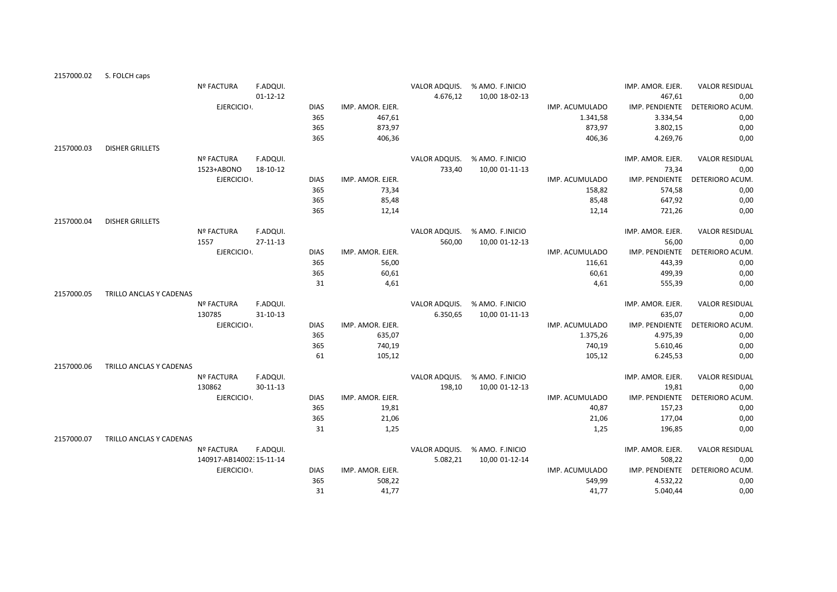| 2157000.02 | S. FOLCH caps           |                           |                            |                    |                           |                         |                 |                          |                           |                               |
|------------|-------------------------|---------------------------|----------------------------|--------------------|---------------------------|-------------------------|-----------------|--------------------------|---------------------------|-------------------------------|
|            |                         | <b>Nº FACTURA</b>         | F.ADQUI.                   |                    |                           | VALOR ADQUIS.           | % AMO. F.INICIO |                          | IMP. AMOR. EJER.          | <b>VALOR RESIDUAL</b>         |
|            |                         |                           | $01 - 12 - 12$             |                    |                           | 4.676,12                | 10,00 18-02-13  |                          | 467,61                    | 0,00                          |
|            |                         | EJERCICIO .               |                            | <b>DIAS</b>        | IMP. AMOR. EJER.          |                         |                 | IMP. ACUMULADO           | IMP. PENDIENTE            | DETERIORO ACUM.               |
|            |                         |                           |                            | 365                | 467,61                    |                         |                 | 1.341,58                 | 3.334,54                  | 0,00                          |
|            |                         |                           |                            | 365                | 873,97                    |                         |                 | 873,97                   | 3.802,15                  | 0,00                          |
|            |                         |                           |                            | 365                | 406,36                    |                         |                 | 406,36                   | 4.269,76                  | 0,00                          |
| 2157000.03 | <b>DISHER GRILLETS</b>  |                           |                            |                    |                           |                         |                 |                          |                           |                               |
|            |                         | <b>Nº FACTURA</b>         | F.ADQUI.                   |                    |                           | VALOR ADQUIS.           | % AMO. F.INICIO |                          | IMP. AMOR. EJER.          | <b>VALOR RESIDUAL</b>         |
|            |                         | 1523+ABONO                | 18-10-12                   |                    |                           | 733,40                  | 10,00 01-11-13  |                          | 73,34                     | 0,00                          |
|            |                         | EJERCICIO .               |                            | <b>DIAS</b>        | IMP. AMOR. EJER.          |                         |                 | IMP. ACUMULADO           | IMP. PENDIENTE            | DETERIORO ACUM.               |
|            |                         |                           |                            | 365                | 73,34                     |                         |                 | 158,82                   | 574,58                    | 0,00                          |
|            |                         |                           |                            | 365                | 85,48                     |                         |                 | 85,48                    | 647,92                    | 0,00                          |
|            |                         |                           |                            | 365                | 12,14                     |                         |                 | 12,14                    | 721,26                    | 0,00                          |
| 2157000.04 | <b>DISHER GRILLETS</b>  |                           |                            |                    |                           |                         |                 |                          |                           |                               |
|            |                         | <b>Nº FACTURA</b><br>1557 | F.ADQUI.<br>$27 - 11 - 13$ |                    |                           | VALOR ADQUIS.<br>560,00 | % AMO. F.INICIO |                          | IMP. AMOR. EJER.<br>56,00 | <b>VALOR RESIDUAL</b><br>0,00 |
|            |                         | EJERCICIO .               |                            |                    |                           |                         | 10,00 01-12-13  |                          |                           |                               |
|            |                         |                           |                            | <b>DIAS</b><br>365 | IMP. AMOR. EJER.<br>56,00 |                         |                 | IMP. ACUMULADO<br>116,61 | IMP. PENDIENTE<br>443,39  | DETERIORO ACUM.<br>0,00       |
|            |                         |                           |                            | 365                | 60,61                     |                         |                 | 60,61                    | 499,39                    | 0,00                          |
|            |                         |                           |                            | 31                 | 4,61                      |                         |                 | 4,61                     | 555,39                    | 0,00                          |
| 2157000.05 | TRILLO ANCLAS Y CADENAS |                           |                            |                    |                           |                         |                 |                          |                           |                               |
|            |                         | <b>Nº FACTURA</b>         | F.ADQUI.                   |                    |                           | VALOR ADQUIS.           | % AMO. F.INICIO |                          | IMP. AMOR. EJER.          | <b>VALOR RESIDUAL</b>         |
|            |                         | 130785                    | $31 - 10 - 13$             |                    |                           | 6.350,65                | 10,00 01-11-13  |                          | 635,07                    | 0,00                          |
|            |                         | EJERCICIO .               |                            | <b>DIAS</b>        | IMP. AMOR. EJER.          |                         |                 | IMP. ACUMULADO           | IMP. PENDIENTE            | DETERIORO ACUM.               |
|            |                         |                           |                            | 365                | 635,07                    |                         |                 | 1.375,26                 | 4.975,39                  | 0,00                          |
|            |                         |                           |                            | 365                | 740,19                    |                         |                 | 740,19                   | 5.610,46                  | 0,00                          |
|            |                         |                           |                            | 61                 | 105,12                    |                         |                 | 105,12                   | 6.245,53                  | 0,00                          |
| 2157000.06 | TRILLO ANCLAS Y CADENAS |                           |                            |                    |                           |                         |                 |                          |                           |                               |
|            |                         | <b>Nº FACTURA</b>         | F.ADQUI.                   |                    |                           | VALOR ADQUIS.           | % AMO. F.INICIO |                          | IMP. AMOR. EJER.          | <b>VALOR RESIDUAL</b>         |
|            |                         | 130862                    | $30 - 11 - 13$             |                    |                           | 198,10                  | 10,00 01-12-13  |                          | 19,81                     | 0,00                          |
|            |                         | EJERCICIO .               |                            | <b>DIAS</b>        | IMP. AMOR. EJER.          |                         |                 | IMP. ACUMULADO           | IMP. PENDIENTE            | DETERIORO ACUM.               |
|            |                         |                           |                            | 365                | 19,81                     |                         |                 | 40,87                    | 157,23                    | 0,00                          |
|            |                         |                           |                            | 365                | 21,06                     |                         |                 | 21,06                    | 177,04                    | 0,00                          |
|            |                         |                           |                            | 31                 | 1,25                      |                         |                 | 1,25                     | 196,85                    | 0,00                          |
| 2157000.07 | TRILLO ANCLAS Y CADENAS |                           |                            |                    |                           |                         |                 |                          |                           |                               |
|            |                         | <b>Nº FACTURA</b>         | F.ADQUI.                   |                    |                           | VALOR ADQUIS.           | % AMO. F.INICIO |                          | IMP. AMOR. EJER.          | <b>VALOR RESIDUAL</b>         |
|            |                         | 140917-AB14002:15-11-14   |                            |                    |                           | 5.082,21                | 10,00 01-12-14  |                          | 508,22                    | 0,00                          |
|            |                         | EJERCICIO .               |                            | <b>DIAS</b>        | IMP. AMOR. EJER.          |                         |                 | IMP. ACUMULADO           | IMP. PENDIENTE            | DETERIORO ACUM.               |
|            |                         |                           |                            | 365                | 508,22                    |                         |                 | 549,99                   | 4.532,22                  | 0,00                          |
|            |                         |                           |                            | 31                 | 41,77                     |                         |                 | 41,77                    | 5.040,44                  | 0,00                          |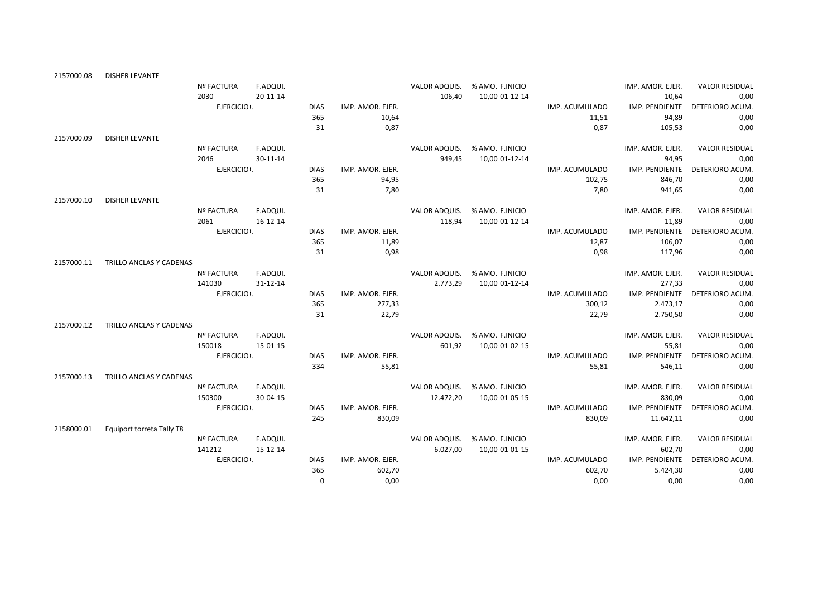| 2157000.08 | DISHER LEVANTE            |                   |                |             |                  |               |                 |                |                  |                                |
|------------|---------------------------|-------------------|----------------|-------------|------------------|---------------|-----------------|----------------|------------------|--------------------------------|
|            |                           | <b>Nº FACTURA</b> | F.ADQUI.       |             |                  | VALOR ADQUIS. | % AMO. F.INICIO |                | IMP. AMOR. EJER. | <b>VALOR RESIDUAL</b>          |
|            |                           | 2030              | 20-11-14       |             |                  | 106,40        | 10,00 01-12-14  |                | 10,64            | 0,00                           |
|            |                           | EJERCICIO .       |                | <b>DIAS</b> | IMP. AMOR. EJER. |               |                 | IMP. ACUMULADO | IMP. PENDIENTE   | <b>DETERIORO ACUM</b>          |
|            |                           |                   |                | 365         | 10,64            |               |                 | 11,51          | 94,89            | 0,00                           |
|            |                           |                   |                | 31          | 0,87             |               |                 | 0,87           | 105,53           | 0,00                           |
| 2157000.09 | <b>DISHER LEVANTE</b>     |                   |                |             |                  |               |                 |                |                  |                                |
|            |                           | <b>Nº FACTURA</b> | F.ADQUI.       |             |                  | VALOR ADQUIS. | % AMO. F.INICIO |                | IMP. AMOR. EJER. | <b>VALOR RESIDUAL</b>          |
|            |                           | 2046              | 30-11-14       |             |                  | 949,45        | 10,00 01-12-14  |                | 94,95            | 0,00                           |
|            |                           | EJERCICIO .       |                | <b>DIAS</b> | IMP. AMOR. EJER. |               |                 | IMP. ACUMULADO | IMP. PENDIENTE   | DETERIORO ACUM.                |
|            |                           |                   |                | 365         | 94,95            |               |                 | 102,75         | 846,70           | 0,00                           |
|            |                           |                   |                | 31          | 7,80             |               |                 | 7,80           | 941,65           | 0,00                           |
| 2157000.10 | <b>DISHER LEVANTE</b>     |                   |                |             |                  |               |                 |                |                  |                                |
|            |                           | <b>Nº FACTURA</b> | F.ADQUI.       |             |                  | VALOR ADQUIS. | % AMO. F.INICIO |                | IMP. AMOR. EJER. | <b>VALOR RESIDUAL</b>          |
|            |                           | 2061              | $16 - 12 - 14$ |             |                  | 118,94        | 10,00 01-12-14  |                | 11,89            | 0,00                           |
|            |                           | EJERCICIO :       |                | <b>DIAS</b> | IMP. AMOR. EJER. |               |                 | IMP. ACUMULADO | IMP. PENDIENTE   | DETERIORO ACUM.                |
|            |                           |                   |                | 365         | 11,89            |               |                 | 12,87          | 106,07           | 0,00                           |
|            |                           |                   |                | 31          | 0,98             |               |                 | 0,98           | 117,96           | 0,00                           |
| 2157000.11 | TRILLO ANCLAS Y CADENAS   |                   |                |             |                  |               |                 |                |                  |                                |
|            |                           | <b>Nº FACTURA</b> | F.ADQUI.       |             |                  | VALOR ADQUIS. | % AMO. F.INICIO |                | IMP. AMOR. EJER. | <b>VALOR RESIDUAL</b>          |
|            |                           | 141030            | 31-12-14       |             |                  | 2.773,29      | 10,00 01-12-14  |                | 277,33           | 0,00                           |
|            |                           | EJERCICIO .       |                | <b>DIAS</b> | IMP. AMOR. EJER. |               |                 | IMP. ACUMULADO |                  | IMP. PENDIENTE DETERIORO ACUM. |
|            |                           |                   |                | 365         | 277,33           |               |                 | 300,12         | 2.473,17         | 0,00                           |
|            |                           |                   |                | 31          | 22,79            |               |                 | 22,79          | 2.750,50         | 0,00                           |
| 2157000.12 | TRILLO ANCLAS Y CADENAS   |                   |                |             |                  |               |                 |                |                  |                                |
|            |                           | <b>Nº FACTURA</b> | F.ADQUI.       |             |                  | VALOR ADQUIS. | % AMO. F.INICIO |                | IMP. AMOR. EJER. | <b>VALOR RESIDUAL</b>          |
|            |                           | 150018            | 15-01-15       |             |                  | 601,92        | 10,00 01-02-15  |                | 55,81            | 0,00                           |
|            |                           | EJERCICIO .       |                | <b>DIAS</b> | IMP. AMOR. EJER. |               |                 | IMP. ACUMULADO | IMP. PENDIENTE   | DETERIORO ACUM.                |
|            |                           |                   |                | 334         | 55,81            |               |                 | 55,81          | 546,11           | 0,00                           |
| 2157000.13 | TRILLO ANCLAS Y CADENAS   |                   |                |             |                  |               |                 |                |                  |                                |
|            |                           | <b>Nº FACTURA</b> | F.ADQUI.       |             |                  | VALOR ADQUIS. | % AMO. F.INICIO |                | IMP. AMOR. EJER. | <b>VALOR RESIDUAL</b>          |
|            |                           | 150300            | 30-04-15       |             |                  | 12.472,20     | 10,00 01-05-15  |                | 830,09           | 0,00                           |
|            |                           | EJERCICIO .       |                | <b>DIAS</b> | IMP. AMOR. EJER. |               |                 | IMP. ACUMULADO | IMP. PENDIENTE   | DETERIORO ACUM.                |
|            |                           |                   |                | 245         | 830,09           |               |                 | 830,09         | 11.642,11        | 0,00                           |
| 2158000.01 | Equiport torreta Tally T8 |                   |                |             |                  |               |                 |                |                  |                                |
|            |                           | <b>Nº FACTURA</b> | F.ADQUI.       |             |                  | VALOR ADQUIS. | % AMO. F.INICIO |                | IMP. AMOR. EJER. | <b>VALOR RESIDUAL</b>          |
|            |                           | 141212            | 15-12-14       |             |                  | 6.027,00      | 10,00 01-01-15  |                | 602,70           | 0,00                           |
|            |                           | EJERCICIO .       |                | <b>DIAS</b> | IMP. AMOR. EJER. |               |                 | IMP. ACUMULADO | IMP. PENDIENTE   | <b>DETERIORO ACUM</b>          |
|            |                           |                   |                | 365         | 602,70           |               |                 | 602,70         | 5.424,30         | 0,00                           |
|            |                           |                   |                | $\Omega$    | 0,00             |               |                 | 0,00           | 0,00             | 0,00                           |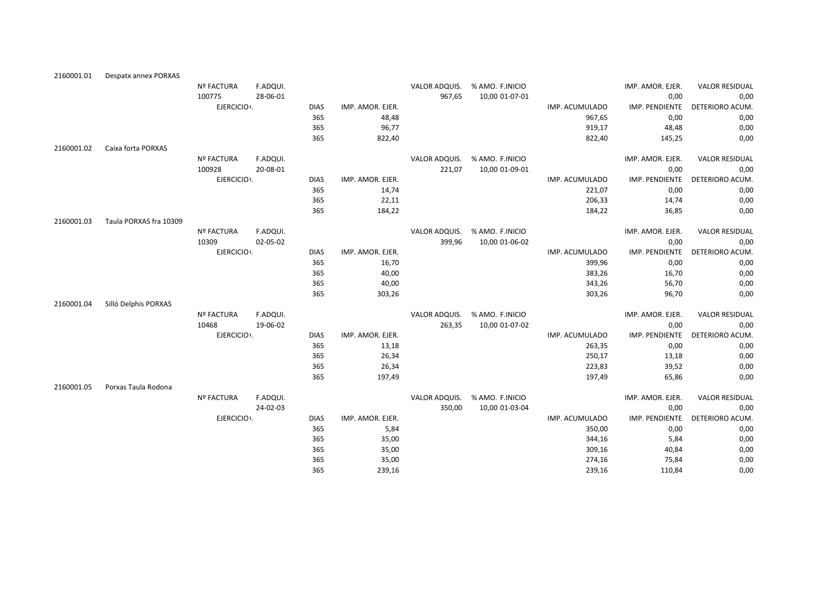| 2160001.01 | Despatx annex PORXAS   |                   |          |             |                  |               |                 |                |                  |                       |
|------------|------------------------|-------------------|----------|-------------|------------------|---------------|-----------------|----------------|------------------|-----------------------|
|            |                        | <b>Nº FACTURA</b> | F.ADQUI. |             |                  | VALOR ADQUIS. | % AMO. F.INICIO |                | IMP. AMOR. EJER. | <b>VALOR RESIDUAL</b> |
|            |                        | 100775            | 28-06-01 |             |                  | 967,65        | 10,00 01-07-01  |                | 0,00             | 0,00                  |
|            |                        | EJERCICIO .       |          | <b>DIAS</b> | IMP. AMOR. EJER. |               |                 | IMP. ACUMULADO | IMP. PENDIENTE   | DETERIORO ACUM.       |
|            |                        |                   |          | 365         | 48,48            |               |                 | 967,65         | 0,00             | 0,00                  |
|            |                        |                   |          | 365         | 96,77            |               |                 | 919,17         | 48,48            | 0,00                  |
|            |                        |                   |          | 365         | 822,40           |               |                 | 822,40         | 145,25           | 0,00                  |
| 2160001.02 | Caixa forta PORXAS     |                   |          |             |                  |               |                 |                |                  |                       |
|            |                        | Nº FACTURA        | F.ADQUI. |             |                  | VALOR ADQUIS. | % AMO. F.INICIO |                | IMP. AMOR. EJER. | <b>VALOR RESIDUAL</b> |
|            |                        | 100928            | 20-08-01 |             |                  | 221,07        | 10,00 01-09-01  |                | 0,00             | 0,00                  |
|            |                        | EJERCICIO .       |          | <b>DIAS</b> | IMP. AMOR. EJER. |               |                 | IMP. ACUMULADO | IMP. PENDIENTE   | DETERIORO ACUM.       |
|            |                        |                   |          | 365         | 14,74            |               |                 | 221,07         | 0,00             | 0,00                  |
|            |                        |                   |          | 365         | 22,11            |               |                 | 206,33         | 14,74            | 0,00                  |
|            |                        |                   |          | 365         | 184,22           |               |                 | 184,22         | 36,85            | 0,00                  |
| 2160001.03 | Taula PORXAS fra 10309 |                   |          |             |                  |               |                 |                |                  |                       |
|            |                        | <b>Nº FACTURA</b> | F.ADQUI. |             |                  | VALOR ADQUIS. | % AMO. F.INICIO |                | IMP. AMOR. EJER. | <b>VALOR RESIDUAL</b> |
|            |                        | 10309             | 02-05-02 |             |                  | 399,96        | 10,00 01-06-02  |                | 0,00             | 0,00                  |
|            |                        | EJERCICIO :       |          | <b>DIAS</b> | IMP. AMOR. EJER. |               |                 | IMP. ACUMULADO | IMP. PENDIENTE   | DETERIORO ACUM.       |
|            |                        |                   |          | 365         | 16,70            |               |                 | 399,96         | 0,00             | 0,00                  |
|            |                        |                   |          | 365         | 40,00            |               |                 | 383,26         | 16,70            | 0,00                  |
|            |                        |                   |          | 365         | 40,00            |               |                 | 343,26         | 56,70            | 0,00                  |
|            |                        |                   |          | 365         | 303,26           |               |                 | 303,26         | 96,70            | 0,00                  |
| 2160001.04 | Silló Delphis PORXAS   |                   |          |             |                  |               |                 |                |                  |                       |
|            |                        | Nº FACTURA        | F.ADQUI. |             |                  | VALOR ADQUIS. | % AMO. F.INICIO |                | IMP. AMOR. EJER. | <b>VALOR RESIDUAL</b> |
|            |                        | 10468             | 19-06-02 |             |                  | 263,35        | 10,00 01-07-02  |                | 0,00             | 0,00                  |
|            |                        | EJERCICIO .       |          | <b>DIAS</b> | IMP. AMOR. EJER. |               |                 | IMP. ACUMULADO | IMP. PENDIENTE   | DETERIORO ACUM.       |
|            |                        |                   |          | 365         | 13,18            |               |                 | 263,35         | 0,00             | 0,00                  |
|            |                        |                   |          | 365         | 26,34            |               |                 | 250,17         | 13,18            | 0,00                  |
|            |                        |                   |          | 365         | 26,34            |               |                 | 223,83         | 39,52            | 0,00                  |
|            |                        |                   |          | 365         | 197,49           |               |                 | 197,49         | 65,86            | 0,00                  |
| 2160001.05 | Porxas Taula Rodona    |                   |          |             |                  |               |                 |                |                  |                       |
|            |                        | <b>Nº FACTURA</b> | F.ADQUI. |             |                  | VALOR ADQUIS. | % AMO. F.INICIO |                | IMP. AMOR. EJER. | <b>VALOR RESIDUAL</b> |
|            |                        |                   | 24-02-03 |             |                  | 350,00        | 10,00 01-03-04  |                | 0,00             | 0,00                  |
|            |                        | EJERCICIO .       |          | <b>DIAS</b> | IMP. AMOR. EJER. |               |                 | IMP. ACUMULADO | IMP. PENDIENTE   | DETERIORO ACUM.       |
|            |                        |                   |          | 365         | 5,84             |               |                 | 350,00         | 0,00             | 0,00                  |
|            |                        |                   |          | 365         | 35,00            |               |                 | 344,16         | 5,84             | 0,00                  |
|            |                        |                   |          | 365         | 35,00            |               |                 | 309,16         | 40,84            | 0,00                  |
|            |                        |                   |          | 365         | 35,00            |               |                 | 274,16         | 75,84            | 0,00                  |
|            |                        |                   |          | 365         | 239,16           |               |                 | 239,16         | 110,84           | 0,00                  |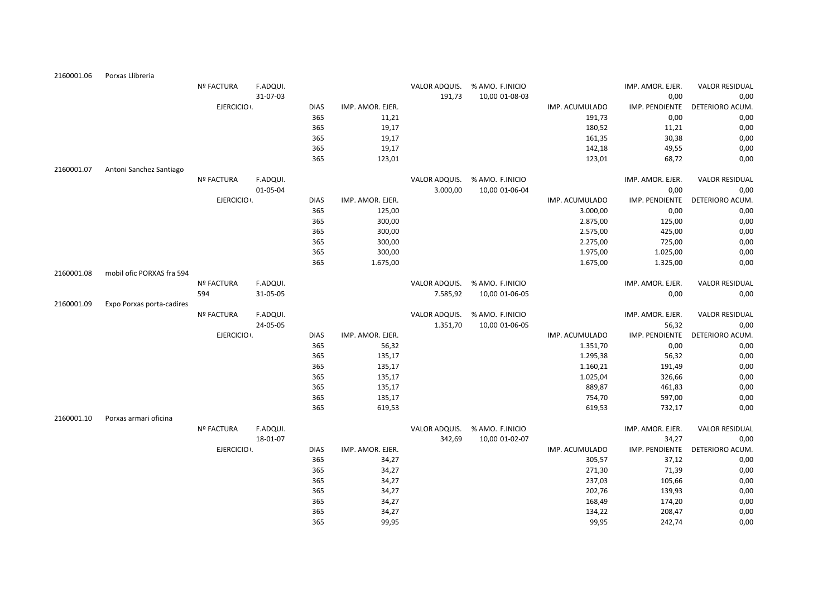| 2160001.06 | Porxas Llibreria          |                   |          |             |                  |               |                 |                |                  |                       |
|------------|---------------------------|-------------------|----------|-------------|------------------|---------------|-----------------|----------------|------------------|-----------------------|
|            |                           | <b>Nº FACTURA</b> | F.ADQUI. |             |                  | VALOR ADQUIS. | % AMO. F.INICIO |                | IMP. AMOR. EJER. | <b>VALOR RESIDUAL</b> |
|            |                           |                   | 31-07-03 |             |                  | 191,73        | 10,00 01-08-03  |                | 0,00             | 0,00                  |
|            |                           | EJERCICIO .       |          | <b>DIAS</b> | IMP. AMOR. EJER. |               |                 | IMP. ACUMULADO | IMP. PENDIENTE   | DETERIORO ACUM.       |
|            |                           |                   |          | 365         | 11,21            |               |                 | 191,73         | 0,00             | 0,00                  |
|            |                           |                   |          | 365         | 19,17            |               |                 | 180,52         | 11,21            | 0,00                  |
|            |                           |                   |          | 365         | 19,17            |               |                 | 161,35         | 30,38            | 0,00                  |
|            |                           |                   |          | 365         | 19,17            |               |                 | 142,18         | 49,55            | 0,00                  |
|            |                           |                   |          | 365         | 123,01           |               |                 | 123,01         | 68,72            | 0,00                  |
| 2160001.07 | Antoni Sanchez Santiago   |                   |          |             |                  |               |                 |                |                  |                       |
|            |                           | Nº FACTURA        | F.ADQUI. |             |                  | VALOR ADQUIS. | % AMO. F.INICIO |                | IMP. AMOR. EJER. | <b>VALOR RESIDUAL</b> |
|            |                           |                   | 01-05-04 |             |                  | 3.000,00      | 10,00 01-06-04  |                | 0,00             | 0,00                  |
|            |                           | EJERCICIO .       |          | <b>DIAS</b> | IMP. AMOR. EJER. |               |                 | IMP. ACUMULADO | IMP. PENDIENTE   | DETERIORO ACUM.       |
|            |                           |                   |          | 365         | 125,00           |               |                 | 3.000,00       | 0,00             | 0,00                  |
|            |                           |                   |          | 365         | 300,00           |               |                 | 2.875,00       | 125,00           | 0,00                  |
|            |                           |                   |          | 365         | 300,00           |               |                 | 2.575,00       | 425,00           | 0,00                  |
|            |                           |                   |          | 365         | 300,00           |               |                 | 2.275,00       | 725,00           | 0,00                  |
|            |                           |                   |          | 365         | 300,00           |               |                 | 1.975,00       | 1.025,00         | 0,00                  |
|            |                           |                   |          | 365         | 1.675,00         |               |                 | 1.675,00       | 1.325,00         | 0,00                  |
| 2160001.08 | mobil ofic PORXAS fra 594 |                   |          |             |                  |               |                 |                |                  |                       |
|            |                           | <b>Nº FACTURA</b> | F.ADQUI. |             |                  | VALOR ADQUIS. | % AMO. F.INICIO |                | IMP. AMOR. EJER. | <b>VALOR RESIDUAL</b> |
|            |                           | 594               | 31-05-05 |             |                  | 7.585,92      | 10,00 01-06-05  |                | 0,00             | 0,00                  |
| 2160001.09 | Expo Porxas porta-cadires |                   |          |             |                  |               |                 |                |                  |                       |
|            |                           | <b>Nº FACTURA</b> | F.ADQUI. |             |                  | VALOR ADQUIS. | % AMO. F.INICIO |                | IMP. AMOR. EJER. | <b>VALOR RESIDUAL</b> |
|            |                           |                   | 24-05-05 |             |                  | 1.351,70      | 10,00 01-06-05  |                | 56,32            | 0,00                  |
|            |                           | EJERCICIO :       |          | <b>DIAS</b> | IMP. AMOR. EJER. |               |                 | IMP. ACUMULADO | IMP. PENDIENTE   | DETERIORO ACUM.       |
|            |                           |                   |          | 365         | 56,32            |               |                 | 1.351,70       | 0,00             | 0,00                  |
|            |                           |                   |          | 365         | 135,17           |               |                 | 1.295,38       | 56,32            | 0,00                  |
|            |                           |                   |          | 365         | 135,17           |               |                 | 1.160,21       | 191,49           | 0,00                  |
|            |                           |                   |          | 365         | 135,17           |               |                 | 1.025,04       | 326,66           | 0,00                  |
|            |                           |                   |          | 365         | 135,17           |               |                 | 889,87         | 461,83           | 0,00                  |
|            |                           |                   |          | 365         | 135,17           |               |                 | 754,70         | 597,00           | 0,00                  |
|            |                           |                   |          | 365         | 619,53           |               |                 | 619,53         | 732,17           | 0,00                  |
| 2160001.10 | Porxas armari oficina     |                   |          |             |                  |               |                 |                |                  |                       |
|            |                           | Nº FACTURA        | F.ADQUI. |             |                  | VALOR ADQUIS. | % AMO. F.INICIO |                | IMP. AMOR. EJER. | <b>VALOR RESIDUAL</b> |
|            |                           |                   | 18-01-07 |             |                  | 342,69        | 10,00 01-02-07  |                | 34,27            | 0,00                  |
|            |                           | EJERCICIO :       |          | <b>DIAS</b> | IMP. AMOR. EJER. |               |                 | IMP. ACUMULADO | IMP. PENDIENTE   | DETERIORO ACUM.       |
|            |                           |                   |          | 365         | 34,27            |               |                 | 305,57         | 37,12            | 0,00                  |
|            |                           |                   |          | 365         | 34,27            |               |                 | 271,30         | 71,39            | 0,00                  |
|            |                           |                   |          | 365         | 34,27            |               |                 | 237,03         | 105,66           | 0,00                  |
|            |                           |                   |          | 365         | 34,27            |               |                 | 202,76         | 139,93           | 0,00                  |
|            |                           |                   |          | 365         | 34,27            |               |                 | 168,49         | 174,20           | 0,00                  |
|            |                           |                   |          | 365         | 34,27            |               |                 | 134,22         | 208,47           | 0,00                  |
|            |                           |                   |          | 365         | 99.95            |               |                 | 99.95          | 242.74           | 0.00                  |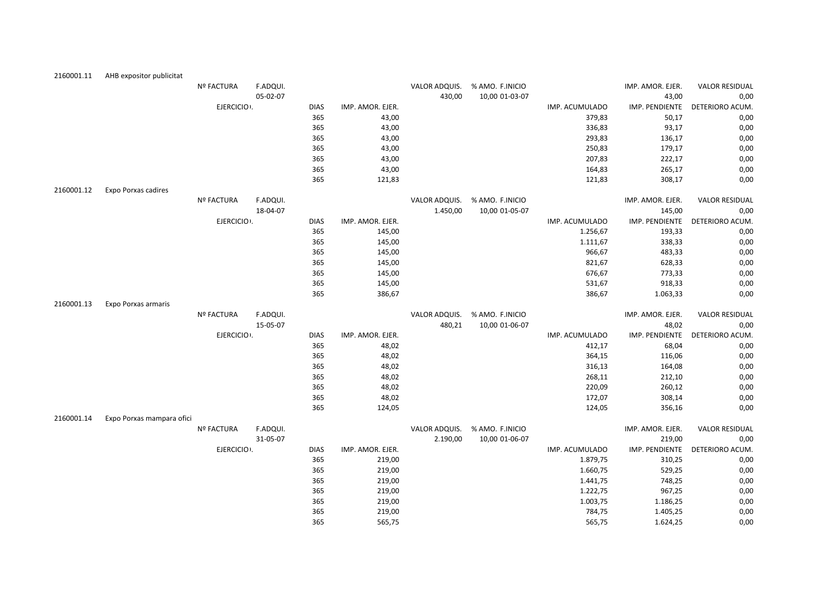| 2160001.11 | AHB expositor publicitat   |                   |          |             |                  |               |                 |                |                  |                       |
|------------|----------------------------|-------------------|----------|-------------|------------------|---------------|-----------------|----------------|------------------|-----------------------|
|            |                            | <b>Nº FACTURA</b> | F.ADQUI. |             |                  | VALOR ADQUIS. | % AMO. F.INICIO |                | IMP. AMOR. EJER. | <b>VALOR RESIDUAL</b> |
|            |                            |                   | 05-02-07 |             |                  | 430,00        | 10,00 01-03-07  |                | 43,00            | 0,00                  |
|            |                            | EJERCICIO .       |          | <b>DIAS</b> | IMP. AMOR. EJER. |               |                 | IMP. ACUMULADO | IMP. PENDIENTE   | DETERIORO ACUM.       |
|            |                            |                   |          | 365         | 43,00            |               |                 | 379,83         | 50,17            | 0,00                  |
|            |                            |                   |          | 365         | 43,00            |               |                 | 336,83         | 93,17            | 0,00                  |
|            |                            |                   |          | 365         | 43,00            |               |                 | 293,83         | 136,17           | 0,00                  |
|            |                            |                   |          | 365         | 43,00            |               |                 | 250,83         | 179,17           | 0,00                  |
|            |                            |                   |          | 365         | 43,00            |               |                 | 207,83         | 222,17           | 0,00                  |
|            |                            |                   |          | 365         | 43,00            |               |                 | 164,83         | 265,17           | 0,00                  |
|            |                            |                   |          | 365         | 121,83           |               |                 | 121,83         | 308,17           | 0,00                  |
| 2160001.12 | <b>Expo Porxas cadires</b> |                   |          |             |                  |               |                 |                |                  |                       |
|            |                            | Nº FACTURA        | F.ADQUI. |             |                  | VALOR ADQUIS. | % AMO. F.INICIO |                | IMP. AMOR. EJER. | <b>VALOR RESIDUAL</b> |
|            |                            |                   | 18-04-07 |             |                  | 1.450,00      | 10,00 01-05-07  |                | 145,00           | 0,00                  |
|            |                            | EJERCICIO I.      |          | <b>DIAS</b> | IMP. AMOR. EJER. |               |                 | IMP. ACUMULADO | IMP. PENDIENTE   | DETERIORO ACUM.       |
|            |                            |                   |          | 365         | 145,00           |               |                 | 1.256,67       | 193,33           | 0,00                  |
|            |                            |                   |          | 365         | 145,00           |               |                 | 1.111,67       | 338,33           | 0,00                  |
|            |                            |                   |          | 365         | 145,00           |               |                 | 966,67         | 483,33           | 0,00                  |
|            |                            |                   |          | 365         | 145,00           |               |                 | 821,67         | 628,33           | 0,00                  |
|            |                            |                   |          | 365         | 145,00           |               |                 | 676,67         | 773,33           | 0,00                  |
|            |                            |                   |          | 365         | 145,00           |               |                 | 531,67         | 918,33           | 0,00                  |
|            |                            |                   |          | 365         | 386,67           |               |                 | 386,67         | 1.063,33         | 0,00                  |
| 2160001.13 | Expo Porxas armaris        |                   |          |             |                  |               |                 |                |                  |                       |
|            |                            | <b>Nº FACTURA</b> | F.ADQUI. |             |                  | VALOR ADQUIS. | % AMO. F.INICIO |                | IMP. AMOR. EJER. | <b>VALOR RESIDUAL</b> |
|            |                            |                   | 15-05-07 |             |                  | 480,21        | 10,00 01-06-07  |                | 48,02            | 0,00                  |
|            |                            | EJERCICIO .       |          | <b>DIAS</b> | IMP. AMOR. EJER. |               |                 | IMP. ACUMULADO | IMP. PENDIENTE   | DETERIORO ACUM.       |
|            |                            |                   |          | 365         | 48,02            |               |                 | 412,17         | 68,04            | 0,00                  |
|            |                            |                   |          | 365         | 48,02            |               |                 | 364,15         | 116,06           | 0,00                  |
|            |                            |                   |          | 365         | 48,02            |               |                 | 316,13         | 164,08           | 0,00                  |
|            |                            |                   |          | 365         | 48,02            |               |                 | 268,11         | 212,10           | 0,00                  |
|            |                            |                   |          | 365         | 48,02            |               |                 | 220,09         | 260,12           | 0,00                  |
|            |                            |                   |          | 365         | 48,02            |               |                 | 172,07         | 308,14           | 0,00                  |
|            |                            |                   |          | 365         | 124,05           |               |                 | 124,05         | 356,16           | 0,00                  |
| 2160001.14 | Expo Porxas mampara ofici  |                   |          |             |                  |               |                 |                |                  |                       |
|            |                            | Nº FACTURA        | F.ADQUI. |             |                  | VALOR ADQUIS. | % AMO. F.INICIO |                | IMP. AMOR. EJER. | <b>VALOR RESIDUAL</b> |
|            |                            |                   | 31-05-07 |             |                  | 2.190,00      | 10,00 01-06-07  |                | 219,00           | 0,00                  |
|            |                            | EJERCICIO I.      |          | <b>DIAS</b> | IMP. AMOR. EJER. |               |                 | IMP. ACUMULADO | IMP. PENDIENTE   | DETERIORO ACUM.       |
|            |                            |                   |          | 365         | 219,00           |               |                 | 1.879,75       | 310,25           | 0,00                  |
|            |                            |                   |          | 365         | 219,00           |               |                 | 1.660,75       | 529,25           | 0,00                  |
|            |                            |                   |          | 365         | 219,00           |               |                 | 1.441,75       | 748,25           | 0,00                  |
|            |                            |                   |          | 365         | 219,00           |               |                 | 1.222,75       | 967,25           | 0,00                  |
|            |                            |                   |          | 365         | 219,00           |               |                 | 1.003,75       | 1.186,25         | 0,00                  |
|            |                            |                   |          | 365         | 219,00           |               |                 | 784,75         | 1.405,25         | 0,00                  |
|            |                            |                   |          | 365         | 565,75           |               |                 | 565,75         | 1.624,25         | 0,00                  |
|            |                            |                   |          |             |                  |               |                 |                |                  |                       |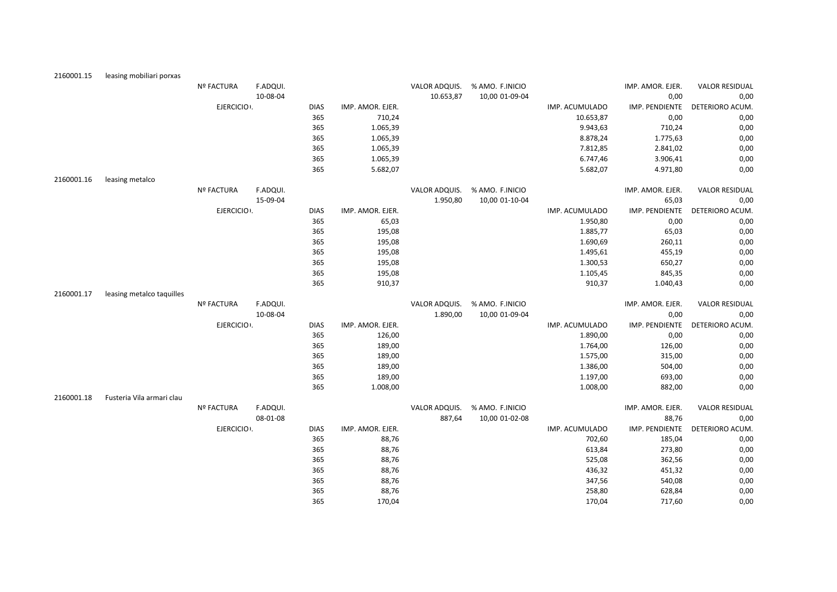| 2160001.15 | leasing mobiliari porxas  |                   |          |             |                  |               |                 |                |                  |                       |
|------------|---------------------------|-------------------|----------|-------------|------------------|---------------|-----------------|----------------|------------------|-----------------------|
|            |                           | <b>Nº FACTURA</b> | F.ADQUI. |             |                  | VALOR ADQUIS. | % AMO. F.INICIO |                | IMP. AMOR. EJER. | <b>VALOR RESIDUAL</b> |
|            |                           |                   | 10-08-04 |             |                  | 10.653,87     | 10,00 01-09-04  |                | 0,00             | 0,00                  |
|            |                           | EJERCICIO .       |          | <b>DIAS</b> | IMP. AMOR. EJER. |               |                 | IMP. ACUMULADO | IMP. PENDIENTE   | DETERIORO ACUM.       |
|            |                           |                   |          | 365         | 710,24           |               |                 | 10.653,87      | 0,00             | 0,00                  |
|            |                           |                   |          | 365         | 1.065,39         |               |                 | 9.943,63       | 710,24           | 0,00                  |
|            |                           |                   |          | 365         | 1.065,39         |               |                 | 8.878,24       | 1.775,63         | 0,00                  |
|            |                           |                   |          | 365         | 1.065,39         |               |                 | 7.812,85       | 2.841,02         | 0,00                  |
|            |                           |                   |          | 365         | 1.065,39         |               |                 | 6.747,46       | 3.906,41         | 0,00                  |
|            |                           |                   |          | 365         | 5.682,07         |               |                 | 5.682,07       | 4.971,80         | 0,00                  |
| 2160001.16 | leasing metalco           |                   |          |             |                  |               |                 |                |                  |                       |
|            |                           | <b>Nº FACTURA</b> | F.ADQUI. |             |                  | VALOR ADQUIS. | % AMO. F.INICIO |                | IMP. AMOR. EJER. | <b>VALOR RESIDUAL</b> |
|            |                           |                   | 15-09-04 |             |                  | 1.950,80      | 10,00 01-10-04  |                | 65,03            | 0,00                  |
|            |                           | EJERCICIO .       |          | <b>DIAS</b> | IMP. AMOR. EJER. |               |                 | IMP. ACUMULADO | IMP. PENDIENTE   | DETERIORO ACUM.       |
|            |                           |                   |          | 365         | 65,03            |               |                 | 1.950,80       | 0,00             | 0,00                  |
|            |                           |                   |          | 365         | 195,08           |               |                 | 1.885,77       | 65,03            | 0,00                  |
|            |                           |                   |          | 365         | 195,08           |               |                 | 1.690,69       | 260,11           | 0,00                  |
|            |                           |                   |          | 365         | 195,08           |               |                 | 1.495,61       | 455,19           | 0,00                  |
|            |                           |                   |          | 365         | 195,08           |               |                 | 1.300,53       | 650,27           | 0,00                  |
|            |                           |                   |          | 365         | 195,08           |               |                 | 1.105,45       | 845,35           | 0,00                  |
|            |                           |                   |          | 365         | 910,37           |               |                 | 910,37         | 1.040,43         | 0,00                  |
| 2160001.17 | leasing metalco taquilles |                   |          |             |                  |               |                 |                |                  |                       |
|            |                           | <b>Nº FACTURA</b> | F.ADQUI. |             |                  | VALOR ADQUIS. | % AMO. F.INICIO |                | IMP. AMOR. EJER. | <b>VALOR RESIDUAL</b> |
|            |                           |                   | 10-08-04 |             |                  | 1.890,00      | 10,00 01-09-04  |                | 0,00             | 0,00                  |
|            |                           | EJERCICIO .       |          | <b>DIAS</b> | IMP. AMOR. EJER. |               |                 | IMP. ACUMULADO | IMP. PENDIENTE   | DETERIORO ACUM.       |
|            |                           |                   |          | 365         | 126,00           |               |                 | 1.890,00       | 0,00             | 0,00                  |
|            |                           |                   |          | 365         | 189,00           |               |                 | 1.764,00       | 126,00           | 0,00                  |
|            |                           |                   |          | 365         | 189,00           |               |                 | 1.575,00       | 315,00           | 0,00                  |
|            |                           |                   |          | 365         | 189,00           |               |                 | 1.386,00       | 504,00           | 0,00                  |
|            |                           |                   |          | 365         | 189,00           |               |                 | 1.197,00       | 693,00           | 0,00                  |
|            |                           |                   |          | 365         | 1.008,00         |               |                 | 1.008,00       | 882,00           | 0,00                  |
| 2160001.18 | Fusteria Vila armari clau |                   |          |             |                  |               |                 |                |                  |                       |
|            |                           | <b>Nº FACTURA</b> | F.ADQUI. |             |                  | VALOR ADQUIS. | % AMO. F.INICIO |                | IMP. AMOR. EJER. | <b>VALOR RESIDUAL</b> |
|            |                           |                   | 08-01-08 |             |                  | 887,64        | 10,00 01-02-08  |                | 88,76            | 0,00                  |
|            |                           | EJERCICIO .       |          | <b>DIAS</b> | IMP. AMOR. EJER. |               |                 | IMP. ACUMULADO | IMP. PENDIENTE   | DETERIORO ACUM.       |
|            |                           |                   |          | 365         | 88,76            |               |                 | 702,60         | 185,04           | 0,00                  |
|            |                           |                   |          | 365         | 88,76            |               |                 | 613,84         | 273,80           | 0,00                  |
|            |                           |                   |          | 365         | 88,76            |               |                 | 525,08         | 362,56           | 0,00                  |
|            |                           |                   |          | 365         | 88,76            |               |                 | 436,32         | 451,32           | 0,00                  |
|            |                           |                   |          | 365         | 88,76            |               |                 | 347,56         | 540,08           | 0,00                  |
|            |                           |                   |          | 365         | 88,76            |               |                 | 258,80         | 628,84           | 0,00                  |
|            |                           |                   |          | 365         | 170,04           |               |                 | 170,04         | 717,60           | 0,00                  |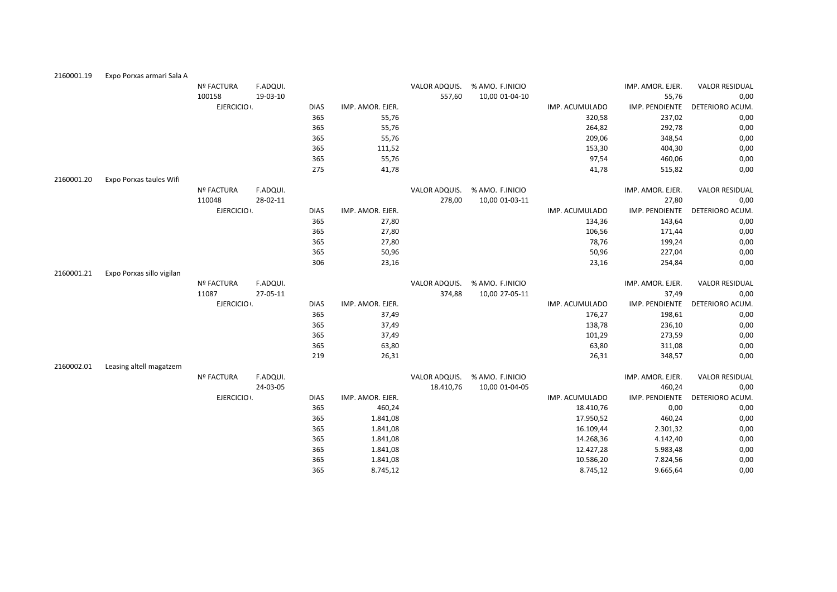| 2160001.19 | Expo Porxas armari Sala A |                   |          |             |                  |               |                 |                |                  |                       |
|------------|---------------------------|-------------------|----------|-------------|------------------|---------------|-----------------|----------------|------------------|-----------------------|
|            |                           | <b>Nº FACTURA</b> | F.ADQUI. |             |                  | VALOR ADQUIS. | % AMO. F.INICIO |                | IMP. AMOR. EJER. | <b>VALOR RESIDUAL</b> |
|            |                           | 100158            | 19-03-10 |             |                  | 557,60        | 10,00 01-04-10  |                | 55,76            | 0,00                  |
|            |                           | EJERCICIO .       |          | <b>DIAS</b> | IMP. AMOR. EJER. |               |                 | IMP. ACUMULADO | IMP. PENDIENTE   | DETERIORO ACUM.       |
|            |                           |                   |          | 365         | 55,76            |               |                 | 320,58         | 237,02           | 0,00                  |
|            |                           |                   |          | 365         | 55,76            |               |                 | 264,82         | 292,78           | 0,00                  |
|            |                           |                   |          | 365         | 55,76            |               |                 | 209,06         | 348,54           | 0,00                  |
|            |                           |                   |          | 365         | 111,52           |               |                 | 153,30         | 404,30           | 0,00                  |
|            |                           |                   |          | 365         | 55,76            |               |                 | 97,54          | 460,06           | 0,00                  |
|            |                           |                   |          | 275         | 41,78            |               |                 | 41,78          | 515,82           | 0,00                  |
| 2160001.20 | Expo Porxas taules Wifi   |                   |          |             |                  |               |                 |                |                  |                       |
|            |                           | Nº FACTURA        | F.ADQUI. |             |                  | VALOR ADQUIS. | % AMO. F.INICIO |                | IMP. AMOR. EJER. | <b>VALOR RESIDUAL</b> |
|            |                           | 110048            | 28-02-11 |             |                  | 278,00        | 10,00 01-03-11  |                | 27,80            | 0,00                  |
|            |                           | EJERCICIO .       |          | <b>DIAS</b> | IMP. AMOR. EJER. |               |                 | IMP. ACUMULADO | IMP. PENDIENTE   | DETERIORO ACUM.       |
|            |                           |                   |          | 365         | 27,80            |               |                 | 134,36         | 143,64           | 0,00                  |
|            |                           |                   |          | 365         | 27,80            |               |                 | 106,56         | 171,44           | 0,00                  |
|            |                           |                   |          | 365         | 27,80            |               |                 | 78,76          | 199,24           | 0,00                  |
|            |                           |                   |          | 365         | 50,96            |               |                 | 50,96          | 227,04           | 0,00                  |
|            |                           |                   |          | 306         | 23,16            |               |                 | 23,16          | 254,84           | 0,00                  |
| 2160001.21 | Expo Porxas sillo vigilan |                   |          |             |                  |               |                 |                |                  |                       |
|            |                           | <b>Nº FACTURA</b> | F.ADQUI. |             |                  | VALOR ADQUIS. | % AMO. F.INICIO |                | IMP. AMOR. EJER. | <b>VALOR RESIDUAL</b> |
|            |                           | 11087             | 27-05-11 |             |                  | 374,88        | 10,00 27-05-11  |                | 37,49            | 0,00                  |
|            |                           | EJERCICIO .       |          | <b>DIAS</b> | IMP. AMOR. EJER. |               |                 | IMP. ACUMULADO | IMP. PENDIENTE   | DETERIORO ACUM.       |
|            |                           |                   |          | 365         | 37,49            |               |                 | 176,27         | 198,61           | 0,00                  |
|            |                           |                   |          | 365         | 37,49            |               |                 | 138,78         | 236,10           | 0,00                  |
|            |                           |                   |          | 365         | 37,49            |               |                 | 101,29         | 273,59           | 0,00                  |
|            |                           |                   |          | 365         | 63,80            |               |                 | 63,80          | 311,08           | 0,00                  |
|            |                           |                   |          | 219         | 26,31            |               |                 | 26,31          | 348,57           | 0,00                  |
| 2160002.01 | Leasing altell magatzem   |                   |          |             |                  |               |                 |                |                  |                       |
|            |                           | <b>Nº FACTURA</b> | F.ADQUI. |             |                  | VALOR ADQUIS. | % AMO. F.INICIO |                | IMP. AMOR. EJER. | <b>VALOR RESIDUAL</b> |
|            |                           |                   | 24-03-05 |             |                  | 18.410,76     | 10,00 01-04-05  |                | 460,24           | 0,00                  |
|            |                           | EJERCICIO .       |          | <b>DIAS</b> | IMP. AMOR. EJER. |               |                 | IMP. ACUMULADO | IMP. PENDIENTE   | DETERIORO ACUM.       |
|            |                           |                   |          | 365         | 460,24           |               |                 | 18.410,76      | 0,00             | 0,00                  |
|            |                           |                   |          | 365         | 1.841,08         |               |                 | 17.950,52      | 460,24           | 0,00                  |
|            |                           |                   |          | 365         | 1.841,08         |               |                 | 16.109,44      | 2.301,32         | 0,00                  |
|            |                           |                   |          | 365         | 1.841,08         |               |                 | 14.268,36      | 4.142,40         | 0,00                  |
|            |                           |                   |          | 365         | 1.841,08         |               |                 | 12.427,28      | 5.983,48         | 0,00                  |
|            |                           |                   |          |             |                  |               |                 |                |                  |                       |
|            |                           |                   |          | 365         | 1.841,08         |               |                 | 10.586,20      | 7.824,56         | 0,00                  |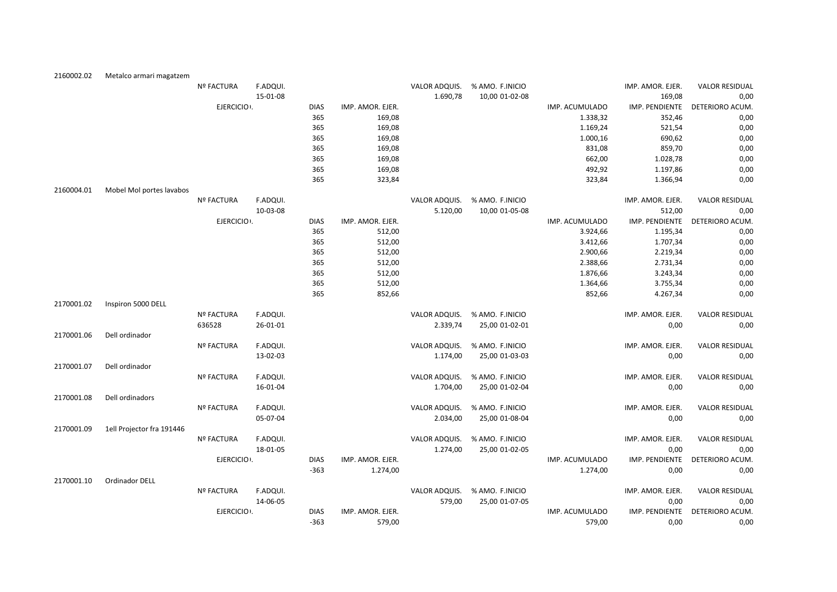| 2160002.02 | Metalco armari magatzem   |                   |          |             |                  |               |                 |                |                  |                       |
|------------|---------------------------|-------------------|----------|-------------|------------------|---------------|-----------------|----------------|------------------|-----------------------|
|            |                           | <b>Nº FACTURA</b> | F.ADQUI. |             |                  | VALOR ADQUIS. | % AMO. F.INICIO |                | IMP. AMOR. EJER. | <b>VALOR RESIDUAL</b> |
|            |                           |                   | 15-01-08 |             |                  | 1.690,78      | 10,00 01-02-08  |                | 169,08           | 0,00                  |
|            |                           | EJERCICIO .       |          | <b>DIAS</b> | IMP. AMOR. EJER. |               |                 | IMP. ACUMULADO | IMP. PENDIENTE   | DETERIORO ACUM.       |
|            |                           |                   |          | 365         | 169,08           |               |                 | 1.338,32       | 352,46           | 0,00                  |
|            |                           |                   |          | 365         | 169,08           |               |                 | 1.169,24       | 521,54           | 0,00                  |
|            |                           |                   |          | 365         | 169,08           |               |                 | 1.000,16       | 690,62           | 0,00                  |
|            |                           |                   |          | 365         | 169,08           |               |                 | 831,08         | 859,70           | 0,00                  |
|            |                           |                   |          | 365         | 169,08           |               |                 | 662,00         | 1.028,78         | 0,00                  |
|            |                           |                   |          | 365         | 169,08           |               |                 | 492,92         | 1.197,86         | 0,00                  |
|            |                           |                   |          | 365         | 323,84           |               |                 | 323,84         | 1.366,94         | 0,00                  |
| 2160004.01 | Mobel Mol portes lavabos  |                   |          |             |                  |               |                 |                |                  |                       |
|            |                           | <b>Nº FACTURA</b> | F.ADQUI. |             |                  | VALOR ADQUIS. | % AMO. F.INICIO |                | IMP. AMOR. EJER. | <b>VALOR RESIDUAL</b> |
|            |                           |                   | 10-03-08 |             |                  | 5.120,00      | 10,00 01-05-08  |                | 512,00           | 0,00                  |
|            |                           | EJERCICIO .       |          | <b>DIAS</b> | IMP. AMOR. EJER. |               |                 | IMP. ACUMULADO | IMP. PENDIENTE   | DETERIORO ACUM.       |
|            |                           |                   |          | 365         | 512,00           |               |                 | 3.924,66       | 1.195,34         | 0,00                  |
|            |                           |                   |          | 365         | 512,00           |               |                 | 3.412,66       | 1.707,34         | 0,00                  |
|            |                           |                   |          | 365         | 512,00           |               |                 | 2.900,66       | 2.219,34         | 0,00                  |
|            |                           |                   |          | 365         | 512,00           |               |                 | 2.388,66       | 2.731,34         | 0,00                  |
|            |                           |                   |          | 365         | 512,00           |               |                 | 1.876,66       | 3.243,34         | 0,00                  |
|            |                           |                   |          | 365         | 512,00           |               |                 | 1.364,66       | 3.755,34         | 0,00                  |
|            |                           |                   |          | 365         | 852,66           |               |                 | 852,66         | 4.267,34         | 0,00                  |
| 2170001.02 | Inspiron 5000 DELL        |                   |          |             |                  |               |                 |                |                  |                       |
|            |                           | <b>Nº FACTURA</b> | F.ADQUI. |             |                  | VALOR ADQUIS. | % AMO. F.INICIO |                | IMP. AMOR. EJER. | <b>VALOR RESIDUAL</b> |
|            |                           | 636528            | 26-01-01 |             |                  | 2.339,74      | 25,00 01-02-01  |                | 0,00             | 0,00                  |
| 2170001.06 | Dell ordinador            |                   |          |             |                  |               |                 |                |                  |                       |
|            |                           | <b>Nº FACTURA</b> | F.ADQUI. |             |                  | VALOR ADQUIS. | % AMO. F.INICIO |                | IMP. AMOR. EJER. | <b>VALOR RESIDUAL</b> |
|            |                           |                   | 13-02-03 |             |                  | 1.174,00      | 25,00 01-03-03  |                | 0,00             | 0,00                  |
| 2170001.07 | Dell ordinador            |                   |          |             |                  |               |                 |                |                  |                       |
|            |                           | <b>Nº FACTURA</b> | F.ADQUI. |             |                  | VALOR ADQUIS. | % AMO. F.INICIO |                | IMP. AMOR. EJER. | <b>VALOR RESIDUAL</b> |
|            |                           |                   | 16-01-04 |             |                  | 1.704,00      | 25,00 01-02-04  |                | 0,00             | 0,00                  |
| 2170001.08 | Dell ordinadors           |                   |          |             |                  |               |                 |                |                  |                       |
|            |                           | Nº FACTURA        | F.ADQUI. |             |                  | VALOR ADQUIS. | % AMO. F.INICIO |                | IMP. AMOR. EJER. | <b>VALOR RESIDUAL</b> |
|            |                           |                   | 05-07-04 |             |                  | 2.034,00      | 25,00 01-08-04  |                | 0,00             | 0,00                  |
| 2170001.09 | 1ell Projector fra 191446 |                   |          |             |                  |               |                 |                |                  |                       |
|            |                           | Nº FACTURA        | F.ADQUI. |             |                  | VALOR ADQUIS. | % AMO. F.INICIO |                | IMP. AMOR. EJER. | <b>VALOR RESIDUAL</b> |
|            |                           |                   | 18-01-05 |             |                  | 1.274,00      | 25,00 01-02-05  |                | 0,00             | 0,00                  |
|            |                           | EJERCICIO .       |          | <b>DIAS</b> | IMP. AMOR. EJER. |               |                 | IMP. ACUMULADO | IMP. PENDIENTE   | DETERIORO ACUM.       |
|            |                           |                   |          | $-363$      | 1.274,00         |               |                 | 1.274,00       | 0,00             | 0,00                  |
| 2170001.10 | Ordinador DELL            |                   |          |             |                  |               |                 |                |                  |                       |
|            |                           | <b>Nº FACTURA</b> | F.ADQUI. |             |                  | VALOR ADQUIS. | % AMO. F.INICIO |                | IMP. AMOR. EJER. | <b>VALOR RESIDUAL</b> |
|            |                           |                   | 14-06-05 |             |                  | 579,00        | 25,00 01-07-05  |                | 0,00             | 0,00                  |
|            |                           | EJERCICIO .       |          | <b>DIAS</b> | IMP. AMOR. EJER. |               |                 | IMP. ACUMULADO | IMP. PENDIENTE   | DETERIORO ACUM.       |
|            |                           |                   |          | $-363$      | 579,00           |               |                 | 579,00         | 0,00             | 0.00                  |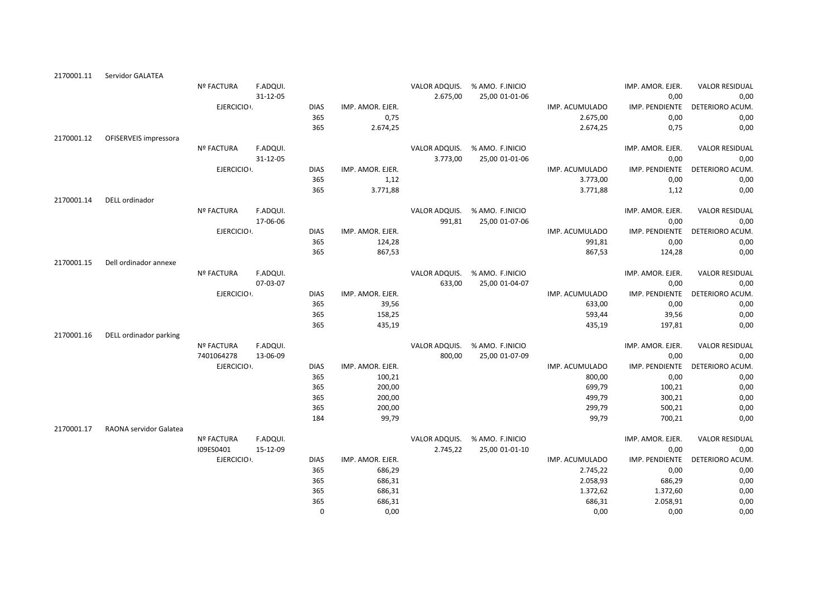| 2170001.11 | Servidor GALATEA       |                   |          |             |                  |               |                 |                |                  |                       |
|------------|------------------------|-------------------|----------|-------------|------------------|---------------|-----------------|----------------|------------------|-----------------------|
|            |                        | <b>Nº FACTURA</b> | F.ADQUI. |             |                  | VALOR ADQUIS. | % AMO. F.INICIO |                | IMP. AMOR. EJER. | <b>VALOR RESIDUAL</b> |
|            |                        |                   | 31-12-05 |             |                  | 2.675,00      | 25,00 01-01-06  |                | 0,00             | 0,00                  |
|            |                        | EJERCICIO .       |          | <b>DIAS</b> | IMP. AMOR. EJER. |               |                 | IMP. ACUMULADO | IMP. PENDIENTE   | DETERIORO ACUM.       |
|            |                        |                   |          | 365         | 0,75             |               |                 | 2.675,00       | 0,00             | 0,00                  |
|            |                        |                   |          | 365         | 2.674,25         |               |                 | 2.674,25       | 0,75             | 0,00                  |
| 2170001.12 | OFISERVEIS impressora  |                   |          |             |                  |               |                 |                |                  |                       |
|            |                        | Nº FACTURA        | F.ADQUI. |             |                  | VALOR ADQUIS. | % AMO. F.INICIO |                | IMP. AMOR. EJER. | <b>VALOR RESIDUAL</b> |
|            |                        |                   | 31-12-05 |             |                  | 3.773,00      | 25,00 01-01-06  |                | 0,00             | 0,00                  |
|            |                        | EJERCICIO :       |          | <b>DIAS</b> | IMP. AMOR. EJER. |               |                 | IMP. ACUMULADO | IMP. PENDIENTE   | DETERIORO ACUM        |
|            |                        |                   |          | 365         | 1,12             |               |                 | 3.773,00       | 0,00             | 0,00                  |
|            |                        |                   |          | 365         | 3.771,88         |               |                 | 3.771,88       | 1,12             | 0,00                  |
| 2170001.14 | DELL ordinador         |                   |          |             |                  |               |                 |                |                  |                       |
|            |                        | <b>Nº FACTURA</b> | F.ADQUI. |             |                  | VALOR ADQUIS. | % AMO. F.INICIO |                | IMP. AMOR. EJER. | <b>VALOR RESIDUAL</b> |
|            |                        |                   | 17-06-06 |             |                  | 991,81        | 25,00 01-07-06  |                | 0,00             | 0,00                  |
|            |                        | EJERCICIO .       |          | <b>DIAS</b> | IMP. AMOR. EJER. |               |                 | IMP. ACUMULADO | IMP. PENDIENTE   | DETERIORO ACUM.       |
|            |                        |                   |          | 365         | 124,28           |               |                 | 991,81         | 0,00             | 0,00                  |
|            |                        |                   |          | 365         | 867,53           |               |                 | 867,53         | 124,28           | 0,00                  |
| 2170001.15 | Dell ordinador annexe  |                   |          |             |                  |               |                 |                |                  |                       |
|            |                        | <b>Nº FACTURA</b> | F.ADQUI. |             |                  | VALOR ADQUIS. | % AMO. F.INICIO |                | IMP. AMOR. EJER. | <b>VALOR RESIDUAL</b> |
|            |                        |                   | 07-03-07 |             |                  | 633,00        | 25,00 01-04-07  |                | 0,00             | 0,00                  |
|            |                        | EJERCICIO :       |          | <b>DIAS</b> | IMP. AMOR. EJER. |               |                 | IMP. ACUMULADO | IMP. PENDIENTE   | DETERIORO ACUM        |
|            |                        |                   |          | 365         | 39,56            |               |                 | 633,00         | 0,00             | 0,00                  |
|            |                        |                   |          | 365         | 158,25           |               |                 | 593,44         | 39,56            | 0,00                  |
|            |                        |                   |          | 365         | 435,19           |               |                 | 435,19         | 197,81           | 0,00                  |
| 2170001.16 | DELL ordinador parking |                   |          |             |                  |               |                 |                |                  |                       |
|            |                        | <b>Nº FACTURA</b> | F.ADQUI. |             |                  | VALOR ADQUIS. | % AMO. F.INICIO |                | IMP. AMOR. EJER. | <b>VALOR RESIDUAL</b> |
|            |                        | 7401064278        | 13-06-09 |             |                  | 800,00        | 25,00 01-07-09  |                | 0,00             | 0,00                  |
|            |                        | EJERCICIO :       |          | <b>DIAS</b> | IMP. AMOR. EJER. |               |                 | IMP. ACUMULADO | IMP. PENDIENTE   | DETERIORO ACUM.       |
|            |                        |                   |          | 365         | 100,21           |               |                 | 800,00         | 0,00             | 0,00                  |
|            |                        |                   |          | 365         | 200,00           |               |                 | 699,79         | 100,21           | 0,00                  |
|            |                        |                   |          | 365         | 200,00           |               |                 | 499,79         | 300,21           | 0,00                  |
|            |                        |                   |          | 365         | 200,00           |               |                 | 299,79         | 500,21           | 0,00                  |
|            |                        |                   |          | 184         | 99,79            |               |                 | 99,79          | 700,21           | 0,00                  |
| 2170001.17 | RAONA servidor Galatea |                   |          |             |                  |               |                 |                |                  |                       |
|            |                        | <b>Nº FACTURA</b> | F.ADQUI. |             |                  | VALOR ADQUIS. | % AMO. F.INICIO |                | IMP. AMOR. EJER. | <b>VALOR RESIDUAL</b> |
|            |                        | I09ES0401         | 15-12-09 |             |                  | 2.745,22      | 25,00 01-01-10  |                | 0,00             | 0,00                  |
|            |                        | EJERCICIO .       |          | <b>DIAS</b> | IMP. AMOR. EJER. |               |                 | IMP. ACUMULADO | IMP. PENDIENTE   | <b>DETERIORO ACUM</b> |
|            |                        |                   |          | 365         | 686,29           |               |                 | 2.745,22       | 0,00             | 0,00                  |
|            |                        |                   |          | 365         | 686,31           |               |                 | 2.058,93       | 686,29           | 0,00                  |
|            |                        |                   |          | 365         | 686,31           |               |                 | 1.372,62       | 1.372,60         | 0,00                  |
|            |                        |                   |          | 365         | 686,31           |               |                 | 686,31         | 2.058,91         | 0,00                  |
|            |                        |                   |          | $\mathbf 0$ | 0,00             |               |                 | 0,00           | 0,00             | 0,00                  |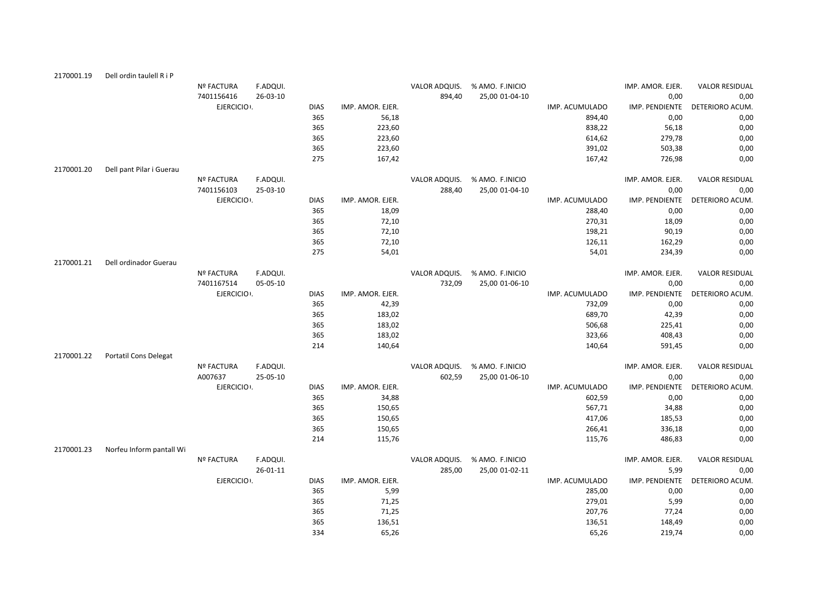| 2170001.19 | Dell ordin taulell R i P     |                   |          |             |                  |               |                 |                |                  |                       |
|------------|------------------------------|-------------------|----------|-------------|------------------|---------------|-----------------|----------------|------------------|-----------------------|
|            |                              | <b>Nº FACTURA</b> | F.ADQUI. |             |                  | VALOR ADQUIS. | % AMO. F.INICIO |                | IMP. AMOR. EJER. | <b>VALOR RESIDUAL</b> |
|            |                              | 7401156416        | 26-03-10 |             |                  | 894,40        | 25,00 01-04-10  |                | 0,00             | 0,00                  |
|            |                              | EJERCICIO .       |          | <b>DIAS</b> | IMP. AMOR. EJER. |               |                 | IMP. ACUMULADO | IMP. PENDIENTE   | DETERIORO ACUM.       |
|            |                              |                   |          | 365         | 56,18            |               |                 | 894,40         | 0,00             | 0,00                  |
|            |                              |                   |          | 365         | 223,60           |               |                 | 838,22         | 56,18            | 0,00                  |
|            |                              |                   |          | 365         | 223,60           |               |                 | 614,62         | 279,78           | 0,00                  |
|            |                              |                   |          | 365         | 223,60           |               |                 | 391,02         | 503,38           | 0,00                  |
|            |                              |                   |          | 275         | 167,42           |               |                 | 167,42         | 726,98           | 0,00                  |
| 2170001.20 | Dell pant Pilar i Guerau     |                   |          |             |                  |               |                 |                |                  |                       |
|            |                              | Nº FACTURA        | F.ADQUI. |             |                  | VALOR ADQUIS. | % AMO. F.INICIO |                | IMP. AMOR. EJER. | <b>VALOR RESIDUAL</b> |
|            |                              | 7401156103        | 25-03-10 |             |                  | 288,40        | 25,00 01-04-10  |                | 0,00             | 0,00                  |
|            |                              | EJERCICIO .       |          | <b>DIAS</b> | IMP. AMOR. EJER. |               |                 | IMP. ACUMULADO | IMP. PENDIENTE   | DETERIORO ACUM.       |
|            |                              |                   |          | 365         | 18,09            |               |                 | 288,40         | 0,00             | 0,00                  |
|            |                              |                   |          | 365         | 72,10            |               |                 | 270,31         | 18,09            | 0,00                  |
|            |                              |                   |          | 365         | 72,10            |               |                 | 198,21         | 90,19            | 0,00                  |
|            |                              |                   |          | 365         | 72,10            |               |                 | 126,11         | 162,29           | 0,00                  |
|            |                              |                   |          | 275         | 54,01            |               |                 | 54,01          | 234,39           | 0,00                  |
| 2170001.21 | Dell ordinador Guerau        |                   |          |             |                  |               |                 |                |                  |                       |
|            |                              | Nº FACTURA        | F.ADQUI. |             |                  | VALOR ADQUIS. | % AMO. F.INICIO |                | IMP. AMOR. EJER. | <b>VALOR RESIDUAL</b> |
|            |                              | 7401167514        | 05-05-10 |             |                  | 732,09        | 25,00 01-06-10  |                | 0,00             | 0,00                  |
|            |                              | EJERCICIO .       |          | <b>DIAS</b> | IMP. AMOR. EJER. |               |                 | IMP. ACUMULADO | IMP. PENDIENTE   | DETERIORO ACUM.       |
|            |                              |                   |          | 365         | 42,39            |               |                 | 732,09         | 0,00             | 0,00                  |
|            |                              |                   |          | 365         | 183,02           |               |                 | 689,70         | 42,39            | 0,00                  |
|            |                              |                   |          | 365         | 183,02           |               |                 | 506,68         | 225,41           | 0,00                  |
|            |                              |                   |          | 365         | 183,02           |               |                 | 323,66         | 408,43           | 0,00                  |
|            |                              |                   |          | 214         | 140,64           |               |                 | 140,64         | 591,45           | 0,00                  |
| 2170001.22 | <b>Portatil Cons Delegat</b> |                   |          |             |                  |               |                 |                |                  |                       |
|            |                              | <b>Nº FACTURA</b> | F.ADQUI. |             |                  | VALOR ADQUIS. | % AMO. F.INICIO |                | IMP. AMOR. EJER. | <b>VALOR RESIDUAL</b> |
|            |                              | A007637           | 25-05-10 |             |                  | 602,59        | 25,00 01-06-10  |                | 0,00             | 0,00                  |
|            |                              | EJERCICIO .       |          | <b>DIAS</b> | IMP. AMOR. EJER. |               |                 | IMP. ACUMULADO | IMP. PENDIENTE   | DETERIORO ACUM.       |
|            |                              |                   |          | 365         | 34,88            |               |                 | 602,59         | 0,00             | 0,00                  |
|            |                              |                   |          | 365         | 150,65           |               |                 | 567,71         | 34,88            | 0,00                  |
|            |                              |                   |          | 365         | 150,65           |               |                 | 417,06         | 185,53           | 0,00                  |
|            |                              |                   |          | 365         | 150,65           |               |                 | 266,41         | 336,18           | 0,00                  |
|            |                              |                   |          | 214         | 115,76           |               |                 | 115,76         | 486,83           | 0,00                  |
| 2170001.23 | Norfeu Inform pantall Wi     |                   |          |             |                  |               |                 |                |                  |                       |
|            |                              | <b>Nº FACTURA</b> | F.ADQUI. |             |                  | VALOR ADQUIS. | % AMO. F.INICIO |                | IMP. AMOR. EJER. | <b>VALOR RESIDUAL</b> |
|            |                              |                   | 26-01-11 |             |                  | 285,00        | 25,00 01-02-11  |                | 5,99             | 0,00                  |
|            |                              | EJERCICIO .       |          | <b>DIAS</b> | IMP. AMOR. EJER. |               |                 | IMP. ACUMULADO | IMP. PENDIENTE   | DETERIORO ACUM.       |
|            |                              |                   |          | 365         | 5,99             |               |                 | 285,00         | 0,00             | 0,00                  |
|            |                              |                   |          | 365         | 71,25            |               |                 | 279,01         | 5,99             | 0,00                  |
|            |                              |                   |          | 365         | 71,25            |               |                 | 207,76         | 77,24            | 0,00                  |
|            |                              |                   |          | 365         | 136,51           |               |                 | 136,51         | 148,49           | 0,00                  |
|            |                              |                   |          | 334         | 65,26            |               |                 | 65,26          | 219,74           | 0,00                  |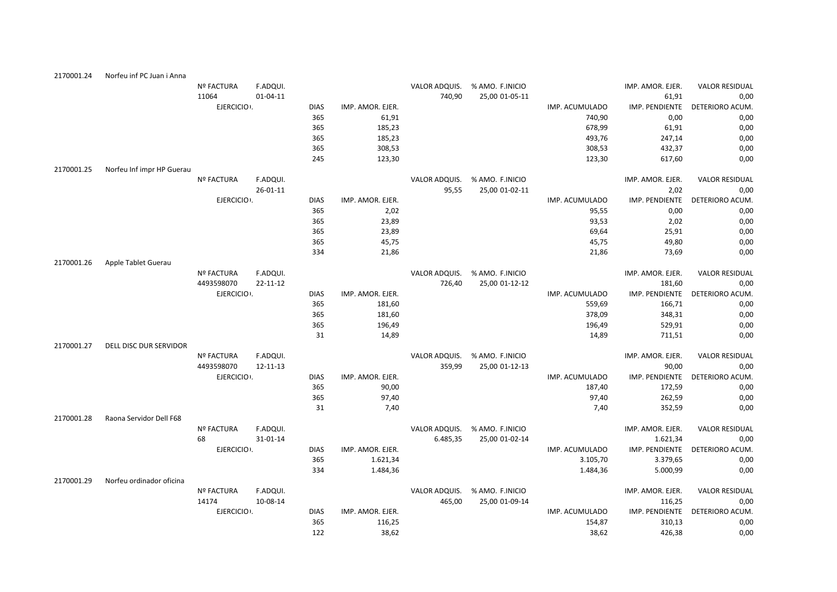| 2170001.24 | Norfeu inf PC Juan i Anna |                   |                |             |                  |               |                 |                |                  |                                |
|------------|---------------------------|-------------------|----------------|-------------|------------------|---------------|-----------------|----------------|------------------|--------------------------------|
|            |                           | <b>Nº FACTURA</b> | F.ADQUI.       |             |                  | VALOR ADQUIS. | % AMO. F.INICIO |                | IMP. AMOR. EJER. | <b>VALOR RESIDUAL</b>          |
|            |                           | 11064             | $01 - 04 - 11$ |             |                  | 740,90        | 25,00 01-05-11  |                | 61,91            | 0,00                           |
|            |                           | EJERCICIO :       |                | <b>DIAS</b> | IMP. AMOR. EJER. |               |                 | IMP. ACUMULADO | IMP. PENDIENTE   | DETERIORO ACUM                 |
|            |                           |                   |                | 365         | 61,91            |               |                 | 740,90         | 0,00             | 0,00                           |
|            |                           |                   |                | 365         | 185,23           |               |                 | 678,99         | 61,91            | 0,00                           |
|            |                           |                   |                | 365         | 185,23           |               |                 | 493,76         | 247,14           | 0,00                           |
|            |                           |                   |                | 365         | 308,53           |               |                 | 308,53         | 432,37           | 0,00                           |
|            |                           |                   |                | 245         | 123,30           |               |                 | 123,30         | 617,60           | 0,00                           |
| 2170001.25 | Norfeu Inf impr HP Guerau |                   |                |             |                  |               |                 |                |                  |                                |
|            |                           | <b>Nº FACTURA</b> | F.ADQUI.       |             |                  | VALOR ADQUIS. | % AMO. F.INICIO |                | IMP. AMOR. EJER. | <b>VALOR RESIDUAL</b>          |
|            |                           |                   | $26 - 01 - 11$ |             |                  | 95,55         | 25,00 01-02-11  |                | 2,02             | 0,00                           |
|            |                           | EJERCICIO :       |                | <b>DIAS</b> | IMP. AMOR. EJER. |               |                 | IMP. ACUMULADO | IMP. PENDIENTE   | DETERIORO ACUM.                |
|            |                           |                   |                | 365         | 2,02             |               |                 | 95,55          | 0,00             | 0,00                           |
|            |                           |                   |                | 365         | 23,89            |               |                 | 93,53          | 2,02             | 0,00                           |
|            |                           |                   |                | 365         | 23,89            |               |                 | 69,64          | 25,91            | 0,00                           |
|            |                           |                   |                | 365         | 45,75            |               |                 | 45,75          | 49,80            | 0,00                           |
|            |                           |                   |                | 334         | 21,86            |               |                 | 21,86          | 73,69            | 0,00                           |
| 2170001.26 | Apple Tablet Guerau       |                   |                |             |                  |               |                 |                |                  |                                |
|            |                           | <b>Nº FACTURA</b> | F.ADQUI.       |             |                  | VALOR ADQUIS. | % AMO. F.INICIO |                | IMP. AMOR. EJER. | <b>VALOR RESIDUAL</b>          |
|            |                           | 4493598070        | 22-11-12       |             |                  | 726,40        | 25,00 01-12-12  |                | 181,60           | 0,00                           |
|            |                           | EJERCICIO .       |                | <b>DIAS</b> | IMP. AMOR. EJER. |               |                 | IMP. ACUMULADO | IMP. PENDIENTE   | DETERIORO ACUM.                |
|            |                           |                   |                | 365         | 181,60           |               |                 | 559,69         | 166,71           | 0,00                           |
|            |                           |                   |                | 365         | 181,60           |               |                 | 378,09         | 348,31           | 0,00                           |
|            |                           |                   |                | 365         | 196,49           |               |                 | 196,49         | 529,91           | 0,00                           |
|            |                           |                   |                | 31          | 14,89            |               |                 | 14,89          | 711,51           | 0,00                           |
| 2170001.27 | DELL DISC DUR SERVIDOR    |                   |                |             |                  |               |                 |                |                  |                                |
|            |                           | <b>Nº FACTURA</b> | F.ADQUI.       |             |                  | VALOR ADQUIS. | % AMO. F.INICIO |                | IMP. AMOR. EJER. | <b>VALOR RESIDUAL</b>          |
|            |                           | 4493598070        | 12-11-13       |             |                  | 359,99        | 25,00 01-12-13  |                | 90,00            | 0,00                           |
|            |                           | EJERCICIO .       |                | <b>DIAS</b> | IMP. AMOR. EJER. |               |                 | IMP. ACUMULADO |                  | IMP. PENDIENTE DETERIORO ACUM. |
|            |                           |                   |                | 365         | 90,00            |               |                 | 187,40         | 172,59           | 0,00                           |
|            |                           |                   |                | 365         | 97,40            |               |                 | 97,40          | 262,59           | 0,00                           |
|            |                           |                   |                | 31          | 7,40             |               |                 | 7,40           | 352,59           | 0,00                           |
| 2170001.28 | Raona Servidor Dell F68   |                   |                |             |                  |               |                 |                |                  |                                |
|            |                           | <b>Nº FACTURA</b> | F.ADQUI.       |             |                  | VALOR ADQUIS. | % AMO. F.INICIO |                | IMP. AMOR. EJER. | <b>VALOR RESIDUAL</b>          |
|            |                           | 68                | 31-01-14       |             |                  | 6.485,35      | 25,00 01-02-14  |                | 1.621,34         | 0,00                           |
|            |                           | EJERCICIO .       |                | <b>DIAS</b> | IMP. AMOR. EJER. |               |                 | IMP. ACUMULADO | IMP. PENDIENTE   | DETERIORO ACUM.                |
|            |                           |                   |                | 365         | 1.621,34         |               |                 | 3.105,70       | 3.379,65         | 0,00                           |
|            |                           |                   |                | 334         | 1.484,36         |               |                 | 1.484,36       | 5.000,99         | 0,00                           |
| 2170001.29 | Norfeu ordinador oficina  |                   |                |             |                  |               |                 |                |                  |                                |
|            |                           | Nº FACTURA        | F.ADQUI.       |             |                  | VALOR ADQUIS. | % AMO. F.INICIO |                | IMP. AMOR. EJER. | <b>VALOR RESIDUAL</b>          |
|            |                           | 14174             | 10-08-14       |             |                  | 465,00        | 25,00 01-09-14  |                | 116,25           | 0,00                           |
|            |                           | EJERCICIO .       |                | <b>DIAS</b> | IMP. AMOR. EJER. |               |                 | IMP. ACUMULADO | IMP. PENDIENTE   | DETERIORO ACUM.                |
|            |                           |                   |                | 365         | 116,25           |               |                 | 154,87         | 310,13           | 0,00                           |
|            |                           |                   |                | 122         | 38,62            |               |                 | 38,62          | 426,38           | 0,00                           |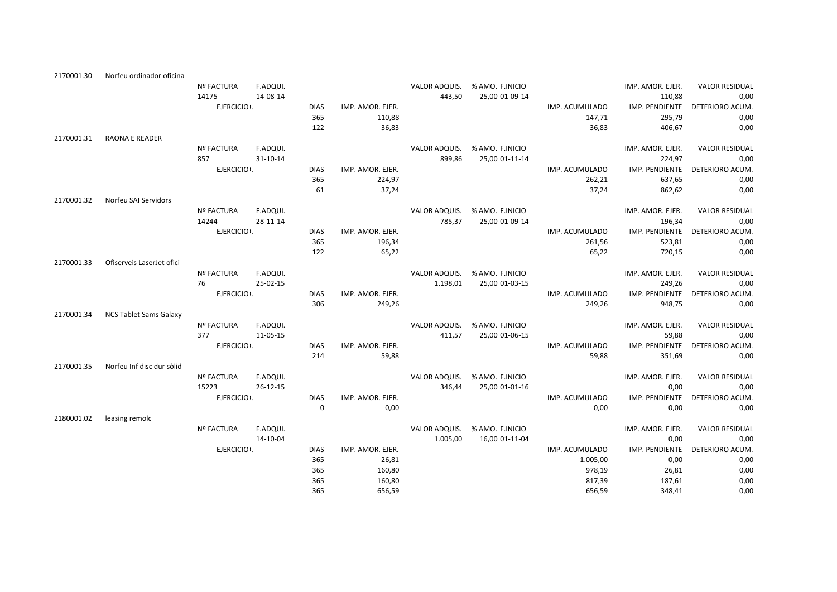| 2170001.30 | Norfeu ordinador oficina      |                          |                      |                    |                  |                         |                               |                         |                           |                         |
|------------|-------------------------------|--------------------------|----------------------|--------------------|------------------|-------------------------|-------------------------------|-------------------------|---------------------------|-------------------------|
|            |                               | <b>Nº FACTURA</b>        | F.ADQUI.             |                    |                  |                         | VALOR ADQUIS. % AMO. F.INICIO |                         | IMP. AMOR. EJER.          | <b>VALOR RESIDUAL</b>   |
|            |                               | 14175                    | 14-08-14             |                    |                  | 443,50                  | 25,00 01-09-14                |                         | 110,88                    | 0,00                    |
|            |                               | EJERCICIO .              |                      | <b>DIAS</b>        | IMP. AMOR. EJER. |                         |                               | IMP. ACUMULADO          | IMP. PENDIENTE            | DETERIORO ACUM.         |
|            |                               |                          |                      | 365                | 110,88           |                         |                               | 147,71                  | 295,79                    | 0,00                    |
|            |                               |                          |                      | 122                | 36,83            |                         |                               | 36,83                   | 406,67                    | 0,00                    |
| 2170001.31 | <b>RAONA E READER</b>         |                          |                      |                    |                  |                         |                               |                         |                           |                         |
|            |                               | <b>Nº FACTURA</b>        | F.ADQUI.             |                    |                  |                         | VALOR ADQUIS. % AMO. F.INICIO |                         | IMP. AMOR. EJER.          | <b>VALOR RESIDUAL</b>   |
|            |                               | 857                      | 31-10-14             |                    |                  | 899,86                  | 25,00 01-11-14                |                         | 224,97                    | 0,00                    |
|            |                               | EJERCICIO :              |                      | <b>DIAS</b>        | IMP. AMOR. EJER. |                         |                               | IMP. ACUMULADO          | IMP. PENDIENTE            | DETERIORO ACUM.         |
|            |                               |                          |                      | 365                | 224,97           |                         |                               | 262,21                  | 637,65                    | 0,00                    |
|            |                               |                          |                      | 61                 | 37,24            |                         |                               | 37,24                   | 862,62                    | 0,00                    |
| 2170001.32 | Norfeu SAI Servidors          |                          |                      |                    |                  |                         |                               |                         |                           |                         |
|            |                               | <b>Nº FACTURA</b>        | F.ADQUI.             |                    |                  | VALOR ADQUIS.           | % AMO. F.INICIO               |                         | IMP. AMOR. EJER.          | <b>VALOR RESIDUAL</b>   |
|            |                               | 14244                    | 28-11-14             |                    |                  | 785,37                  | 25,00 01-09-14                |                         | 196,34                    | 0,00                    |
|            |                               | EJERCICIO .              |                      | <b>DIAS</b>        | IMP. AMOR. EJER. |                         |                               | IMP. ACUMULADO          | IMP. PENDIENTE            | DETERIORO ACUM.         |
|            |                               |                          |                      | 365                | 196,34           |                         |                               | 261,56                  | 523,81                    | 0,00                    |
|            |                               |                          |                      | 122                | 65,22            |                         |                               | 65,22                   | 720,15                    | 0,00                    |
| 2170001.33 | Ofiserveis LaserJet ofici     |                          |                      |                    |                  |                         |                               |                         |                           |                         |
|            |                               | <b>Nº FACTURA</b>        | F.ADQUI.             |                    |                  |                         | VALOR ADQUIS. % AMO. F.INICIO |                         | IMP. AMOR. EJER.          | <b>VALOR RESIDUAL</b>   |
|            |                               | 76                       | 25-02-15             |                    |                  | 1.198,01                | 25,00 01-03-15                |                         | 249,26                    | 0,00                    |
|            |                               | EJERCICIO :              |                      | <b>DIAS</b>        | IMP. AMOR. EJER. |                         |                               | IMP. ACUMULADO          | IMP. PENDIENTE            | DETERIORO ACUM.         |
|            |                               |                          |                      | 306                | 249,26           |                         |                               | 249,26                  | 948,75                    | 0,00                    |
| 2170001.34 | <b>NCS Tablet Sams Galaxy</b> |                          |                      |                    |                  |                         |                               |                         |                           |                         |
|            |                               | <b>Nº FACTURA</b><br>377 | F.ADQUI.<br>11-05-15 |                    |                  | VALOR ADQUIS.<br>411,57 | % AMO. F.INICIO               |                         | IMP. AMOR. EJER.<br>59,88 | <b>VALOR RESIDUAL</b>   |
|            |                               | EJERCICIO .              |                      |                    | IMP. AMOR. EJER. |                         | 25,00 01-06-15                |                         | IMP. PENDIENTE            | 0,00<br>DETERIORO ACUM. |
|            |                               |                          |                      | <b>DIAS</b><br>214 | 59,88            |                         |                               | IMP. ACUMULADO<br>59,88 | 351,69                    | 0,00                    |
| 2170001.35 | Norfeu Inf disc dur sòlid     |                          |                      |                    |                  |                         |                               |                         |                           |                         |
|            |                               | <b>Nº FACTURA</b>        | F.ADQUI.             |                    |                  |                         | VALOR ADQUIS. % AMO. F.INICIO |                         | IMP. AMOR. EJER.          | <b>VALOR RESIDUAL</b>   |
|            |                               | 15223                    | $26 - 12 - 15$       |                    |                  | 346,44                  | 25,00 01-01-16                |                         | 0,00                      | 0,00                    |
|            |                               | EJERCICIO .              |                      | <b>DIAS</b>        | IMP. AMOR. EJER. |                         |                               | IMP. ACUMULADO          | IMP. PENDIENTE            | DETERIORO ACUM.         |
|            |                               |                          |                      | $\Omega$           | 0,00             |                         |                               | 0,00                    | 0,00                      | 0,00                    |
| 2180001.02 | leasing remolc                |                          |                      |                    |                  |                         |                               |                         |                           |                         |
|            |                               | <b>Nº FACTURA</b>        | F.ADQUI.             |                    |                  |                         | VALOR ADQUIS. % AMO. F.INICIO |                         | IMP. AMOR. EJER.          | <b>VALOR RESIDUAL</b>   |
|            |                               |                          | 14-10-04             |                    |                  | 1.005,00                | 16,00 01-11-04                |                         | 0,00                      | 0,00                    |
|            |                               | EJERCICIO .              |                      | <b>DIAS</b>        | IMP. AMOR. EJER. |                         |                               | IMP. ACUMULADO          | IMP. PENDIENTE            | DETERIORO ACUM.         |
|            |                               |                          |                      | 365                | 26,81            |                         |                               | 1.005,00                | 0,00                      | 0,00                    |
|            |                               |                          |                      | 365                | 160,80           |                         |                               | 978,19                  | 26,81                     | 0,00                    |
|            |                               |                          |                      | 365                | 160,80           |                         |                               | 817,39                  | 187,61                    | 0,00                    |
|            |                               |                          |                      | 365                | 656.59           |                         |                               | 656.59                  | 348.41                    | 0.00                    |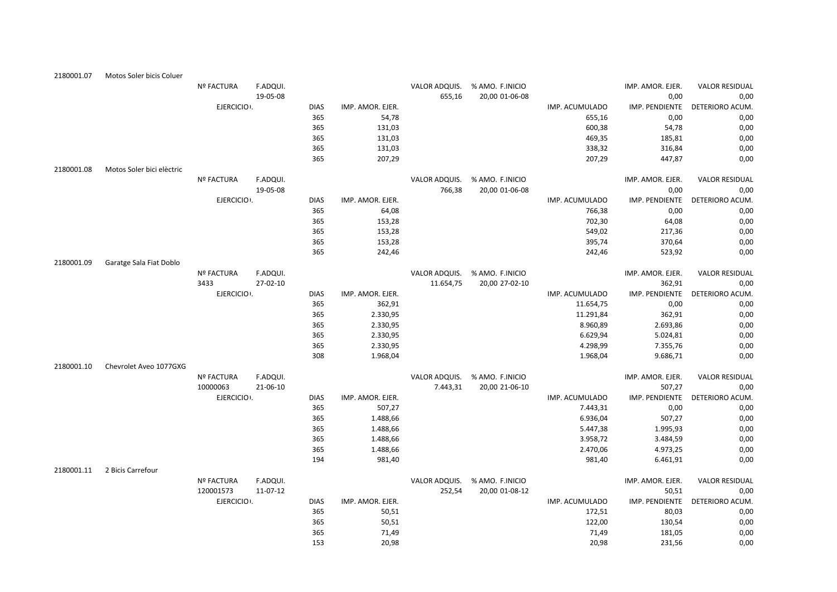| 2180001.07 | Motos Soler bicis Coluer  |                   |          |             |                  |               |                 |                |                  |                       |
|------------|---------------------------|-------------------|----------|-------------|------------------|---------------|-----------------|----------------|------------------|-----------------------|
|            |                           | <b>Nº FACTURA</b> | F.ADQUI. |             |                  | VALOR ADQUIS. | % AMO. F.INICIO |                | IMP. AMOR. EJER. | <b>VALOR RESIDUAL</b> |
|            |                           |                   | 19-05-08 |             |                  | 655,16        | 20,00 01-06-08  |                | 0,00             | 0,00                  |
|            |                           | EJERCICIO .       |          | <b>DIAS</b> | IMP. AMOR. EJER. |               |                 | IMP. ACUMULADO | IMP. PENDIENTE   | DETERIORO ACUM.       |
|            |                           |                   |          | 365         | 54,78            |               |                 | 655,16         | 0,00             | 0,00                  |
|            |                           |                   |          | 365         | 131,03           |               |                 | 600,38         | 54,78            | 0,00                  |
|            |                           |                   |          | 365         | 131,03           |               |                 | 469,35         | 185,81           | 0,00                  |
|            |                           |                   |          | 365         | 131,03           |               |                 | 338,32         | 316,84           | 0,00                  |
|            |                           |                   |          | 365         | 207,29           |               |                 | 207,29         | 447,87           | 0,00                  |
| 2180001.08 | Motos Soler bici elèctric |                   |          |             |                  |               |                 |                |                  |                       |
|            |                           | <b>Nº FACTURA</b> | F.ADQUI. |             |                  | VALOR ADQUIS. | % AMO. F.INICIO |                | IMP. AMOR. EJER. | <b>VALOR RESIDUAL</b> |
|            |                           |                   | 19-05-08 |             |                  | 766,38        | 20,00 01-06-08  |                | 0,00             | 0,00                  |
|            |                           | EJERCICIO .       |          | <b>DIAS</b> | IMP. AMOR. EJER. |               |                 | IMP. ACUMULADO | IMP. PENDIENTE   | DETERIORO ACUM.       |
|            |                           |                   |          | 365         | 64,08            |               |                 | 766,38         | 0,00             | 0,00                  |
|            |                           |                   |          | 365         | 153,28           |               |                 | 702,30         | 64,08            | 0,00                  |
|            |                           |                   |          | 365         | 153,28           |               |                 | 549,02         | 217,36           | 0,00                  |
|            |                           |                   |          | 365         | 153,28           |               |                 | 395,74         | 370,64           | 0,00                  |
|            |                           |                   |          | 365         | 242,46           |               |                 | 242,46         | 523,92           | 0,00                  |
| 2180001.09 | Garatge Sala Fiat Doblo   |                   |          |             |                  |               |                 |                |                  |                       |
|            |                           | <b>Nº FACTURA</b> | F.ADQUI. |             |                  | VALOR ADQUIS. | % AMO. F.INICIO |                | IMP. AMOR. EJER. | <b>VALOR RESIDUAL</b> |
|            |                           | 3433              | 27-02-10 |             |                  | 11.654,75     | 20,00 27-02-10  |                | 362,91           | 0,00                  |
|            |                           | EJERCICIO .       |          | <b>DIAS</b> | IMP. AMOR. EJER. |               |                 | IMP. ACUMULADO | IMP. PENDIENTE   | DETERIORO ACUM.       |
|            |                           |                   |          | 365         | 362,91           |               |                 | 11.654,75      | 0,00             | 0,00                  |
|            |                           |                   |          | 365         | 2.330,95         |               |                 | 11.291,84      | 362,91           | 0,00                  |
|            |                           |                   |          | 365         | 2.330,95         |               |                 | 8.960,89       | 2.693,86         | 0,00                  |
|            |                           |                   |          | 365         | 2.330,95         |               |                 | 6.629,94       | 5.024,81         | 0,00                  |
|            |                           |                   |          | 365         | 2.330,95         |               |                 | 4.298,99       | 7.355,76         | 0,00                  |
|            |                           |                   |          | 308         | 1.968,04         |               |                 | 1.968,04       | 9.686,71         | 0,00                  |
| 2180001.10 | Chevrolet Aveo 1077GXG    |                   |          |             |                  |               |                 |                |                  |                       |
|            |                           | <b>Nº FACTURA</b> | F.ADQUI. |             |                  | VALOR ADQUIS. | % AMO. F.INICIO |                | IMP. AMOR. EJER. | <b>VALOR RESIDUAL</b> |
|            |                           | 10000063          | 21-06-10 |             |                  | 7.443,31      | 20,00 21-06-10  |                | 507,27           | 0,00                  |
|            |                           | EJERCICIO .       |          | <b>DIAS</b> | IMP. AMOR. EJER. |               |                 | IMP. ACUMULADO | IMP. PENDIENTE   | DETERIORO ACUM.       |
|            |                           |                   |          | 365         | 507,27           |               |                 | 7.443,31       | 0,00             | 0,00                  |
|            |                           |                   |          | 365         | 1.488,66         |               |                 | 6.936,04       | 507,27           | 0,00                  |
|            |                           |                   |          | 365         | 1.488,66         |               |                 | 5.447,38       | 1.995,93         | 0,00                  |
|            |                           |                   |          | 365         | 1.488,66         |               |                 | 3.958,72       | 3.484,59         | 0,00                  |
|            |                           |                   |          | 365         | 1.488,66         |               |                 | 2.470,06       | 4.973,25         | 0,00                  |
|            |                           |                   |          | 194         | 981,40           |               |                 | 981,40         | 6.461,91         | 0,00                  |
| 2180001.11 | 2 Bicis Carrefour         |                   |          |             |                  |               |                 |                |                  |                       |
|            |                           | <b>Nº FACTURA</b> | F.ADQUI. |             |                  | VALOR ADQUIS. | % AMO. F.INICIO |                | IMP. AMOR. EJER. | <b>VALOR RESIDUAL</b> |
|            |                           | 120001573         | 11-07-12 |             |                  | 252,54        | 20,00 01-08-12  |                | 50,51            | 0,00                  |
|            |                           | EJERCICIO .       |          | <b>DIAS</b> | IMP. AMOR. EJER. |               |                 | IMP. ACUMULADO | IMP. PENDIENTE   | DETERIORO ACUM.       |
|            |                           |                   |          | 365         | 50,51            |               |                 | 172,51         | 80,03            | 0,00                  |
|            |                           |                   |          | 365         | 50,51            |               |                 | 122,00         | 130,54           | 0,00                  |
|            |                           |                   |          | 365         | 71,49            |               |                 | 71,49          | 181,05           | 0,00                  |
|            |                           |                   |          | 153         | 20,98            |               |                 | 20,98          | 231,56           | 0.00                  |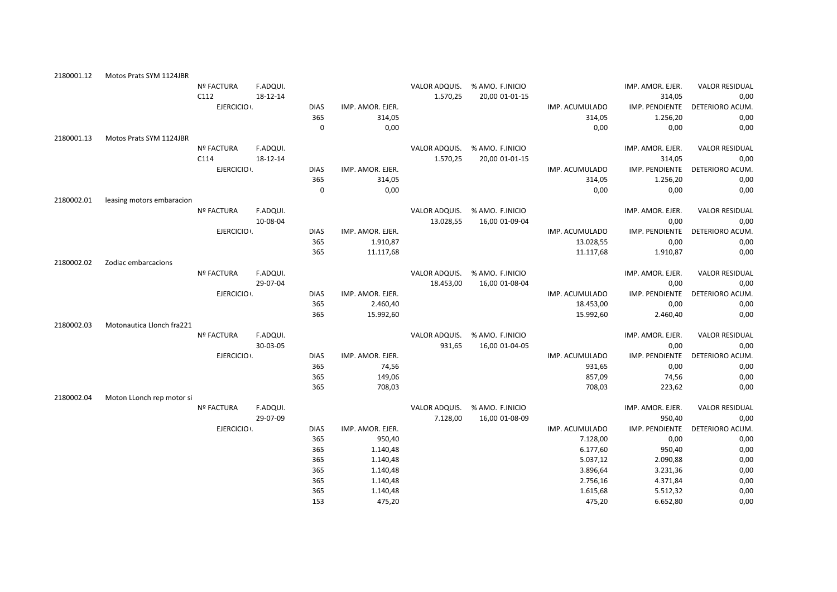| 2180001.12 | Motos Prats SYM 1124JBR   |                   |          |             |                  |               |                               |                |                  |                                |
|------------|---------------------------|-------------------|----------|-------------|------------------|---------------|-------------------------------|----------------|------------------|--------------------------------|
|            |                           | Nº FACTURA        | F.ADQUI. |             |                  |               | VALOR ADQUIS. % AMO. F.INICIO |                | IMP. AMOR. EJER. | <b>VALOR RESIDUAL</b>          |
|            |                           | C112              | 18-12-14 |             |                  | 1.570,25      | 20,00 01-01-15                |                | 314,05           | 0,00                           |
|            |                           | EJERCICIO .       |          | <b>DIAS</b> | IMP. AMOR. EJER. |               |                               | IMP. ACUMULADO |                  | IMP. PENDIENTE DETERIORO ACUM. |
|            |                           |                   |          | 365         | 314,05           |               |                               | 314,05         | 1.256,20         | 0,00                           |
|            |                           |                   |          | $\Omega$    | 0,00             |               |                               | 0,00           | 0,00             | 0,00                           |
| 2180001.13 | Motos Prats SYM 1124JBR   |                   |          |             |                  |               |                               |                |                  |                                |
|            |                           | Nº FACTURA        | F.ADQUI. |             |                  | VALOR ADQUIS. | % AMO. F.INICIO               |                | IMP. AMOR. EJER. | <b>VALOR RESIDUAL</b>          |
|            |                           | C114              | 18-12-14 |             |                  | 1.570,25      | 20,00 01-01-15                |                | 314,05           | 0,00                           |
|            |                           | EJERCICIO .       |          | <b>DIAS</b> | IMP. AMOR. EJER. |               |                               | IMP. ACUMULADO | IMP. PENDIENTE   | DETERIORO ACUM.                |
|            |                           |                   |          | 365         | 314,05           |               |                               | 314,05         | 1.256,20         | 0,00                           |
|            |                           |                   |          | $\mathbf 0$ | 0,00             |               |                               | 0,00           | 0,00             | 0,00                           |
| 2180002.01 | leasing motors embaracion |                   |          |             |                  |               |                               |                |                  |                                |
|            |                           | <b>Nº FACTURA</b> | F.ADQUI. |             |                  | VALOR ADQUIS. | % AMO. F.INICIO               |                | IMP. AMOR. EJER. | <b>VALOR RESIDUAL</b>          |
|            |                           |                   | 10-08-04 |             |                  | 13.028,55     | 16,00 01-09-04                |                | 0,00             | 0,00                           |
|            |                           | EJERCICIO .       |          | <b>DIAS</b> | IMP. AMOR. EJER. |               |                               | IMP. ACUMULADO | IMP. PENDIENTE   | DETERIORO ACUM                 |
|            |                           |                   |          | 365         | 1.910,87         |               |                               | 13.028,55      | 0,00             | 0,00                           |
|            |                           |                   |          | 365         | 11.117,68        |               |                               | 11.117,68      | 1.910,87         | 0,00                           |
| 2180002.02 | Zodiac embarcacions       |                   |          |             |                  |               |                               |                |                  |                                |
|            |                           | <b>Nº FACTURA</b> | F.ADQUI. |             |                  | VALOR ADQUIS. | % AMO. F.INICIO               |                | IMP. AMOR. EJER. | <b>VALOR RESIDUAL</b>          |
|            |                           |                   | 29-07-04 |             |                  | 18.453,00     | 16,00 01-08-04                |                | 0,00             | 0,00                           |
|            |                           | EJERCICIO .       |          | <b>DIAS</b> | IMP. AMOR. EJER. |               |                               | IMP. ACUMULADO | IMP. PENDIENTE   | DETERIORO ACUM                 |
|            |                           |                   |          | 365         | 2.460,40         |               |                               | 18.453,00      | 0,00             | 0,00                           |
|            |                           |                   |          | 365         | 15.992,60        |               |                               | 15.992,60      | 2.460,40         | 0,00                           |
| 2180002.03 | Motonautica Llonch fra221 |                   |          |             |                  |               |                               |                |                  |                                |
|            |                           | Nº FACTURA        | F.ADQUI. |             |                  | VALOR ADQUIS. | % AMO. F.INICIO               |                | IMP. AMOR. EJER. | <b>VALOR RESIDUAL</b>          |
|            |                           |                   | 30-03-05 |             |                  | 931,65        | 16,00 01-04-05                |                | 0,00             | 0,00                           |
|            |                           | EJERCICIO .       |          | <b>DIAS</b> | IMP. AMOR. EJER. |               |                               | IMP. ACUMULADO |                  | IMP. PENDIENTE DETERIORO ACUM. |
|            |                           |                   |          | 365         | 74,56            |               |                               | 931,65         | 0,00             | 0,00                           |
|            |                           |                   |          | 365         | 149,06           |               |                               | 857,09         | 74,56            | 0,00                           |
|            |                           |                   |          | 365         | 708,03           |               |                               | 708,03         | 223,62           | 0,00                           |
| 2180002.04 | Moton LLonch rep motor si |                   |          |             |                  |               |                               |                |                  |                                |
|            |                           | <b>Nº FACTURA</b> | F.ADQUI. |             |                  | VALOR ADQUIS. | % AMO. F.INICIO               |                | IMP. AMOR. EJER. | <b>VALOR RESIDUAL</b>          |
|            |                           |                   | 29-07-09 |             |                  | 7.128,00      | 16,00 01-08-09                |                | 950,40           | 0,00                           |
|            |                           | EJERCICIO :       |          | <b>DIAS</b> | IMP. AMOR. EJER. |               |                               | IMP. ACUMULADO | IMP. PENDIENTE   | DETERIORO ACUM.                |
|            |                           |                   |          | 365         | 950,40           |               |                               | 7.128,00       | 0,00             | 0,00                           |
|            |                           |                   |          | 365         | 1.140,48         |               |                               | 6.177,60       | 950,40           | 0,00                           |
|            |                           |                   |          | 365         | 1.140,48         |               |                               | 5.037,12       | 2.090,88         | 0,00                           |
|            |                           |                   |          | 365         | 1.140,48         |               |                               | 3.896,64       | 3.231,36         | 0,00                           |
|            |                           |                   |          | 365         | 1.140,48         |               |                               | 2.756,16       | 4.371,84         | 0,00                           |
|            |                           |                   |          | 365         | 1.140,48         |               |                               | 1.615,68       | 5.512,32         | 0,00                           |
|            |                           |                   |          | 153         | 475,20           |               |                               | 475,20         | 6.652,80         | 0,00                           |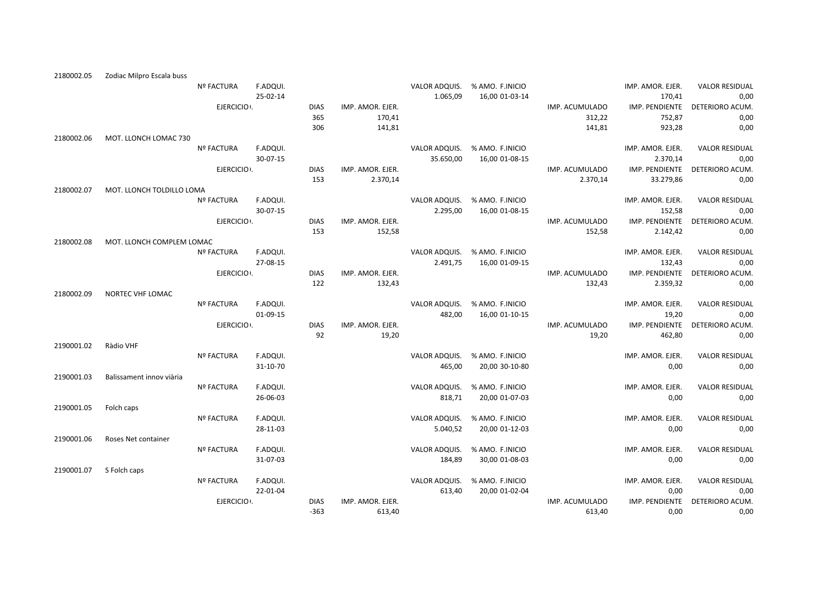|                          | <b>Nº FACTURA</b>                             | F.ADQUI.                                                                                                                                                            |                                                                                                                                                                                     |                                                                                                   |                                                                                                                                  |                                                                                                |                                                                                                                                                                                                                                                                   | IMP. AMOR. EJER.                                                                                                         | <b>VALOR RESIDUAL</b>                                                                                                                                                                                                                                                      |
|--------------------------|-----------------------------------------------|---------------------------------------------------------------------------------------------------------------------------------------------------------------------|-------------------------------------------------------------------------------------------------------------------------------------------------------------------------------------|---------------------------------------------------------------------------------------------------|----------------------------------------------------------------------------------------------------------------------------------|------------------------------------------------------------------------------------------------|-------------------------------------------------------------------------------------------------------------------------------------------------------------------------------------------------------------------------------------------------------------------|--------------------------------------------------------------------------------------------------------------------------|----------------------------------------------------------------------------------------------------------------------------------------------------------------------------------------------------------------------------------------------------------------------------|
|                          |                                               | 25-02-14                                                                                                                                                            |                                                                                                                                                                                     |                                                                                                   | 1.065,09                                                                                                                         | 16,00 01-03-14                                                                                 |                                                                                                                                                                                                                                                                   | 170,41                                                                                                                   | 0,00                                                                                                                                                                                                                                                                       |
|                          |                                               |                                                                                                                                                                     | <b>DIAS</b>                                                                                                                                                                         | IMP. AMOR. EJER.                                                                                  |                                                                                                                                  |                                                                                                | IMP. ACUMULADO                                                                                                                                                                                                                                                    | IMP. PENDIENTE                                                                                                           | DETERIORO ACUM.                                                                                                                                                                                                                                                            |
|                          |                                               |                                                                                                                                                                     |                                                                                                                                                                                     |                                                                                                   |                                                                                                                                  |                                                                                                |                                                                                                                                                                                                                                                                   |                                                                                                                          | 0,00                                                                                                                                                                                                                                                                       |
|                          |                                               |                                                                                                                                                                     |                                                                                                                                                                                     |                                                                                                   |                                                                                                                                  |                                                                                                |                                                                                                                                                                                                                                                                   |                                                                                                                          | 0,00                                                                                                                                                                                                                                                                       |
|                          |                                               |                                                                                                                                                                     |                                                                                                                                                                                     |                                                                                                   |                                                                                                                                  |                                                                                                |                                                                                                                                                                                                                                                                   |                                                                                                                          |                                                                                                                                                                                                                                                                            |
|                          |                                               |                                                                                                                                                                     |                                                                                                                                                                                     |                                                                                                   |                                                                                                                                  |                                                                                                |                                                                                                                                                                                                                                                                   |                                                                                                                          | <b>VALOR RESIDUAL</b>                                                                                                                                                                                                                                                      |
|                          |                                               |                                                                                                                                                                     |                                                                                                                                                                                     |                                                                                                   |                                                                                                                                  |                                                                                                |                                                                                                                                                                                                                                                                   |                                                                                                                          | 0,00                                                                                                                                                                                                                                                                       |
|                          |                                               |                                                                                                                                                                     |                                                                                                                                                                                     |                                                                                                   |                                                                                                                                  |                                                                                                |                                                                                                                                                                                                                                                                   |                                                                                                                          | DETERIORO ACUM.                                                                                                                                                                                                                                                            |
|                          |                                               |                                                                                                                                                                     |                                                                                                                                                                                     |                                                                                                   |                                                                                                                                  |                                                                                                |                                                                                                                                                                                                                                                                   |                                                                                                                          | 0,00                                                                                                                                                                                                                                                                       |
|                          |                                               |                                                                                                                                                                     |                                                                                                                                                                                     |                                                                                                   |                                                                                                                                  |                                                                                                |                                                                                                                                                                                                                                                                   |                                                                                                                          |                                                                                                                                                                                                                                                                            |
|                          |                                               |                                                                                                                                                                     |                                                                                                                                                                                     |                                                                                                   |                                                                                                                                  |                                                                                                |                                                                                                                                                                                                                                                                   |                                                                                                                          | <b>VALOR RESIDUAL</b>                                                                                                                                                                                                                                                      |
|                          |                                               |                                                                                                                                                                     |                                                                                                                                                                                     |                                                                                                   |                                                                                                                                  |                                                                                                |                                                                                                                                                                                                                                                                   |                                                                                                                          | 0,00                                                                                                                                                                                                                                                                       |
|                          |                                               |                                                                                                                                                                     |                                                                                                                                                                                     |                                                                                                   |                                                                                                                                  |                                                                                                |                                                                                                                                                                                                                                                                   |                                                                                                                          |                                                                                                                                                                                                                                                                            |
|                          |                                               |                                                                                                                                                                     |                                                                                                                                                                                     |                                                                                                   |                                                                                                                                  |                                                                                                |                                                                                                                                                                                                                                                                   |                                                                                                                          | DETERIORO ACUM.                                                                                                                                                                                                                                                            |
|                          |                                               |                                                                                                                                                                     |                                                                                                                                                                                     |                                                                                                   |                                                                                                                                  |                                                                                                |                                                                                                                                                                                                                                                                   |                                                                                                                          | 0,00                                                                                                                                                                                                                                                                       |
|                          |                                               |                                                                                                                                                                     |                                                                                                                                                                                     |                                                                                                   |                                                                                                                                  |                                                                                                |                                                                                                                                                                                                                                                                   |                                                                                                                          |                                                                                                                                                                                                                                                                            |
|                          |                                               |                                                                                                                                                                     |                                                                                                                                                                                     |                                                                                                   |                                                                                                                                  |                                                                                                |                                                                                                                                                                                                                                                                   |                                                                                                                          | <b>VALOR RESIDUAL</b>                                                                                                                                                                                                                                                      |
|                          |                                               |                                                                                                                                                                     |                                                                                                                                                                                     |                                                                                                   |                                                                                                                                  |                                                                                                |                                                                                                                                                                                                                                                                   |                                                                                                                          | 0,00                                                                                                                                                                                                                                                                       |
|                          |                                               |                                                                                                                                                                     |                                                                                                                                                                                     |                                                                                                   |                                                                                                                                  |                                                                                                |                                                                                                                                                                                                                                                                   |                                                                                                                          | DETERIORO ACUM.                                                                                                                                                                                                                                                            |
|                          |                                               |                                                                                                                                                                     |                                                                                                                                                                                     |                                                                                                   |                                                                                                                                  |                                                                                                |                                                                                                                                                                                                                                                                   |                                                                                                                          | 0,00                                                                                                                                                                                                                                                                       |
|                          |                                               |                                                                                                                                                                     |                                                                                                                                                                                     |                                                                                                   |                                                                                                                                  |                                                                                                |                                                                                                                                                                                                                                                                   |                                                                                                                          |                                                                                                                                                                                                                                                                            |
|                          |                                               |                                                                                                                                                                     |                                                                                                                                                                                     |                                                                                                   |                                                                                                                                  |                                                                                                |                                                                                                                                                                                                                                                                   |                                                                                                                          | <b>VALOR RESIDUAL</b>                                                                                                                                                                                                                                                      |
|                          |                                               |                                                                                                                                                                     |                                                                                                                                                                                     |                                                                                                   |                                                                                                                                  |                                                                                                |                                                                                                                                                                                                                                                                   |                                                                                                                          | 0,00                                                                                                                                                                                                                                                                       |
|                          |                                               |                                                                                                                                                                     |                                                                                                                                                                                     |                                                                                                   |                                                                                                                                  |                                                                                                |                                                                                                                                                                                                                                                                   |                                                                                                                          | DETERIORO ACUM.                                                                                                                                                                                                                                                            |
|                          |                                               |                                                                                                                                                                     |                                                                                                                                                                                     | 19,20                                                                                             |                                                                                                                                  |                                                                                                | 19,20                                                                                                                                                                                                                                                             | 462,80                                                                                                                   | 0,00                                                                                                                                                                                                                                                                       |
| Ràdio VHF                |                                               |                                                                                                                                                                     |                                                                                                                                                                                     |                                                                                                   |                                                                                                                                  |                                                                                                |                                                                                                                                                                                                                                                                   |                                                                                                                          |                                                                                                                                                                                                                                                                            |
|                          | <b>Nº FACTURA</b>                             |                                                                                                                                                                     |                                                                                                                                                                                     |                                                                                                   |                                                                                                                                  |                                                                                                |                                                                                                                                                                                                                                                                   |                                                                                                                          | <b>VALOR RESIDUAL</b>                                                                                                                                                                                                                                                      |
|                          |                                               | 31-10-70                                                                                                                                                            |                                                                                                                                                                                     |                                                                                                   | 465,00                                                                                                                           | 20,00 30-10-80                                                                                 |                                                                                                                                                                                                                                                                   | 0,00                                                                                                                     | 0,00                                                                                                                                                                                                                                                                       |
| Balissament innov viària |                                               |                                                                                                                                                                     |                                                                                                                                                                                     |                                                                                                   |                                                                                                                                  |                                                                                                |                                                                                                                                                                                                                                                                   |                                                                                                                          |                                                                                                                                                                                                                                                                            |
|                          | <b>Nº FACTURA</b>                             | F.ADQUI.                                                                                                                                                            |                                                                                                                                                                                     |                                                                                                   |                                                                                                                                  |                                                                                                |                                                                                                                                                                                                                                                                   | IMP. AMOR. EJER.                                                                                                         | <b>VALOR RESIDUAL</b>                                                                                                                                                                                                                                                      |
|                          |                                               | 26-06-03                                                                                                                                                            |                                                                                                                                                                                     |                                                                                                   | 818,71                                                                                                                           | 20,00 01-07-03                                                                                 |                                                                                                                                                                                                                                                                   | 0,00                                                                                                                     | 0,00                                                                                                                                                                                                                                                                       |
| Folch caps               |                                               |                                                                                                                                                                     |                                                                                                                                                                                     |                                                                                                   |                                                                                                                                  |                                                                                                |                                                                                                                                                                                                                                                                   |                                                                                                                          |                                                                                                                                                                                                                                                                            |
|                          | <b>Nº FACTURA</b>                             | F.ADQUI.                                                                                                                                                            |                                                                                                                                                                                     |                                                                                                   | VALOR ADQUIS.                                                                                                                    | % AMO. F.INICIO                                                                                |                                                                                                                                                                                                                                                                   | IMP. AMOR. EJER.                                                                                                         | <b>VALOR RESIDUAL</b>                                                                                                                                                                                                                                                      |
|                          |                                               | 28-11-03                                                                                                                                                            |                                                                                                                                                                                     |                                                                                                   | 5.040,52                                                                                                                         | 20,00 01-12-03                                                                                 |                                                                                                                                                                                                                                                                   | 0,00                                                                                                                     | 0,00                                                                                                                                                                                                                                                                       |
| Roses Net container      |                                               |                                                                                                                                                                     |                                                                                                                                                                                     |                                                                                                   |                                                                                                                                  |                                                                                                |                                                                                                                                                                                                                                                                   |                                                                                                                          |                                                                                                                                                                                                                                                                            |
|                          | <b>Nº FACTURA</b>                             | F.ADQUI.                                                                                                                                                            |                                                                                                                                                                                     |                                                                                                   | VALOR ADQUIS.                                                                                                                    | % AMO. F.INICIO                                                                                |                                                                                                                                                                                                                                                                   | IMP. AMOR. EJER.                                                                                                         | <b>VALOR RESIDUAL</b>                                                                                                                                                                                                                                                      |
|                          |                                               | 31-07-03                                                                                                                                                            |                                                                                                                                                                                     |                                                                                                   | 184,89                                                                                                                           | 30,00 01-08-03                                                                                 |                                                                                                                                                                                                                                                                   | 0,00                                                                                                                     | 0,00                                                                                                                                                                                                                                                                       |
|                          |                                               |                                                                                                                                                                     |                                                                                                                                                                                     |                                                                                                   |                                                                                                                                  |                                                                                                |                                                                                                                                                                                                                                                                   |                                                                                                                          |                                                                                                                                                                                                                                                                            |
| S Folch caps             |                                               |                                                                                                                                                                     |                                                                                                                                                                                     |                                                                                                   |                                                                                                                                  |                                                                                                |                                                                                                                                                                                                                                                                   |                                                                                                                          |                                                                                                                                                                                                                                                                            |
|                          | Nº FACTURA                                    | F.ADQUI.                                                                                                                                                            |                                                                                                                                                                                     |                                                                                                   | VALOR ADQUIS.                                                                                                                    | % AMO. F.INICIO                                                                                |                                                                                                                                                                                                                                                                   | IMP. AMOR. EJER.                                                                                                         | <b>VALOR RESIDUAL</b>                                                                                                                                                                                                                                                      |
|                          |                                               | 22-01-04                                                                                                                                                            |                                                                                                                                                                                     |                                                                                                   | 613,40                                                                                                                           | 20,00 01-02-04                                                                                 |                                                                                                                                                                                                                                                                   | 0,00                                                                                                                     | 0,00                                                                                                                                                                                                                                                                       |
|                          | EJERCICIO .                                   |                                                                                                                                                                     | <b>DIAS</b>                                                                                                                                                                         | IMP. AMOR. EJER.                                                                                  |                                                                                                                                  |                                                                                                | IMP. ACUMULADO                                                                                                                                                                                                                                                    | IMP. PENDIENTE                                                                                                           | DETERIORO ACUM.                                                                                                                                                                                                                                                            |
|                          | Zodiac Milpro Escala buss<br>NORTEC VHF LOMAC | MOT. LLONCH LOMAC 730<br><b>Nº FACTURA</b><br>MOT. LLONCH TOLDILLO LOMA<br><b>Nº FACTURA</b><br>MOT. LLONCH COMPLEM LOMAC<br><b>Nº FACTURA</b><br><b>Nº FACTURA</b> | EJERCICIO .<br>F.ADQUI.<br>30-07-15<br>EJERCICIO .<br>F.ADQUI.<br>30-07-15<br>EJERCICIO .<br>F.ADQUI.<br>27-08-15<br>EJERCICIO .<br>F.ADQUI.<br>01-09-15<br>EJERCICIO .<br>F.ADQUI. | 365<br>306<br><b>DIAS</b><br>153<br><b>DIAS</b><br>153<br><b>DIAS</b><br>122<br><b>DIAS</b><br>92 | 170,41<br>141,81<br>IMP. AMOR. EJER.<br>2.370,14<br>IMP. AMOR. EJER.<br>152,58<br>IMP. AMOR. EJER.<br>132,43<br>IMP. AMOR. EJER. | VALOR ADQUIS.<br>35.650,00<br>2.295,00<br>2.491,75<br>VALOR ADQUIS.<br>482,00<br>VALOR ADQUIS. | VALOR ADQUIS. % AMO. F.INICIO<br>% AMO. F.INICIO<br>16,00 01-08-15<br>VALOR ADQUIS. % AMO. F.INICIO<br>16,00 01-08-15<br>VALOR ADQUIS. % AMO. F.INICIO<br>16,00 01-09-15<br>% AMO. F.INICIO<br>16,00 01-10-15<br>% AMO. F.INICIO<br>VALOR ADQUIS. % AMO. F.INICIO | 312,22<br>141,81<br>IMP. ACUMULADO<br>2.370,14<br>IMP. ACUMULADO<br>152,58<br>IMP. ACUMULADO<br>132,43<br>IMP. ACUMULADO | 752,87<br>923,28<br>IMP. AMOR. EJER.<br>2.370,14<br>IMP. PENDIENTE<br>33.279,86<br>IMP. AMOR. EJER.<br>152,58<br>IMP. PENDIENTE<br>2.142,42<br>IMP. AMOR. EJER.<br>132,43<br>IMP. PENDIENTE<br>2.359,32<br>IMP. AMOR. EJER.<br>19,20<br>IMP. PENDIENTE<br>IMP. AMOR. EJER. |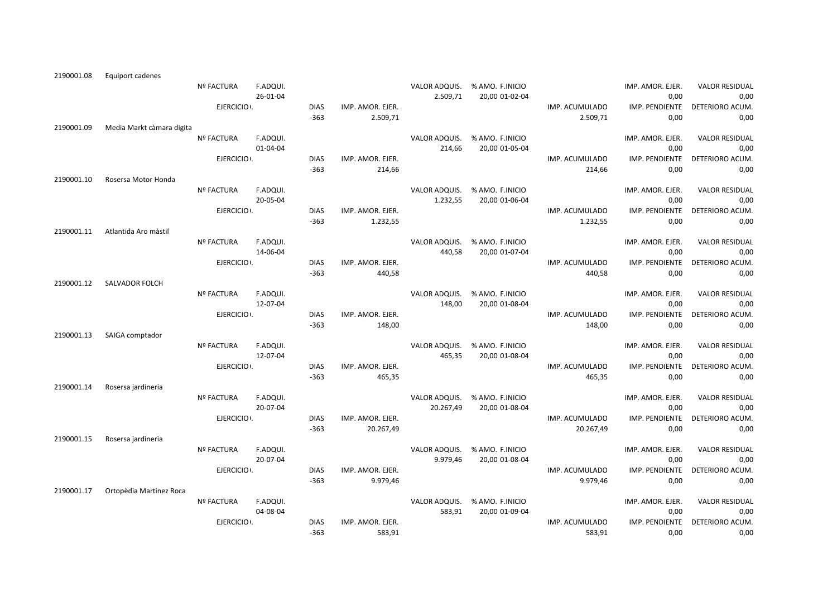| 2190001.08 | Equiport cadenes          |                   |          |             |                  |               |                               |                |                        |                                |
|------------|---------------------------|-------------------|----------|-------------|------------------|---------------|-------------------------------|----------------|------------------------|--------------------------------|
|            |                           | <b>Nº FACTURA</b> | F.ADQUI. |             |                  | VALOR ADQUIS. | % AMO. F.INICIO               |                | IMP. AMOR. EJER.       | <b>VALOR RESIDUAL</b>          |
|            |                           |                   | 26-01-04 |             |                  | 2.509,71      | 20,00 01-02-04                |                | 0,00                   | 0,00                           |
|            |                           | EJERCICIO .       |          | <b>DIAS</b> | IMP. AMOR. EJER. |               |                               | IMP. ACUMULADO |                        | IMP. PENDIENTE DETERIORO ACUM. |
|            |                           |                   |          | $-363$      | 2.509,71         |               |                               | 2.509,71       | 0,00                   | 0,00                           |
| 2190001.09 | Media Markt càmara digita |                   |          |             |                  |               |                               |                |                        |                                |
|            |                           | Nº FACTURA        | F.ADQUI. |             |                  | VALOR ADQUIS. | % AMO. F.INICIO               |                | IMP. AMOR. EJER.       | <b>VALOR RESIDUAL</b>          |
|            |                           |                   | 01-04-04 |             |                  | 214,66        | 20,00 01-05-04                |                | 0,00                   | 0,00                           |
|            |                           | EJERCICIO .       |          | <b>DIAS</b> | IMP. AMOR. EJER. |               |                               | IMP. ACUMULADO | IMP. PENDIENTE         | DETERIORO ACUM.                |
|            |                           |                   |          | $-363$      | 214,66           |               |                               | 214,66         | 0,00                   | 0,00                           |
| 2190001.10 | Rosersa Motor Honda       |                   |          |             |                  |               |                               |                |                        |                                |
|            |                           | Nº FACTURA        | F.ADQUI. |             |                  | VALOR ADQUIS. | % AMO. F.INICIO               |                | IMP. AMOR. EJER.       | <b>VALOR RESIDUAL</b>          |
|            |                           |                   | 20-05-04 |             |                  | 1.232,55      | 20,00 01-06-04                |                | 0,00                   | 0,00                           |
|            |                           | EJERCICIO .       |          | <b>DIAS</b> | IMP. AMOR. EJER. |               |                               | IMP. ACUMULADO | IMP. PENDIENTE         | DETERIORO ACUM.                |
| 2190001.11 | Atlantida Aro màstil      |                   |          | $-363$      | 1.232,55         |               |                               | 1.232,55       | 0,00                   | 0,00                           |
|            |                           | <b>Nº FACTURA</b> | F.ADQUI. |             |                  | VALOR ADQUIS. | % AMO. F.INICIO               |                | IMP. AMOR. EJER.       | <b>VALOR RESIDUAL</b>          |
|            |                           |                   | 14-06-04 |             |                  | 440,58        | 20,00 01-07-04                |                | 0,00                   | 0,00                           |
|            |                           | EJERCICIO .       |          | <b>DIAS</b> | IMP. AMOR. EJER. |               |                               | IMP. ACUMULADO | IMP. PENDIENTE         | DETERIORO ACUM.                |
|            |                           |                   |          | $-363$      | 440,58           |               |                               | 440,58         | 0,00                   | 0,00                           |
| 2190001.12 | SALVADOR FOLCH            |                   |          |             |                  |               |                               |                |                        |                                |
|            |                           | <b>Nº FACTURA</b> | F.ADQUI. |             |                  |               | VALOR ADQUIS. % AMO. F.INICIO |                | IMP. AMOR. EJER.       | <b>VALOR RESIDUAL</b>          |
|            |                           |                   | 12-07-04 |             |                  | 148,00        | 20,00 01-08-04                |                | 0,00                   | 0,00                           |
|            |                           | EJERCICIO .       |          | <b>DIAS</b> | IMP. AMOR. EJER. |               |                               | IMP. ACUMULADO | IMP. PENDIENTE         | DETERIORO ACUM.                |
|            |                           |                   |          | $-363$      | 148,00           |               |                               | 148,00         | 0,00                   | 0,00                           |
| 2190001.13 | SAIGA comptador           |                   |          |             |                  |               |                               |                |                        |                                |
|            |                           | Nº FACTURA        | F.ADQUI. |             |                  | VALOR ADOUIS. | % AMO. F.INICIO               |                | IMP. AMOR. EJER.       | <b>VALOR RESIDUAL</b>          |
|            |                           |                   | 12-07-04 |             |                  | 465,35        | 20,00 01-08-04                |                | 0,00                   | 0,00                           |
|            |                           | EJERCICIO .       |          | <b>DIAS</b> | IMP. AMOR. EJER. |               |                               | IMP. ACUMULADO |                        | IMP. PENDIENTE DETERIORO ACUM. |
|            |                           |                   |          | $-363$      | 465,35           |               |                               | 465,35         | 0,00                   | 0,00                           |
| 2190001.14 | Rosersa jardineria        |                   |          |             |                  |               |                               |                |                        |                                |
|            |                           | <b>Nº FACTURA</b> | F.ADQUI. |             |                  | VALOR ADQUIS. | % AMO. F.INICIO               |                | IMP. AMOR. EJER.       | <b>VALOR RESIDUAL</b>          |
|            |                           |                   | 20-07-04 |             |                  | 20.267,49     | 20,00 01-08-04                |                | 0,00                   | 0,00                           |
|            |                           | EJERCICIO .       |          | <b>DIAS</b> | IMP. AMOR. EJER. |               |                               | IMP. ACUMULADO |                        | IMP. PENDIENTE DETERIORO ACUM. |
|            |                           |                   |          | $-363$      | 20.267,49        |               |                               | 20.267,49      | 0,00                   | 0,00                           |
| 2190001.15 | Rosersa jardineria        |                   |          |             |                  |               |                               |                |                        |                                |
|            |                           | Nº FACTURA        | F.ADQUI. |             |                  | VALOR ADQUIS. | % AMO. F.INICIO               |                | IMP. AMOR. EJER.       | <b>VALOR RESIDUAL</b>          |
|            |                           |                   | 20-07-04 |             |                  | 9.979,46      | 20,00 01-08-04                |                | 0,00                   | 0,00                           |
|            |                           | EJERCICIO I.      |          | <b>DIAS</b> | IMP. AMOR. EJER. |               |                               | IMP. ACUMULADO |                        | IMP. PENDIENTE DETERIORO ACUM. |
|            |                           |                   |          | $-363$      | 9.979,46         |               |                               | 9.979,46       | 0.00                   | 0,00                           |
| 2190001.17 | Ortopèdia Martinez Roca   |                   |          |             |                  |               |                               |                |                        |                                |
|            |                           | <b>Nº FACTURA</b> | F.ADQUI. |             |                  |               | VALOR ADQUIS. % AMO. F.INICIO |                | IMP. AMOR. EJER.       | <b>VALOR RESIDUAL</b>          |
|            |                           | EJERCICIO .       | 04-08-04 | <b>DIAS</b> | IMP. AMOR. EJER. | 583,91        | 20,00 01-09-04                | IMP. ACUMULADO | 0,00<br>IMP. PENDIENTE | 0,00<br>DETERIORO ACUM.        |
|            |                           |                   |          | $-363$      | 583,91           |               |                               | 583,91         | 0,00                   | 0,00                           |
|            |                           |                   |          |             |                  |               |                               |                |                        |                                |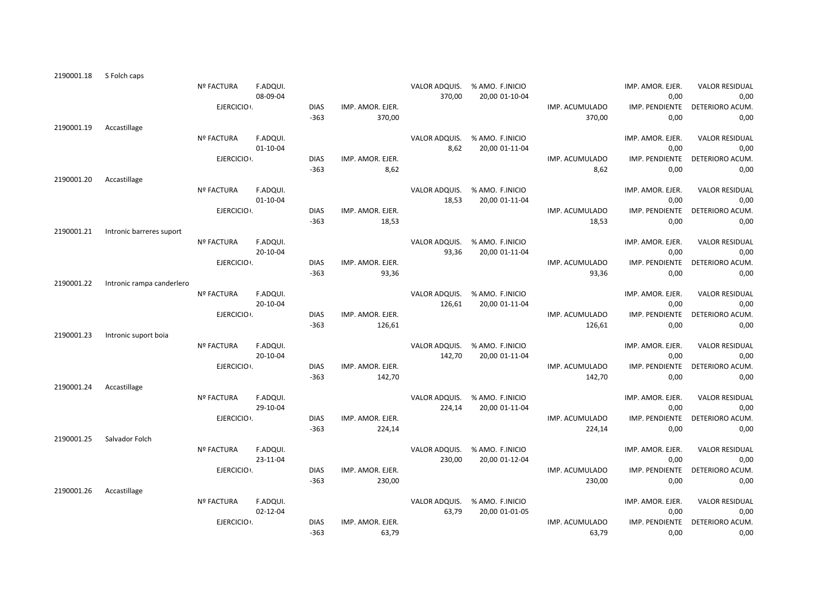| Nº FACTURA<br>F.ADQUI.<br>VALOR ADQUIS.<br>% AMO. F.INICIO<br>IMP. AMOR. EJER.<br><b>VALOR RESIDUAL</b><br>08-09-04<br>370,00<br>20,00 01-10-04<br>0,00<br>IMP. PENDIENTE<br>EJERCICIO .<br><b>DIAS</b><br>IMP. AMOR. EJER.<br>IMP. ACUMULADO<br>DETERIORO ACUM.<br>$-363$<br>0,00<br>370,00<br>370,00<br>2190001.19<br>Accastillage<br><b>Nº FACTURA</b><br>F.ADQUI.<br>VALOR ADQUIS.<br>% AMO. F.INICIO<br>IMP. AMOR. EJER.<br><b>VALOR RESIDUAL</b><br>8,62<br>$01 - 10 - 04$<br>20,00 01-11-04<br>0,00<br>EJERCICIO .<br><b>DIAS</b><br>IMP. PENDIENTE<br>IMP. AMOR. EJER.<br>IMP. ACUMULADO<br>DETERIORO ACUM.<br>8,62<br>$-363$<br>8,62<br>0,00<br>2190001.20<br>Accastillage<br>Nº FACTURA<br>F.ADQUI.<br>VALOR ADQUIS.<br>IMP. AMOR. EJER.<br><b>VALOR RESIDUAL</b><br>% AMO. F.INICIO<br>$01 - 10 - 04$<br>18,53<br>0,00<br>20,00 01-11-04<br>EJERCICIO .<br><b>DIAS</b><br>IMP. AMOR. EJER.<br>IMP. PENDIENTE<br>DETERIORO ACUM.<br>IMP. ACUMULADO<br>$-363$<br>18,53<br>18,53<br>0,00<br>2190001.21<br>Intronic barreres suport<br>F.ADQUI.<br>VALOR ADQUIS.<br>IMP. AMOR. EJER.<br>Nº FACTURA<br>% AMO. F.INICIO<br><b>VALOR RESIDUAL</b><br>20-10-04<br>93,36<br>20,00 01-11-04<br>0,00<br>EJERCICIO :<br>IMP. AMOR. EJER.<br>IMP. PENDIENTE<br><b>DIAS</b><br>IMP. ACUMULADO<br>DETERIORO ACUM.<br>$-363$<br>93,36<br>0,00<br>93,36<br>2190001.22<br>Intronic rampa canderlero<br>F.ADQUI.<br>VALOR ADQUIS.<br>IMP. AMOR. EJER.<br><b>VALOR RESIDUAL</b><br>Nº FACTURA<br>% AMO. F.INICIO<br>20-10-04<br>126,61<br>0,00<br>20,00 01-11-04<br>EJERCICIO :<br><b>DIAS</b><br>IMP. AMOR. EJER.<br>IMP. PENDIENTE<br>DETERIORO ACUM.<br>IMP. ACUMULADO<br>$-363$<br>126,61<br>0,00<br>126,61<br>2190001.23<br>Intronic suport boia<br>F.ADQUI.<br>VALOR ADQUIS.<br>IMP. AMOR. EJER.<br><b>VALOR RESIDUAL</b><br><b>Nº FACTURA</b><br>% AMO. F.INICIO<br>20-10-04<br>142,70<br>0,00<br>20,00 01-11-04<br>EJERCICIO .<br><b>DIAS</b><br>IMP. AMOR. EJER.<br>IMP. PENDIENTE<br>IMP. ACUMULADO<br>DETERIORO ACUM.<br>$-363$<br>0,00 |
|-------------------------------------------------------------------------------------------------------------------------------------------------------------------------------------------------------------------------------------------------------------------------------------------------------------------------------------------------------------------------------------------------------------------------------------------------------------------------------------------------------------------------------------------------------------------------------------------------------------------------------------------------------------------------------------------------------------------------------------------------------------------------------------------------------------------------------------------------------------------------------------------------------------------------------------------------------------------------------------------------------------------------------------------------------------------------------------------------------------------------------------------------------------------------------------------------------------------------------------------------------------------------------------------------------------------------------------------------------------------------------------------------------------------------------------------------------------------------------------------------------------------------------------------------------------------------------------------------------------------------------------------------------------------------------------------------------------------------------------------------------------------------------------------------------------------------------------------------------------------------------------------------------------------------------------------------------------------------------------------------------------------------------------------|
|                                                                                                                                                                                                                                                                                                                                                                                                                                                                                                                                                                                                                                                                                                                                                                                                                                                                                                                                                                                                                                                                                                                                                                                                                                                                                                                                                                                                                                                                                                                                                                                                                                                                                                                                                                                                                                                                                                                                                                                                                                           |
|                                                                                                                                                                                                                                                                                                                                                                                                                                                                                                                                                                                                                                                                                                                                                                                                                                                                                                                                                                                                                                                                                                                                                                                                                                                                                                                                                                                                                                                                                                                                                                                                                                                                                                                                                                                                                                                                                                                                                                                                                                           |
|                                                                                                                                                                                                                                                                                                                                                                                                                                                                                                                                                                                                                                                                                                                                                                                                                                                                                                                                                                                                                                                                                                                                                                                                                                                                                                                                                                                                                                                                                                                                                                                                                                                                                                                                                                                                                                                                                                                                                                                                                                           |
|                                                                                                                                                                                                                                                                                                                                                                                                                                                                                                                                                                                                                                                                                                                                                                                                                                                                                                                                                                                                                                                                                                                                                                                                                                                                                                                                                                                                                                                                                                                                                                                                                                                                                                                                                                                                                                                                                                                                                                                                                                           |
|                                                                                                                                                                                                                                                                                                                                                                                                                                                                                                                                                                                                                                                                                                                                                                                                                                                                                                                                                                                                                                                                                                                                                                                                                                                                                                                                                                                                                                                                                                                                                                                                                                                                                                                                                                                                                                                                                                                                                                                                                                           |
|                                                                                                                                                                                                                                                                                                                                                                                                                                                                                                                                                                                                                                                                                                                                                                                                                                                                                                                                                                                                                                                                                                                                                                                                                                                                                                                                                                                                                                                                                                                                                                                                                                                                                                                                                                                                                                                                                                                                                                                                                                           |
|                                                                                                                                                                                                                                                                                                                                                                                                                                                                                                                                                                                                                                                                                                                                                                                                                                                                                                                                                                                                                                                                                                                                                                                                                                                                                                                                                                                                                                                                                                                                                                                                                                                                                                                                                                                                                                                                                                                                                                                                                                           |
|                                                                                                                                                                                                                                                                                                                                                                                                                                                                                                                                                                                                                                                                                                                                                                                                                                                                                                                                                                                                                                                                                                                                                                                                                                                                                                                                                                                                                                                                                                                                                                                                                                                                                                                                                                                                                                                                                                                                                                                                                                           |
|                                                                                                                                                                                                                                                                                                                                                                                                                                                                                                                                                                                                                                                                                                                                                                                                                                                                                                                                                                                                                                                                                                                                                                                                                                                                                                                                                                                                                                                                                                                                                                                                                                                                                                                                                                                                                                                                                                                                                                                                                                           |
|                                                                                                                                                                                                                                                                                                                                                                                                                                                                                                                                                                                                                                                                                                                                                                                                                                                                                                                                                                                                                                                                                                                                                                                                                                                                                                                                                                                                                                                                                                                                                                                                                                                                                                                                                                                                                                                                                                                                                                                                                                           |
|                                                                                                                                                                                                                                                                                                                                                                                                                                                                                                                                                                                                                                                                                                                                                                                                                                                                                                                                                                                                                                                                                                                                                                                                                                                                                                                                                                                                                                                                                                                                                                                                                                                                                                                                                                                                                                                                                                                                                                                                                                           |
|                                                                                                                                                                                                                                                                                                                                                                                                                                                                                                                                                                                                                                                                                                                                                                                                                                                                                                                                                                                                                                                                                                                                                                                                                                                                                                                                                                                                                                                                                                                                                                                                                                                                                                                                                                                                                                                                                                                                                                                                                                           |
|                                                                                                                                                                                                                                                                                                                                                                                                                                                                                                                                                                                                                                                                                                                                                                                                                                                                                                                                                                                                                                                                                                                                                                                                                                                                                                                                                                                                                                                                                                                                                                                                                                                                                                                                                                                                                                                                                                                                                                                                                                           |
|                                                                                                                                                                                                                                                                                                                                                                                                                                                                                                                                                                                                                                                                                                                                                                                                                                                                                                                                                                                                                                                                                                                                                                                                                                                                                                                                                                                                                                                                                                                                                                                                                                                                                                                                                                                                                                                                                                                                                                                                                                           |
|                                                                                                                                                                                                                                                                                                                                                                                                                                                                                                                                                                                                                                                                                                                                                                                                                                                                                                                                                                                                                                                                                                                                                                                                                                                                                                                                                                                                                                                                                                                                                                                                                                                                                                                                                                                                                                                                                                                                                                                                                                           |
|                                                                                                                                                                                                                                                                                                                                                                                                                                                                                                                                                                                                                                                                                                                                                                                                                                                                                                                                                                                                                                                                                                                                                                                                                                                                                                                                                                                                                                                                                                                                                                                                                                                                                                                                                                                                                                                                                                                                                                                                                                           |
|                                                                                                                                                                                                                                                                                                                                                                                                                                                                                                                                                                                                                                                                                                                                                                                                                                                                                                                                                                                                                                                                                                                                                                                                                                                                                                                                                                                                                                                                                                                                                                                                                                                                                                                                                                                                                                                                                                                                                                                                                                           |
|                                                                                                                                                                                                                                                                                                                                                                                                                                                                                                                                                                                                                                                                                                                                                                                                                                                                                                                                                                                                                                                                                                                                                                                                                                                                                                                                                                                                                                                                                                                                                                                                                                                                                                                                                                                                                                                                                                                                                                                                                                           |
|                                                                                                                                                                                                                                                                                                                                                                                                                                                                                                                                                                                                                                                                                                                                                                                                                                                                                                                                                                                                                                                                                                                                                                                                                                                                                                                                                                                                                                                                                                                                                                                                                                                                                                                                                                                                                                                                                                                                                                                                                                           |
|                                                                                                                                                                                                                                                                                                                                                                                                                                                                                                                                                                                                                                                                                                                                                                                                                                                                                                                                                                                                                                                                                                                                                                                                                                                                                                                                                                                                                                                                                                                                                                                                                                                                                                                                                                                                                                                                                                                                                                                                                                           |
|                                                                                                                                                                                                                                                                                                                                                                                                                                                                                                                                                                                                                                                                                                                                                                                                                                                                                                                                                                                                                                                                                                                                                                                                                                                                                                                                                                                                                                                                                                                                                                                                                                                                                                                                                                                                                                                                                                                                                                                                                                           |
|                                                                                                                                                                                                                                                                                                                                                                                                                                                                                                                                                                                                                                                                                                                                                                                                                                                                                                                                                                                                                                                                                                                                                                                                                                                                                                                                                                                                                                                                                                                                                                                                                                                                                                                                                                                                                                                                                                                                                                                                                                           |
|                                                                                                                                                                                                                                                                                                                                                                                                                                                                                                                                                                                                                                                                                                                                                                                                                                                                                                                                                                                                                                                                                                                                                                                                                                                                                                                                                                                                                                                                                                                                                                                                                                                                                                                                                                                                                                                                                                                                                                                                                                           |
|                                                                                                                                                                                                                                                                                                                                                                                                                                                                                                                                                                                                                                                                                                                                                                                                                                                                                                                                                                                                                                                                                                                                                                                                                                                                                                                                                                                                                                                                                                                                                                                                                                                                                                                                                                                                                                                                                                                                                                                                                                           |
|                                                                                                                                                                                                                                                                                                                                                                                                                                                                                                                                                                                                                                                                                                                                                                                                                                                                                                                                                                                                                                                                                                                                                                                                                                                                                                                                                                                                                                                                                                                                                                                                                                                                                                                                                                                                                                                                                                                                                                                                                                           |
|                                                                                                                                                                                                                                                                                                                                                                                                                                                                                                                                                                                                                                                                                                                                                                                                                                                                                                                                                                                                                                                                                                                                                                                                                                                                                                                                                                                                                                                                                                                                                                                                                                                                                                                                                                                                                                                                                                                                                                                                                                           |
|                                                                                                                                                                                                                                                                                                                                                                                                                                                                                                                                                                                                                                                                                                                                                                                                                                                                                                                                                                                                                                                                                                                                                                                                                                                                                                                                                                                                                                                                                                                                                                                                                                                                                                                                                                                                                                                                                                                                                                                                                                           |
|                                                                                                                                                                                                                                                                                                                                                                                                                                                                                                                                                                                                                                                                                                                                                                                                                                                                                                                                                                                                                                                                                                                                                                                                                                                                                                                                                                                                                                                                                                                                                                                                                                                                                                                                                                                                                                                                                                                                                                                                                                           |
|                                                                                                                                                                                                                                                                                                                                                                                                                                                                                                                                                                                                                                                                                                                                                                                                                                                                                                                                                                                                                                                                                                                                                                                                                                                                                                                                                                                                                                                                                                                                                                                                                                                                                                                                                                                                                                                                                                                                                                                                                                           |
|                                                                                                                                                                                                                                                                                                                                                                                                                                                                                                                                                                                                                                                                                                                                                                                                                                                                                                                                                                                                                                                                                                                                                                                                                                                                                                                                                                                                                                                                                                                                                                                                                                                                                                                                                                                                                                                                                                                                                                                                                                           |
| 142,70<br>142,70                                                                                                                                                                                                                                                                                                                                                                                                                                                                                                                                                                                                                                                                                                                                                                                                                                                                                                                                                                                                                                                                                                                                                                                                                                                                                                                                                                                                                                                                                                                                                                                                                                                                                                                                                                                                                                                                                                                                                                                                                          |
| Accastillage<br>2190001.24                                                                                                                                                                                                                                                                                                                                                                                                                                                                                                                                                                                                                                                                                                                                                                                                                                                                                                                                                                                                                                                                                                                                                                                                                                                                                                                                                                                                                                                                                                                                                                                                                                                                                                                                                                                                                                                                                                                                                                                                                |
| Nº FACTURA<br>F.ADQUI.<br>VALOR ADQUIS.<br>% AMO. F.INICIO<br>IMP. AMOR. EJER.<br><b>VALOR RESIDUAL</b>                                                                                                                                                                                                                                                                                                                                                                                                                                                                                                                                                                                                                                                                                                                                                                                                                                                                                                                                                                                                                                                                                                                                                                                                                                                                                                                                                                                                                                                                                                                                                                                                                                                                                                                                                                                                                                                                                                                                   |
| 29-10-04<br>224,14<br>20,00 01-11-04<br>0,00                                                                                                                                                                                                                                                                                                                                                                                                                                                                                                                                                                                                                                                                                                                                                                                                                                                                                                                                                                                                                                                                                                                                                                                                                                                                                                                                                                                                                                                                                                                                                                                                                                                                                                                                                                                                                                                                                                                                                                                              |
|                                                                                                                                                                                                                                                                                                                                                                                                                                                                                                                                                                                                                                                                                                                                                                                                                                                                                                                                                                                                                                                                                                                                                                                                                                                                                                                                                                                                                                                                                                                                                                                                                                                                                                                                                                                                                                                                                                                                                                                                                                           |
| EJERCICIO .<br>IMP. PENDIENTE<br>DETERIORO ACUM.<br><b>DIAS</b><br>IMP. AMOR. EJER.<br>IMP. ACUMULADO                                                                                                                                                                                                                                                                                                                                                                                                                                                                                                                                                                                                                                                                                                                                                                                                                                                                                                                                                                                                                                                                                                                                                                                                                                                                                                                                                                                                                                                                                                                                                                                                                                                                                                                                                                                                                                                                                                                                     |
| $-363$<br>224,14<br>224,14<br>0,00                                                                                                                                                                                                                                                                                                                                                                                                                                                                                                                                                                                                                                                                                                                                                                                                                                                                                                                                                                                                                                                                                                                                                                                                                                                                                                                                                                                                                                                                                                                                                                                                                                                                                                                                                                                                                                                                                                                                                                                                        |
| 2190001.25<br>Salvador Folch                                                                                                                                                                                                                                                                                                                                                                                                                                                                                                                                                                                                                                                                                                                                                                                                                                                                                                                                                                                                                                                                                                                                                                                                                                                                                                                                                                                                                                                                                                                                                                                                                                                                                                                                                                                                                                                                                                                                                                                                              |
| F.ADQUI.<br>VALOR ADQUIS.<br>% AMO. F.INICIO<br>IMP. AMOR. EJER.<br><b>Nº FACTURA</b><br><b>VALOR RESIDUAL</b>                                                                                                                                                                                                                                                                                                                                                                                                                                                                                                                                                                                                                                                                                                                                                                                                                                                                                                                                                                                                                                                                                                                                                                                                                                                                                                                                                                                                                                                                                                                                                                                                                                                                                                                                                                                                                                                                                                                            |
| 230,00<br>0,00<br>23-11-04<br>20,00 01-12-04                                                                                                                                                                                                                                                                                                                                                                                                                                                                                                                                                                                                                                                                                                                                                                                                                                                                                                                                                                                                                                                                                                                                                                                                                                                                                                                                                                                                                                                                                                                                                                                                                                                                                                                                                                                                                                                                                                                                                                                              |
|                                                                                                                                                                                                                                                                                                                                                                                                                                                                                                                                                                                                                                                                                                                                                                                                                                                                                                                                                                                                                                                                                                                                                                                                                                                                                                                                                                                                                                                                                                                                                                                                                                                                                                                                                                                                                                                                                                                                                                                                                                           |
| EJERCICIO .<br>IMP. PENDIENTE<br><b>DIAS</b><br>IMP. AMOR. EJER.<br>IMP. ACUMULADO<br>DETERIORO ACUM.                                                                                                                                                                                                                                                                                                                                                                                                                                                                                                                                                                                                                                                                                                                                                                                                                                                                                                                                                                                                                                                                                                                                                                                                                                                                                                                                                                                                                                                                                                                                                                                                                                                                                                                                                                                                                                                                                                                                     |
| 0,00<br>$-363$<br>230,00<br>230,00                                                                                                                                                                                                                                                                                                                                                                                                                                                                                                                                                                                                                                                                                                                                                                                                                                                                                                                                                                                                                                                                                                                                                                                                                                                                                                                                                                                                                                                                                                                                                                                                                                                                                                                                                                                                                                                                                                                                                                                                        |
| 2190001.26<br>Accastillage                                                                                                                                                                                                                                                                                                                                                                                                                                                                                                                                                                                                                                                                                                                                                                                                                                                                                                                                                                                                                                                                                                                                                                                                                                                                                                                                                                                                                                                                                                                                                                                                                                                                                                                                                                                                                                                                                                                                                                                                                |
| Nº FACTURA<br>F.ADQUI.<br>VALOR ADQUIS.<br>IMP. AMOR. EJER.<br>% AMO. F.INICIO<br><b>VALOR RESIDUAL</b>                                                                                                                                                                                                                                                                                                                                                                                                                                                                                                                                                                                                                                                                                                                                                                                                                                                                                                                                                                                                                                                                                                                                                                                                                                                                                                                                                                                                                                                                                                                                                                                                                                                                                                                                                                                                                                                                                                                                   |
|                                                                                                                                                                                                                                                                                                                                                                                                                                                                                                                                                                                                                                                                                                                                                                                                                                                                                                                                                                                                                                                                                                                                                                                                                                                                                                                                                                                                                                                                                                                                                                                                                                                                                                                                                                                                                                                                                                                                                                                                                                           |
| 02-12-04<br>63,79<br>0,00<br>20,00 01-01-05                                                                                                                                                                                                                                                                                                                                                                                                                                                                                                                                                                                                                                                                                                                                                                                                                                                                                                                                                                                                                                                                                                                                                                                                                                                                                                                                                                                                                                                                                                                                                                                                                                                                                                                                                                                                                                                                                                                                                                                               |
| IMP. PENDIENTE<br>EJERCICIO I.<br><b>DIAS</b><br>IMP. AMOR. EJER.<br>IMP. ACUMULADO<br>DETERIORO ACUM.<br>$-363$<br>0,00<br>63,79<br>63,79                                                                                                                                                                                                                                                                                                                                                                                                                                                                                                                                                                                                                                                                                                                                                                                                                                                                                                                                                                                                                                                                                                                                                                                                                                                                                                                                                                                                                                                                                                                                                                                                                                                                                                                                                                                                                                                                                                |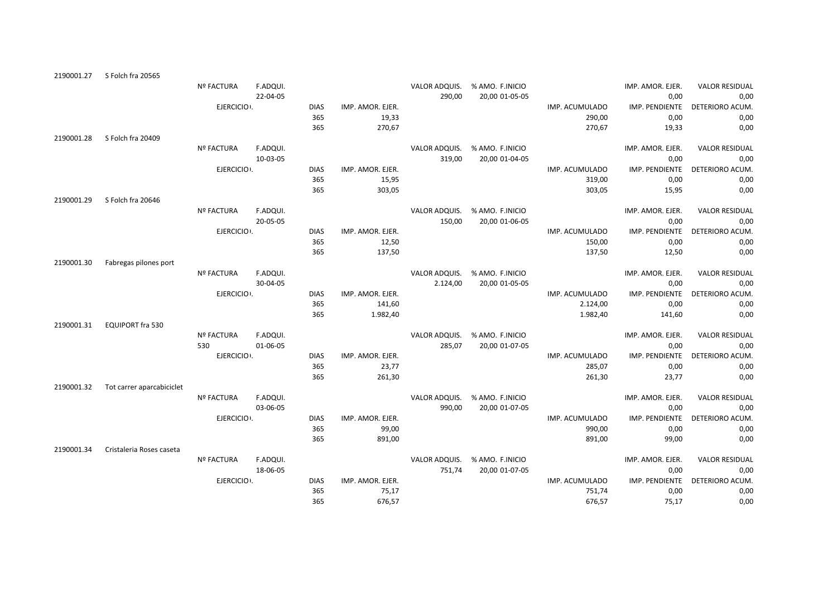| 2190001.27 | S Folch fra 20565         |                   |          |             |                  |               |                 |                |                  |                       |
|------------|---------------------------|-------------------|----------|-------------|------------------|---------------|-----------------|----------------|------------------|-----------------------|
|            |                           | <b>Nº FACTURA</b> | F.ADQUI. |             |                  | VALOR ADQUIS. | % AMO. F.INICIO |                | IMP. AMOR. EJER. | <b>VALOR RESIDUAL</b> |
|            |                           |                   | 22-04-05 |             |                  | 290,00        | 20,00 01-05-05  |                | 0,00             | 0,00                  |
|            |                           | EJERCICIO .       |          | <b>DIAS</b> | IMP. AMOR. EJER. |               |                 | IMP. ACUMULADO | IMP. PENDIENTE   | DETERIORO ACUM.       |
|            |                           |                   |          | 365         | 19,33            |               |                 | 290,00         | 0,00             | 0,00                  |
|            |                           |                   |          | 365         | 270,67           |               |                 | 270,67         | 19,33            | 0,00                  |
| 2190001.28 | S Folch fra 20409         |                   |          |             |                  |               |                 |                |                  |                       |
|            |                           | <b>Nº FACTURA</b> | F.ADQUI. |             |                  | VALOR ADQUIS. | % AMO. F.INICIO |                | IMP. AMOR. EJER. | <b>VALOR RESIDUAL</b> |
|            |                           |                   | 10-03-05 |             |                  | 319,00        | 20,00 01-04-05  |                | 0,00             | 0,00                  |
|            |                           | EJERCICIO :       |          | <b>DIAS</b> | IMP. AMOR. EJER. |               |                 | IMP. ACUMULADO | IMP. PENDIENTE   | DETERIORO ACUM.       |
|            |                           |                   |          | 365         | 15,95            |               |                 | 319,00         | 0,00             | 0,00                  |
|            |                           |                   |          | 365         | 303,05           |               |                 | 303,05         | 15,95            | 0,00                  |
| 2190001.29 | S Folch fra 20646         |                   |          |             |                  |               |                 |                |                  |                       |
|            |                           | <b>Nº FACTURA</b> | F.ADQUI. |             |                  | VALOR ADQUIS. | % AMO. F.INICIO |                | IMP. AMOR. EJER. | <b>VALOR RESIDUAL</b> |
|            |                           |                   | 20-05-05 |             |                  | 150,00        | 20,00 01-06-05  |                | 0,00             | 0,00                  |
|            |                           | EJERCICIO .       |          | <b>DIAS</b> | IMP. AMOR. EJER. |               |                 | IMP. ACUMULADO | IMP. PENDIENTE   | <b>DETERIORO ACUM</b> |
|            |                           |                   |          | 365         | 12,50            |               |                 | 150,00         | 0,00             | 0,00                  |
|            |                           |                   |          | 365         | 137,50           |               |                 | 137,50         | 12,50            | 0,00                  |
| 2190001.30 | Fabregas pilones port     |                   |          |             |                  |               |                 |                |                  |                       |
|            |                           | <b>Nº FACTURA</b> | F.ADQUI. |             |                  | VALOR ADQUIS. | % AMO. F.INICIO |                | IMP. AMOR. EJER. | <b>VALOR RESIDUAL</b> |
|            |                           |                   | 30-04-05 |             |                  | 2.124,00      | 20,00 01-05-05  |                | 0,00             | 0,00                  |
|            |                           | EJERCICIO :       |          | <b>DIAS</b> | IMP. AMOR. EJER. |               |                 | IMP. ACUMULADO | IMP. PENDIENTE   | DETERIORO ACUM        |
|            |                           |                   |          | 365         | 141,60           |               |                 | 2.124,00       | 0,00             | 0,00                  |
|            |                           |                   |          | 365         | 1.982,40         |               |                 | 1.982,40       | 141,60           | 0,00                  |
| 2190001.31 | <b>EQUIPORT fra 530</b>   |                   |          |             |                  |               |                 |                |                  |                       |
|            |                           | <b>Nº FACTURA</b> | F.ADQUI. |             |                  | VALOR ADQUIS. | % AMO. F.INICIO |                | IMP. AMOR. EJER. | <b>VALOR RESIDUAL</b> |
|            |                           | 530               | 01-06-05 |             |                  | 285,07        | 20,00 01-07-05  |                | 0,00             | 0,00                  |
|            |                           | EJERCICIO .       |          | <b>DIAS</b> | IMP. AMOR. EJER. |               |                 | IMP. ACUMULADO | IMP. PENDIENTE   | DETERIORO ACUM.       |
|            |                           |                   |          | 365         | 23,77            |               |                 | 285,07         | 0,00             | 0,00                  |
|            |                           |                   |          | 365         | 261,30           |               |                 | 261,30         | 23,77            | 0,00                  |
| 2190001.32 | Tot carrer aparcabiciclet |                   |          |             |                  |               |                 |                |                  |                       |
|            |                           | <b>Nº FACTURA</b> | F.ADQUI. |             |                  | VALOR ADQUIS. | % AMO. F.INICIO |                | IMP. AMOR. EJER. | <b>VALOR RESIDUAL</b> |
|            |                           |                   | 03-06-05 |             |                  | 990,00        | 20,00 01-07-05  |                | 0,00             | 0,00                  |
|            |                           | EJERCICIO .       |          | <b>DIAS</b> | IMP. AMOR. EJER. |               |                 | IMP. ACUMULADO | IMP. PENDIENTE   | DETERIORO ACUM.       |
|            |                           |                   |          | 365         | 99,00            |               |                 | 990,00         | 0,00             | 0,00                  |
|            |                           |                   |          | 365         | 891,00           |               |                 | 891,00         | 99,00            | 0,00                  |
| 2190001.34 | Cristaleria Roses caseta  |                   |          |             |                  |               |                 |                |                  |                       |
|            |                           | Nº FACTURA        | F.ADQUI. |             |                  | VALOR ADQUIS. | % AMO. F.INICIO |                | IMP. AMOR. EJER. | <b>VALOR RESIDUAL</b> |
|            |                           |                   | 18-06-05 |             |                  | 751,74        | 20,00 01-07-05  |                | 0,00             | 0,00                  |
|            |                           | EJERCICIO .       |          | <b>DIAS</b> | IMP. AMOR. EJER. |               |                 | IMP. ACUMULADO | IMP. PENDIENTE   | DETERIORO ACUM.       |
|            |                           |                   |          | 365         | 75,17            |               |                 | 751,74         | 0,00             | 0,00                  |
|            |                           |                   |          | 365         | 676,57           |               |                 | 676,57         | 75,17            | 0,00                  |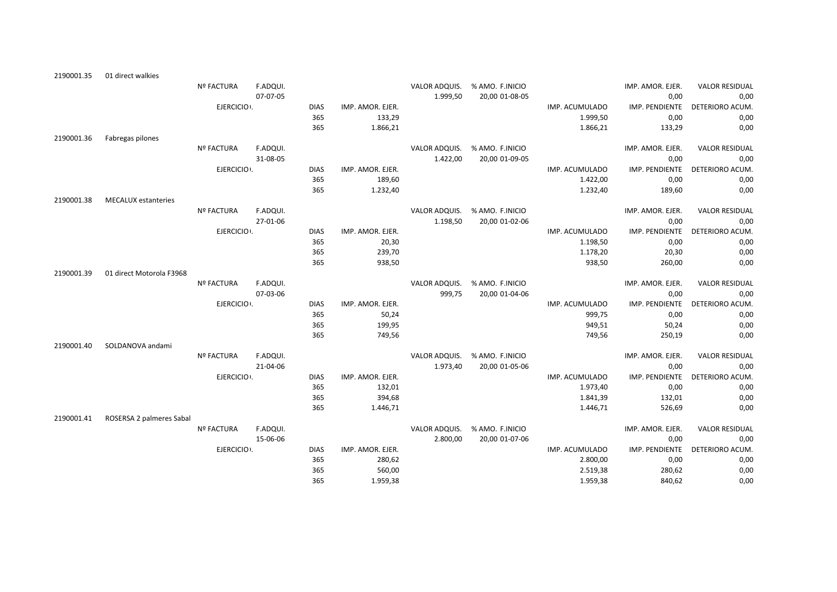| 2190001.35 | 01 direct walkies          |                   |          |             |                  |               |                               |                |                  |                       |
|------------|----------------------------|-------------------|----------|-------------|------------------|---------------|-------------------------------|----------------|------------------|-----------------------|
|            |                            | <b>Nº FACTURA</b> | F.ADQUI. |             |                  |               | VALOR ADQUIS. % AMO. F.INICIO |                | IMP. AMOR. EJER. | <b>VALOR RESIDUAL</b> |
|            |                            |                   | 07-07-05 |             |                  | 1.999,50      | 20,00 01-08-05                |                | 0,00             | 0,00                  |
|            |                            | EJERCICIO :       |          | <b>DIAS</b> | IMP. AMOR. EJER. |               |                               | IMP. ACUMULADO | IMP. PENDIENTE   | DETERIORO ACUM.       |
|            |                            |                   |          | 365         | 133,29           |               |                               | 1.999,50       | 0,00             | 0,00                  |
|            |                            |                   |          | 365         | 1.866,21         |               |                               | 1.866,21       | 133,29           | 0,00                  |
| 2190001.36 | Fabregas pilones           |                   |          |             |                  |               |                               |                |                  |                       |
|            |                            | <b>Nº FACTURA</b> | F.ADQUI. |             |                  |               | VALOR ADQUIS. % AMO. F.INICIO |                | IMP. AMOR. EJER. | <b>VALOR RESIDUAL</b> |
|            |                            |                   | 31-08-05 |             |                  | 1.422,00      | 20,00 01-09-05                |                | 0,00             | 0,00                  |
|            |                            | EJERCICIO .       |          | <b>DIAS</b> | IMP. AMOR. EJER. |               |                               | IMP. ACUMULADO | IMP. PENDIENTE   | DETERIORO ACUM.       |
|            |                            |                   |          | 365         | 189,60           |               |                               | 1.422,00       | 0,00             | 0,00                  |
|            |                            |                   |          | 365         | 1.232,40         |               |                               | 1.232,40       | 189,60           | 0,00                  |
| 2190001.38 | <b>MECALUX</b> estanteries |                   |          |             |                  |               |                               |                |                  |                       |
|            |                            | Nº FACTURA        | F.ADQUI. |             |                  | VALOR ADQUIS. | % AMO. F.INICIO               |                | IMP. AMOR. EJER. | <b>VALOR RESIDUAL</b> |
|            |                            |                   | 27-01-06 |             |                  | 1.198,50      | 20,00 01-02-06                |                | 0,00             | 0,00                  |
|            |                            | EJERCICIO .       |          | <b>DIAS</b> | IMP. AMOR. EJER. |               |                               | IMP. ACUMULADO | IMP. PENDIENTE   | DETERIORO ACUM.       |
|            |                            |                   |          | 365         | 20,30            |               |                               | 1.198,50       | 0,00             | 0,00                  |
|            |                            |                   |          | 365         | 239,70           |               |                               | 1.178,20       | 20,30            | 0,00                  |
|            |                            |                   |          | 365         | 938,50           |               |                               | 938,50         | 260,00           | 0,00                  |
| 2190001.39 | 01 direct Motorola F3968   |                   |          |             |                  |               |                               |                |                  |                       |
|            |                            | Nº FACTURA        | F.ADQUI. |             |                  |               | VALOR ADQUIS. % AMO. F.INICIO |                | IMP. AMOR. EJER. | <b>VALOR RESIDUAL</b> |
|            |                            |                   | 07-03-06 |             |                  | 999,75        | 20,00 01-04-06                |                | 0,00             | 0,00                  |
|            |                            | EJERCICIO .       |          | <b>DIAS</b> | IMP. AMOR. EJER. |               |                               | IMP. ACUMULADO | IMP. PENDIENTE   | DETERIORO ACUM.       |
|            |                            |                   |          | 365         | 50,24            |               |                               | 999,75         | 0,00             | 0,00                  |
|            |                            |                   |          | 365         | 199,95           |               |                               | 949,51         | 50,24            | 0,00                  |
|            |                            |                   |          | 365         | 749,56           |               |                               | 749,56         | 250,19           | 0,00                  |
| 2190001.40 | SOLDANOVA andami           |                   |          |             |                  |               |                               |                |                  |                       |
|            |                            | <b>Nº FACTURA</b> | F.ADQUI. |             |                  |               | VALOR ADQUIS. % AMO. F.INICIO |                | IMP. AMOR. EJER. | <b>VALOR RESIDUAL</b> |
|            |                            |                   | 21-04-06 |             |                  | 1.973,40      | 20,00 01-05-06                |                | 0,00             | 0,00                  |
|            |                            | EJERCICIO .       |          | <b>DIAS</b> | IMP. AMOR. EJER. |               |                               | IMP. ACUMULADO | IMP. PENDIENTE   | DETERIORO ACUM.       |
|            |                            |                   |          | 365         | 132,01           |               |                               | 1.973,40       | 0,00             | 0,00                  |
|            |                            |                   |          | 365         | 394,68           |               |                               | 1.841,39       | 132,01           | 0,00                  |
|            |                            |                   |          | 365         | 1.446,71         |               |                               | 1.446,71       | 526,69           | 0,00                  |
| 2190001.41 | ROSERSA 2 palmeres Sabal   |                   |          |             |                  |               |                               |                |                  |                       |
|            |                            | <b>Nº FACTURA</b> | F.ADQUI. |             |                  | VALOR ADQUIS. | % AMO. F.INICIO               |                | IMP. AMOR. EJER. | <b>VALOR RESIDUAL</b> |
|            |                            |                   | 15-06-06 |             |                  | 2.800,00      | 20,00 01-07-06                |                | 0,00             | 0,00                  |
|            |                            | EJERCICIO :       |          | <b>DIAS</b> | IMP. AMOR. EJER. |               |                               | IMP. ACUMULADO | IMP. PENDIENTE   | DETERIORO ACUM.       |
|            |                            |                   |          | 365         | 280,62           |               |                               | 2.800,00       | 0,00             | 0,00                  |
|            |                            |                   |          | 365         | 560,00           |               |                               | 2.519,38       | 280,62           | 0,00                  |
|            |                            |                   |          | 365         | 1.959,38         |               |                               | 1.959,38       | 840,62           | 0,00                  |
|            |                            |                   |          |             |                  |               |                               |                |                  |                       |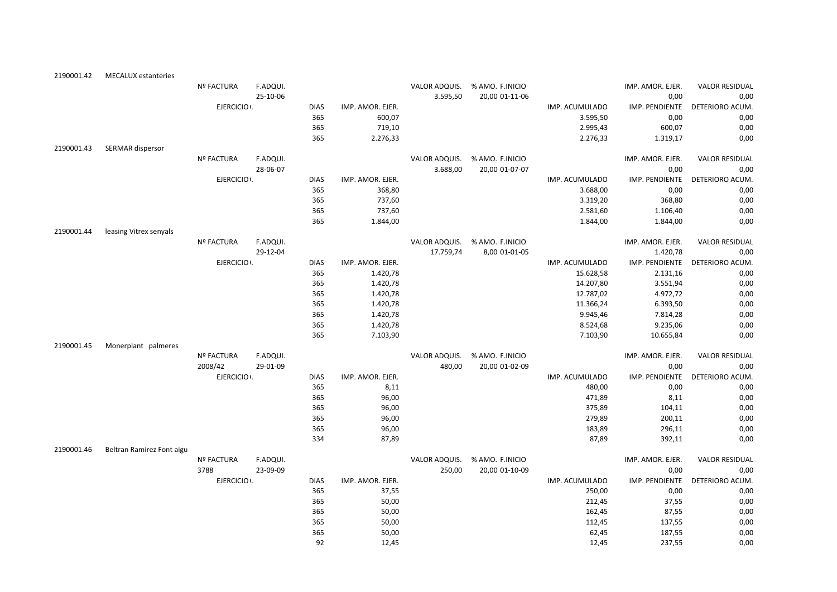| 2190001.42 | <b>MECALUX</b> estanteries |                   |          |             |                  |               |                               |                |                  |                       |
|------------|----------------------------|-------------------|----------|-------------|------------------|---------------|-------------------------------|----------------|------------------|-----------------------|
|            |                            | Nº FACTURA        | F.ADQUI. |             |                  | VALOR ADQUIS. | % AMO. F.INICIO               |                | IMP. AMOR. EJER. | <b>VALOR RESIDUAL</b> |
|            |                            |                   | 25-10-06 |             |                  | 3.595,50      | 20,00 01-11-06                |                | 0,00             | 0,00                  |
|            |                            | EJERCICIO .       |          | <b>DIAS</b> | IMP. AMOR. EJER. |               |                               | IMP. ACUMULADO | IMP. PENDIENTE   | DETERIORO ACUM.       |
|            |                            |                   |          | 365         | 600,07           |               |                               | 3.595,50       | 0,00             | 0,00                  |
|            |                            |                   |          | 365         | 719,10           |               |                               | 2.995,43       | 600,07           | 0,00                  |
|            |                            |                   |          | 365         | 2.276,33         |               |                               | 2.276,33       | 1.319,17         | 0,00                  |
| 2190001.43 | SERMAR dispersor           |                   |          |             |                  |               |                               |                |                  |                       |
|            |                            | <b>Nº FACTURA</b> | F.ADQUI. |             |                  |               | VALOR ADQUIS. % AMO. F.INICIO |                | IMP. AMOR. EJER. | <b>VALOR RESIDUAL</b> |
|            |                            |                   | 28-06-07 |             |                  | 3.688,00      | 20,00 01-07-07                |                | 0,00             | 0,00                  |
|            |                            | EJERCICIO .       |          | <b>DIAS</b> | IMP. AMOR. EJER. |               |                               | IMP. ACUMULADO | IMP. PENDIENTE   | DETERIORO ACUM.       |
|            |                            |                   |          | 365         | 368,80           |               |                               | 3.688,00       | 0,00             | 0,00                  |
|            |                            |                   |          | 365         | 737,60           |               |                               | 3.319,20       | 368,80           | 0,00                  |
|            |                            |                   |          | 365         | 737,60           |               |                               | 2.581,60       | 1.106,40         | 0,00                  |
|            |                            |                   |          | 365         | 1.844,00         |               |                               | 1.844,00       | 1.844,00         | 0,00                  |
| 2190001.44 | leasing Vitrex senyals     |                   |          |             |                  |               |                               |                |                  |                       |
|            |                            | <b>Nº FACTURA</b> | F.ADQUI. |             |                  | VALOR ADQUIS. | % AMO. F.INICIO               |                | IMP. AMOR. EJER. | <b>VALOR RESIDUAL</b> |
|            |                            |                   | 29-12-04 |             |                  | 17.759,74     | 8,00 01-01-05                 |                | 1.420,78         | 0,00                  |
|            |                            | EJERCICIO .       |          | <b>DIAS</b> | IMP. AMOR. EJER. |               |                               | IMP. ACUMULADO | IMP. PENDIENTE   | DETERIORO ACUM.       |
|            |                            |                   |          | 365         | 1.420,78         |               |                               | 15.628,58      | 2.131,16         | 0,00                  |
|            |                            |                   |          | 365         | 1.420,78         |               |                               | 14.207,80      | 3.551,94         | 0,00                  |
|            |                            |                   |          | 365         | 1.420,78         |               |                               | 12.787,02      | 4.972,72         | 0,00                  |
|            |                            |                   |          | 365         | 1.420,78         |               |                               | 11.366,24      | 6.393,50         | 0,00                  |
|            |                            |                   |          | 365         | 1.420,78         |               |                               | 9.945,46       | 7.814,28         | 0,00                  |
|            |                            |                   |          | 365         | 1.420,78         |               |                               | 8.524,68       | 9.235,06         | 0,00                  |
|            |                            |                   |          | 365         | 7.103,90         |               |                               | 7.103,90       | 10.655,84        | 0,00                  |
| 2190001.45 | Monerplant palmeres        |                   |          |             |                  |               |                               |                |                  |                       |
|            |                            | Nº FACTURA        | F.ADQUI. |             |                  | VALOR ADQUIS. | % AMO. F.INICIO               |                | IMP. AMOR. EJER. | <b>VALOR RESIDUAL</b> |
|            |                            | 2008/42           | 29-01-09 |             |                  | 480,00        | 20,00 01-02-09                |                | 0,00             | 0,00                  |
|            |                            | EJERCICIO .       |          | <b>DIAS</b> | IMP. AMOR. EJER. |               |                               | IMP. ACUMULADO | IMP. PENDIENTE   | DETERIORO ACUM.       |
|            |                            |                   |          | 365         | 8,11             |               |                               | 480,00         | 0,00             | 0,00                  |
|            |                            |                   |          | 365         | 96,00            |               |                               | 471,89         | 8,11             | 0,00                  |
|            |                            |                   |          | 365         | 96,00            |               |                               | 375,89         | 104,11           | 0,00                  |
|            |                            |                   |          | 365         | 96,00            |               |                               | 279,89         | 200,11           | 0,00                  |
|            |                            |                   |          | 365         | 96,00            |               |                               | 183,89         | 296,11           | 0,00                  |
|            |                            |                   |          | 334         | 87,89            |               |                               | 87,89          | 392,11           | 0,00                  |
| 2190001.46 | Beltran Ramirez Font aigu  |                   |          |             |                  |               |                               |                |                  |                       |
|            |                            | Nº FACTURA        | F.ADQUI. |             |                  | VALOR ADQUIS. | % AMO. F.INICIO               |                | IMP. AMOR. EJER. | <b>VALOR RESIDUAL</b> |
|            |                            | 3788              | 23-09-09 |             |                  | 250,00        | 20,00 01-10-09                |                | 0,00             | 0,00                  |
|            |                            | EJERCICIO .       |          | <b>DIAS</b> | IMP. AMOR. EJER. |               |                               | IMP. ACUMULADO | IMP. PENDIENTE   | DETERIORO ACUM.       |
|            |                            |                   |          | 365         | 37,55            |               |                               | 250,00         | 0,00             | 0,00                  |
|            |                            |                   |          | 365         | 50,00            |               |                               | 212,45         | 37,55            | 0,00                  |
|            |                            |                   |          | 365         | 50,00            |               |                               | 162,45         | 87,55            | 0,00                  |
|            |                            |                   |          | 365         | 50,00            |               |                               | 112,45         | 137,55           | 0,00                  |
|            |                            |                   |          | 365         | 50,00            |               |                               | 62,45          | 187,55           | 0,00                  |
|            |                            |                   |          | 92          | 12,45            |               |                               | 12,45          | 237,55           | 0,00                  |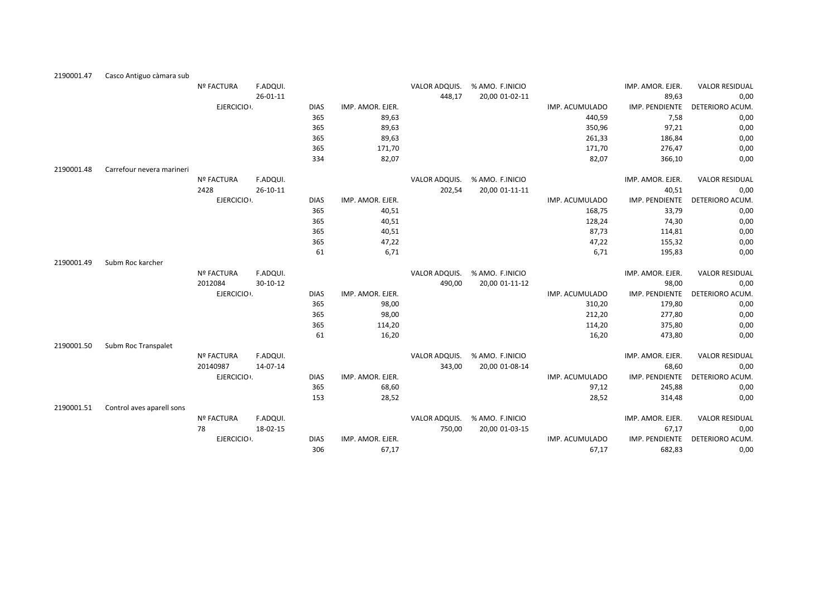| F.ADQUI.<br>VALOR ADQUIS.<br>% AMO. F.INICIO<br>IMP. AMOR. EJER.<br><b>VALOR RESIDUAL</b><br><b>Nº FACTURA</b><br>89,63<br>0,00<br>26-01-11<br>448,17<br>20,00 01-02-11<br>EJERCICIO .<br>IMP. PENDIENTE<br>DETERIORO ACUM.<br><b>DIAS</b><br>IMP. AMOR. EJER.<br>IMP. ACUMULADO<br>365<br>7,58<br>89,63<br>0,00<br>440,59<br>365<br>89,63<br>97,21<br>350,96<br>0,00<br>365<br>89,63<br>0,00<br>261,33<br>186,84<br>365<br>171,70<br>171,70<br>276,47<br>0,00<br>334<br>82,07<br>82,07<br>0,00<br>366,10<br>2190001.48<br>Carrefour nevera marineri<br>% AMO. F.INICIO<br>Nº FACTURA<br>F.ADQUI.<br>VALOR ADQUIS.<br>IMP. AMOR. EJER.<br><b>VALOR RESIDUAL</b><br>2428<br>20,00 01-11-11<br>40,51<br>26-10-11<br>202,54<br>0,00<br>EJERCICIO .<br><b>DIAS</b><br>IMP. PENDIENTE<br>DETERIORO ACUM.<br>IMP. AMOR. EJER.<br>IMP. ACUMULADO<br>365<br>40,51<br>168,75<br>33,79<br>0,00<br>365<br>40,51<br>128,24<br>74,30<br>0,00<br>365<br>40,51<br>87,73<br>0,00<br>114,81<br>365<br>47,22<br>47,22<br>155,32<br>0,00<br>6,71<br>61<br>6,71<br>0,00<br>195,83<br>Subm Roc karcher<br>2190001.49<br>F.ADQUI.<br>VALOR ADQUIS.<br>% AMO. F.INICIO<br>Nº FACTURA<br>IMP. AMOR. EJER.<br><b>VALOR RESIDUAL</b><br>2012084<br>$30 - 10 - 12$<br>20,00 01-11-12<br>98,00<br>0,00<br>490,00<br>EJERCICIO .<br><b>DIAS</b><br>IMP. PENDIENTE<br>DETERIORO ACUM.<br>IMP. AMOR. EJER.<br>IMP. ACUMULADO<br>365<br>98,00<br>179,80<br>0,00<br>310,20<br>365<br>98,00<br>212,20<br>277,80<br>0,00<br>365<br>114,20<br>114,20<br>375,80<br>0,00<br>61<br>16,20<br>16,20<br>473,80<br>0,00<br>Subm Roc Transpalet<br>2190001.50<br>F.ADQUI.<br>VALOR ADQUIS.<br>% AMO. F.INICIO<br><b>Nº FACTURA</b><br>IMP. AMOR. EJER.<br><b>VALOR RESIDUAL</b><br>20140987<br>14-07-14<br>343,00<br>20,00 01-08-14<br>68,60<br>0,00<br>EJERCICIO .<br><b>DIAS</b><br>IMP. AMOR. EJER.<br>IMP. PENDIENTE<br>DETERIORO ACUM.<br>IMP. ACUMULADO<br>365<br>68,60<br>245,88<br>0,00<br>97,12<br>28,52<br>153<br>28,52<br>0,00<br>314,48<br>2190001.51<br>Control aves aparell sons | 2190001.47 | Casco Antiguo càmara sub |            |          |  |               |                 |                  |                       |
|----------------------------------------------------------------------------------------------------------------------------------------------------------------------------------------------------------------------------------------------------------------------------------------------------------------------------------------------------------------------------------------------------------------------------------------------------------------------------------------------------------------------------------------------------------------------------------------------------------------------------------------------------------------------------------------------------------------------------------------------------------------------------------------------------------------------------------------------------------------------------------------------------------------------------------------------------------------------------------------------------------------------------------------------------------------------------------------------------------------------------------------------------------------------------------------------------------------------------------------------------------------------------------------------------------------------------------------------------------------------------------------------------------------------------------------------------------------------------------------------------------------------------------------------------------------------------------------------------------------------------------------------------------------------------------------------------------------------------------------------------------------------------------------------------------------------------------------------------------------------------------------------------------------------------------------------------------------------------------------------------------------------------------------------------|------------|--------------------------|------------|----------|--|---------------|-----------------|------------------|-----------------------|
|                                                                                                                                                                                                                                                                                                                                                                                                                                                                                                                                                                                                                                                                                                                                                                                                                                                                                                                                                                                                                                                                                                                                                                                                                                                                                                                                                                                                                                                                                                                                                                                                                                                                                                                                                                                                                                                                                                                                                                                                                                                    |            |                          |            |          |  |               |                 |                  |                       |
|                                                                                                                                                                                                                                                                                                                                                                                                                                                                                                                                                                                                                                                                                                                                                                                                                                                                                                                                                                                                                                                                                                                                                                                                                                                                                                                                                                                                                                                                                                                                                                                                                                                                                                                                                                                                                                                                                                                                                                                                                                                    |            |                          |            |          |  |               |                 |                  |                       |
|                                                                                                                                                                                                                                                                                                                                                                                                                                                                                                                                                                                                                                                                                                                                                                                                                                                                                                                                                                                                                                                                                                                                                                                                                                                                                                                                                                                                                                                                                                                                                                                                                                                                                                                                                                                                                                                                                                                                                                                                                                                    |            |                          |            |          |  |               |                 |                  |                       |
|                                                                                                                                                                                                                                                                                                                                                                                                                                                                                                                                                                                                                                                                                                                                                                                                                                                                                                                                                                                                                                                                                                                                                                                                                                                                                                                                                                                                                                                                                                                                                                                                                                                                                                                                                                                                                                                                                                                                                                                                                                                    |            |                          |            |          |  |               |                 |                  |                       |
|                                                                                                                                                                                                                                                                                                                                                                                                                                                                                                                                                                                                                                                                                                                                                                                                                                                                                                                                                                                                                                                                                                                                                                                                                                                                                                                                                                                                                                                                                                                                                                                                                                                                                                                                                                                                                                                                                                                                                                                                                                                    |            |                          |            |          |  |               |                 |                  |                       |
|                                                                                                                                                                                                                                                                                                                                                                                                                                                                                                                                                                                                                                                                                                                                                                                                                                                                                                                                                                                                                                                                                                                                                                                                                                                                                                                                                                                                                                                                                                                                                                                                                                                                                                                                                                                                                                                                                                                                                                                                                                                    |            |                          |            |          |  |               |                 |                  |                       |
|                                                                                                                                                                                                                                                                                                                                                                                                                                                                                                                                                                                                                                                                                                                                                                                                                                                                                                                                                                                                                                                                                                                                                                                                                                                                                                                                                                                                                                                                                                                                                                                                                                                                                                                                                                                                                                                                                                                                                                                                                                                    |            |                          |            |          |  |               |                 |                  |                       |
|                                                                                                                                                                                                                                                                                                                                                                                                                                                                                                                                                                                                                                                                                                                                                                                                                                                                                                                                                                                                                                                                                                                                                                                                                                                                                                                                                                                                                                                                                                                                                                                                                                                                                                                                                                                                                                                                                                                                                                                                                                                    |            |                          |            |          |  |               |                 |                  |                       |
|                                                                                                                                                                                                                                                                                                                                                                                                                                                                                                                                                                                                                                                                                                                                                                                                                                                                                                                                                                                                                                                                                                                                                                                                                                                                                                                                                                                                                                                                                                                                                                                                                                                                                                                                                                                                                                                                                                                                                                                                                                                    |            |                          |            |          |  |               |                 |                  |                       |
|                                                                                                                                                                                                                                                                                                                                                                                                                                                                                                                                                                                                                                                                                                                                                                                                                                                                                                                                                                                                                                                                                                                                                                                                                                                                                                                                                                                                                                                                                                                                                                                                                                                                                                                                                                                                                                                                                                                                                                                                                                                    |            |                          |            |          |  |               |                 |                  |                       |
|                                                                                                                                                                                                                                                                                                                                                                                                                                                                                                                                                                                                                                                                                                                                                                                                                                                                                                                                                                                                                                                                                                                                                                                                                                                                                                                                                                                                                                                                                                                                                                                                                                                                                                                                                                                                                                                                                                                                                                                                                                                    |            |                          |            |          |  |               |                 |                  |                       |
|                                                                                                                                                                                                                                                                                                                                                                                                                                                                                                                                                                                                                                                                                                                                                                                                                                                                                                                                                                                                                                                                                                                                                                                                                                                                                                                                                                                                                                                                                                                                                                                                                                                                                                                                                                                                                                                                                                                                                                                                                                                    |            |                          |            |          |  |               |                 |                  |                       |
|                                                                                                                                                                                                                                                                                                                                                                                                                                                                                                                                                                                                                                                                                                                                                                                                                                                                                                                                                                                                                                                                                                                                                                                                                                                                                                                                                                                                                                                                                                                                                                                                                                                                                                                                                                                                                                                                                                                                                                                                                                                    |            |                          |            |          |  |               |                 |                  |                       |
|                                                                                                                                                                                                                                                                                                                                                                                                                                                                                                                                                                                                                                                                                                                                                                                                                                                                                                                                                                                                                                                                                                                                                                                                                                                                                                                                                                                                                                                                                                                                                                                                                                                                                                                                                                                                                                                                                                                                                                                                                                                    |            |                          |            |          |  |               |                 |                  |                       |
|                                                                                                                                                                                                                                                                                                                                                                                                                                                                                                                                                                                                                                                                                                                                                                                                                                                                                                                                                                                                                                                                                                                                                                                                                                                                                                                                                                                                                                                                                                                                                                                                                                                                                                                                                                                                                                                                                                                                                                                                                                                    |            |                          |            |          |  |               |                 |                  |                       |
|                                                                                                                                                                                                                                                                                                                                                                                                                                                                                                                                                                                                                                                                                                                                                                                                                                                                                                                                                                                                                                                                                                                                                                                                                                                                                                                                                                                                                                                                                                                                                                                                                                                                                                                                                                                                                                                                                                                                                                                                                                                    |            |                          |            |          |  |               |                 |                  |                       |
|                                                                                                                                                                                                                                                                                                                                                                                                                                                                                                                                                                                                                                                                                                                                                                                                                                                                                                                                                                                                                                                                                                                                                                                                                                                                                                                                                                                                                                                                                                                                                                                                                                                                                                                                                                                                                                                                                                                                                                                                                                                    |            |                          |            |          |  |               |                 |                  |                       |
|                                                                                                                                                                                                                                                                                                                                                                                                                                                                                                                                                                                                                                                                                                                                                                                                                                                                                                                                                                                                                                                                                                                                                                                                                                                                                                                                                                                                                                                                                                                                                                                                                                                                                                                                                                                                                                                                                                                                                                                                                                                    |            |                          |            |          |  |               |                 |                  |                       |
|                                                                                                                                                                                                                                                                                                                                                                                                                                                                                                                                                                                                                                                                                                                                                                                                                                                                                                                                                                                                                                                                                                                                                                                                                                                                                                                                                                                                                                                                                                                                                                                                                                                                                                                                                                                                                                                                                                                                                                                                                                                    |            |                          |            |          |  |               |                 |                  |                       |
|                                                                                                                                                                                                                                                                                                                                                                                                                                                                                                                                                                                                                                                                                                                                                                                                                                                                                                                                                                                                                                                                                                                                                                                                                                                                                                                                                                                                                                                                                                                                                                                                                                                                                                                                                                                                                                                                                                                                                                                                                                                    |            |                          |            |          |  |               |                 |                  |                       |
|                                                                                                                                                                                                                                                                                                                                                                                                                                                                                                                                                                                                                                                                                                                                                                                                                                                                                                                                                                                                                                                                                                                                                                                                                                                                                                                                                                                                                                                                                                                                                                                                                                                                                                                                                                                                                                                                                                                                                                                                                                                    |            |                          |            |          |  |               |                 |                  |                       |
|                                                                                                                                                                                                                                                                                                                                                                                                                                                                                                                                                                                                                                                                                                                                                                                                                                                                                                                                                                                                                                                                                                                                                                                                                                                                                                                                                                                                                                                                                                                                                                                                                                                                                                                                                                                                                                                                                                                                                                                                                                                    |            |                          |            |          |  |               |                 |                  |                       |
|                                                                                                                                                                                                                                                                                                                                                                                                                                                                                                                                                                                                                                                                                                                                                                                                                                                                                                                                                                                                                                                                                                                                                                                                                                                                                                                                                                                                                                                                                                                                                                                                                                                                                                                                                                                                                                                                                                                                                                                                                                                    |            |                          |            |          |  |               |                 |                  |                       |
|                                                                                                                                                                                                                                                                                                                                                                                                                                                                                                                                                                                                                                                                                                                                                                                                                                                                                                                                                                                                                                                                                                                                                                                                                                                                                                                                                                                                                                                                                                                                                                                                                                                                                                                                                                                                                                                                                                                                                                                                                                                    |            |                          |            |          |  |               |                 |                  |                       |
|                                                                                                                                                                                                                                                                                                                                                                                                                                                                                                                                                                                                                                                                                                                                                                                                                                                                                                                                                                                                                                                                                                                                                                                                                                                                                                                                                                                                                                                                                                                                                                                                                                                                                                                                                                                                                                                                                                                                                                                                                                                    |            |                          |            |          |  |               |                 |                  |                       |
|                                                                                                                                                                                                                                                                                                                                                                                                                                                                                                                                                                                                                                                                                                                                                                                                                                                                                                                                                                                                                                                                                                                                                                                                                                                                                                                                                                                                                                                                                                                                                                                                                                                                                                                                                                                                                                                                                                                                                                                                                                                    |            |                          |            |          |  |               |                 |                  |                       |
|                                                                                                                                                                                                                                                                                                                                                                                                                                                                                                                                                                                                                                                                                                                                                                                                                                                                                                                                                                                                                                                                                                                                                                                                                                                                                                                                                                                                                                                                                                                                                                                                                                                                                                                                                                                                                                                                                                                                                                                                                                                    |            |                          |            |          |  |               |                 |                  |                       |
|                                                                                                                                                                                                                                                                                                                                                                                                                                                                                                                                                                                                                                                                                                                                                                                                                                                                                                                                                                                                                                                                                                                                                                                                                                                                                                                                                                                                                                                                                                                                                                                                                                                                                                                                                                                                                                                                                                                                                                                                                                                    |            |                          |            |          |  |               |                 |                  |                       |
|                                                                                                                                                                                                                                                                                                                                                                                                                                                                                                                                                                                                                                                                                                                                                                                                                                                                                                                                                                                                                                                                                                                                                                                                                                                                                                                                                                                                                                                                                                                                                                                                                                                                                                                                                                                                                                                                                                                                                                                                                                                    |            |                          |            |          |  |               |                 |                  |                       |
|                                                                                                                                                                                                                                                                                                                                                                                                                                                                                                                                                                                                                                                                                                                                                                                                                                                                                                                                                                                                                                                                                                                                                                                                                                                                                                                                                                                                                                                                                                                                                                                                                                                                                                                                                                                                                                                                                                                                                                                                                                                    |            |                          |            |          |  |               |                 |                  |                       |
|                                                                                                                                                                                                                                                                                                                                                                                                                                                                                                                                                                                                                                                                                                                                                                                                                                                                                                                                                                                                                                                                                                                                                                                                                                                                                                                                                                                                                                                                                                                                                                                                                                                                                                                                                                                                                                                                                                                                                                                                                                                    |            |                          |            |          |  |               |                 |                  |                       |
|                                                                                                                                                                                                                                                                                                                                                                                                                                                                                                                                                                                                                                                                                                                                                                                                                                                                                                                                                                                                                                                                                                                                                                                                                                                                                                                                                                                                                                                                                                                                                                                                                                                                                                                                                                                                                                                                                                                                                                                                                                                    |            |                          |            |          |  |               |                 |                  |                       |
|                                                                                                                                                                                                                                                                                                                                                                                                                                                                                                                                                                                                                                                                                                                                                                                                                                                                                                                                                                                                                                                                                                                                                                                                                                                                                                                                                                                                                                                                                                                                                                                                                                                                                                                                                                                                                                                                                                                                                                                                                                                    |            |                          | Nº FACTURA | F.ADQUI. |  | VALOR ADQUIS. | % AMO. F.INICIO | IMP. AMOR. EJER. | <b>VALOR RESIDUAL</b> |
| 78<br>18-02-15<br>67,17<br>750,00<br>20,00 01-03-15<br>0,00                                                                                                                                                                                                                                                                                                                                                                                                                                                                                                                                                                                                                                                                                                                                                                                                                                                                                                                                                                                                                                                                                                                                                                                                                                                                                                                                                                                                                                                                                                                                                                                                                                                                                                                                                                                                                                                                                                                                                                                        |            |                          |            |          |  |               |                 |                  |                       |
| IMP. PENDIENTE<br>EJERCICIO .<br><b>DIAS</b><br>IMP. AMOR. EJER.<br>DETERIORO ACUM.<br>IMP. ACUMULADO                                                                                                                                                                                                                                                                                                                                                                                                                                                                                                                                                                                                                                                                                                                                                                                                                                                                                                                                                                                                                                                                                                                                                                                                                                                                                                                                                                                                                                                                                                                                                                                                                                                                                                                                                                                                                                                                                                                                              |            |                          |            |          |  |               |                 |                  |                       |
| 306<br>67,17<br>67,17<br>682,83<br>0,00                                                                                                                                                                                                                                                                                                                                                                                                                                                                                                                                                                                                                                                                                                                                                                                                                                                                                                                                                                                                                                                                                                                                                                                                                                                                                                                                                                                                                                                                                                                                                                                                                                                                                                                                                                                                                                                                                                                                                                                                            |            |                          |            |          |  |               |                 |                  |                       |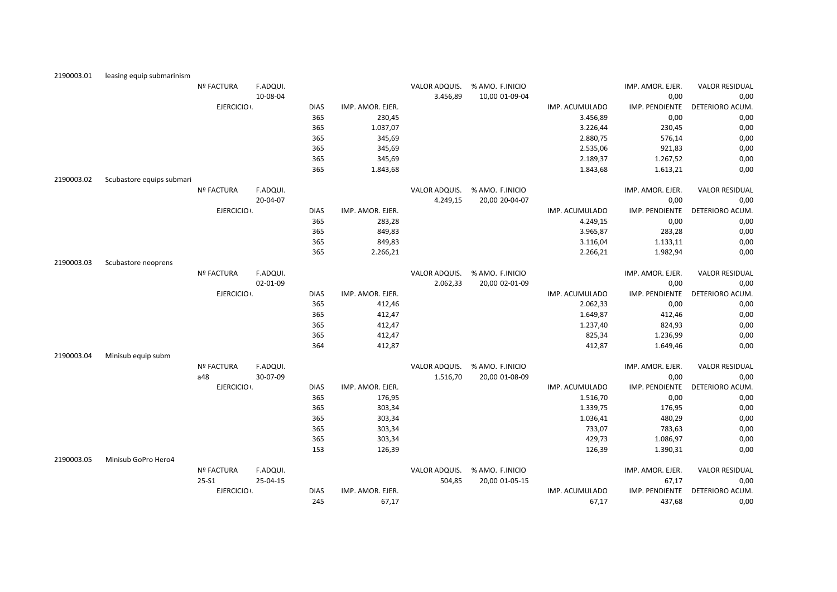| 2190003.01 | leasing equip submarinism |                   |          |             |                  |               |                 |                |                  |                       |
|------------|---------------------------|-------------------|----------|-------------|------------------|---------------|-----------------|----------------|------------------|-----------------------|
|            |                           | <b>Nº FACTURA</b> | F.ADQUI. |             |                  | VALOR ADQUIS. | % AMO. F.INICIO |                | IMP. AMOR. EJER. | <b>VALOR RESIDUAL</b> |
|            |                           |                   | 10-08-04 |             |                  | 3.456,89      | 10,00 01-09-04  |                | 0,00             | 0,00                  |
|            |                           | EJERCICIO .       |          | <b>DIAS</b> | IMP. AMOR. EJER. |               |                 | IMP. ACUMULADO | IMP. PENDIENTE   | DETERIORO ACUM.       |
|            |                           |                   |          | 365         | 230,45           |               |                 | 3.456,89       | 0,00             | 0,00                  |
|            |                           |                   |          | 365         | 1.037,07         |               |                 | 3.226,44       | 230,45           | 0,00                  |
|            |                           |                   |          | 365         | 345,69           |               |                 | 2.880,75       | 576,14           | 0,00                  |
|            |                           |                   |          | 365         | 345,69           |               |                 | 2.535,06       | 921,83           | 0,00                  |
|            |                           |                   |          | 365         | 345,69           |               |                 | 2.189,37       | 1.267,52         | 0,00                  |
|            |                           |                   |          | 365         | 1.843,68         |               |                 | 1.843,68       | 1.613,21         | 0,00                  |
| 2190003.02 | Scubastore equips submari |                   |          |             |                  |               |                 |                |                  |                       |
|            |                           | <b>Nº FACTURA</b> | F.ADQUI. |             |                  | VALOR ADQUIS. | % AMO. F.INICIO |                | IMP. AMOR. EJER. | <b>VALOR RESIDUAL</b> |
|            |                           |                   | 20-04-07 |             |                  | 4.249,15      | 20,00 20-04-07  |                | 0,00             | 0,00                  |
|            |                           | EJERCICIO .       |          | <b>DIAS</b> | IMP. AMOR. EJER. |               |                 | IMP. ACUMULADO | IMP. PENDIENTE   | DETERIORO ACUM.       |
|            |                           |                   |          | 365         | 283,28           |               |                 | 4.249,15       | 0,00             | 0,00                  |
|            |                           |                   |          | 365         | 849,83           |               |                 | 3.965,87       | 283,28           | 0,00                  |
|            |                           |                   |          | 365         | 849,83           |               |                 | 3.116,04       | 1.133,11         | 0,00                  |
|            |                           |                   |          | 365         | 2.266,21         |               |                 | 2.266,21       | 1.982,94         | 0,00                  |
| 2190003.03 | Scubastore neoprens       |                   |          |             |                  |               |                 |                |                  |                       |
|            |                           | <b>Nº FACTURA</b> | F.ADQUI. |             |                  | VALOR ADQUIS. | % AMO. F.INICIO |                | IMP. AMOR. EJER. | <b>VALOR RESIDUAL</b> |
|            |                           |                   | 02-01-09 |             |                  | 2.062,33      | 20,00 02-01-09  |                | 0,00             | 0,00                  |
|            |                           | EJERCICIO .       |          | <b>DIAS</b> | IMP. AMOR. EJER. |               |                 | IMP. ACUMULADO | IMP. PENDIENTE   | DETERIORO ACUM        |
|            |                           |                   |          | 365         | 412,46           |               |                 | 2.062,33       | 0,00             | 0,00                  |
|            |                           |                   |          | 365         | 412,47           |               |                 | 1.649,87       | 412,46           | 0,00                  |
|            |                           |                   |          | 365         | 412,47           |               |                 | 1.237,40       | 824,93           | 0,00                  |
|            |                           |                   |          | 365         | 412,47           |               |                 | 825,34         | 1.236,99         | 0,00                  |
|            |                           |                   |          | 364         | 412,87           |               |                 | 412,87         | 1.649,46         | 0,00                  |
| 2190003.04 | Minisub equip subm        |                   |          |             |                  |               |                 |                |                  |                       |
|            |                           | <b>Nº FACTURA</b> | F.ADQUI. |             |                  | VALOR ADQUIS. | % AMO. F.INICIO |                | IMP. AMOR. EJER. | <b>VALOR RESIDUAL</b> |
|            |                           | a48               | 30-07-09 |             |                  | 1.516,70      | 20,00 01-08-09  |                | 0,00             | 0,00                  |
|            |                           | EJERCICIO :       |          | <b>DIAS</b> | IMP. AMOR. EJER. |               |                 | IMP. ACUMULADO | IMP. PENDIENTE   | DETERIORO ACUM        |
|            |                           |                   |          | 365         | 176,95           |               |                 | 1.516,70       | 0,00             | 0,00                  |
|            |                           |                   |          | 365         | 303,34           |               |                 | 1.339,75       | 176,95           | 0,00                  |
|            |                           |                   |          | 365         | 303,34           |               |                 | 1.036,41       | 480,29           | 0,00                  |
|            |                           |                   |          | 365         | 303,34           |               |                 | 733,07         | 783,63           | 0,00                  |
|            |                           |                   |          | 365         | 303,34           |               |                 | 429,73         | 1.086,97         | 0,00                  |
|            |                           |                   |          | 153         | 126,39           |               |                 | 126,39         | 1.390,31         | 0,00                  |
| 2190003.05 | Minisub GoPro Hero4       |                   |          |             |                  |               |                 |                |                  |                       |
|            |                           | <b>Nº FACTURA</b> | F.ADQUI. |             |                  | VALOR ADQUIS. | % AMO. F.INICIO |                | IMP. AMOR. EJER. | <b>VALOR RESIDUAL</b> |
|            |                           | 25-S1             | 25-04-15 |             |                  | 504,85        | 20,00 01-05-15  |                | 67,17            | 0,00                  |
|            |                           | EJERCICIO .       |          | <b>DIAS</b> | IMP. AMOR. EJER. |               |                 | IMP. ACUMULADO | IMP. PENDIENTE   | DETERIORO ACUM.       |
|            |                           |                   |          | 245         | 67,17            |               |                 | 67,17          | 437,68           | 0,00                  |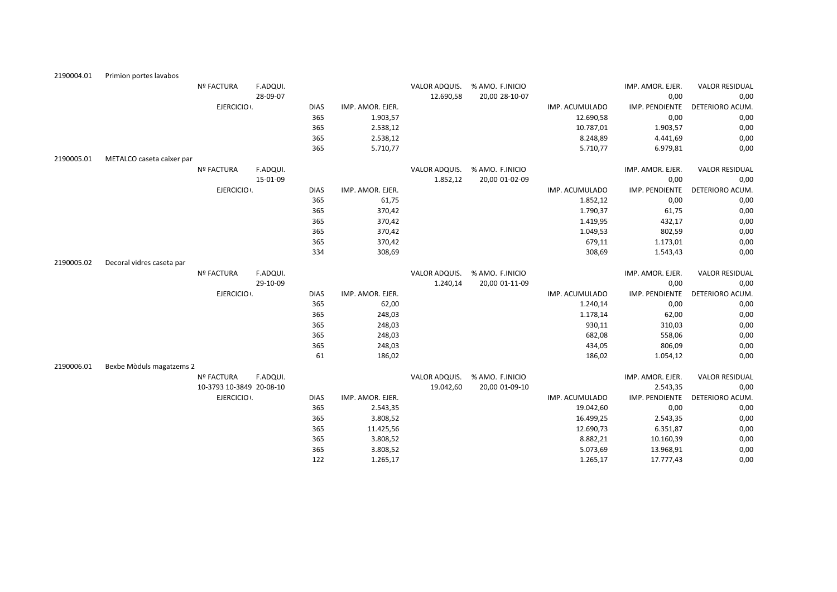| 2190004.01 | Primion portes lavabos    |                          |          |             |                  |               |                 |                |                  |                       |
|------------|---------------------------|--------------------------|----------|-------------|------------------|---------------|-----------------|----------------|------------------|-----------------------|
|            |                           | Nº FACTURA               | F.ADQUI. |             |                  | VALOR ADQUIS. | % AMO. F.INICIO |                | IMP. AMOR. EJER. | <b>VALOR RESIDUAL</b> |
|            |                           |                          | 28-09-07 |             |                  | 12.690,58     | 20,00 28-10-07  |                | 0,00             | 0,00                  |
|            |                           | EJERCICIO .              |          | <b>DIAS</b> | IMP. AMOR. EJER. |               |                 | IMP. ACUMULADO | IMP. PENDIENTE   | DETERIORO ACUM.       |
|            |                           |                          |          | 365         | 1.903,57         |               |                 | 12.690,58      | 0,00             | 0,00                  |
|            |                           |                          |          | 365         | 2.538,12         |               |                 | 10.787,01      | 1.903,57         | 0,00                  |
|            |                           |                          |          | 365         | 2.538,12         |               |                 | 8.248,89       | 4.441,69         | 0,00                  |
|            |                           |                          |          | 365         | 5.710,77         |               |                 | 5.710,77       | 6.979,81         | 0,00                  |
| 2190005.01 | METALCO caseta caixer par |                          |          |             |                  |               |                 |                |                  |                       |
|            |                           | Nº FACTURA               | F.ADQUI. |             |                  | VALOR ADQUIS. | % AMO. F.INICIO |                | IMP. AMOR. EJER. | <b>VALOR RESIDUAL</b> |
|            |                           |                          | 15-01-09 |             |                  | 1.852,12      | 20,00 01-02-09  |                | 0,00             | 0,00                  |
|            |                           | EJERCICIO .              |          | <b>DIAS</b> | IMP. AMOR. EJER. |               |                 | IMP. ACUMULADO | IMP. PENDIENTE   | DETERIORO ACUM.       |
|            |                           |                          |          | 365         | 61,75            |               |                 | 1.852,12       | 0,00             | 0,00                  |
|            |                           |                          |          | 365         | 370,42           |               |                 | 1.790,37       | 61,75            | 0,00                  |
|            |                           |                          |          | 365         | 370,42           |               |                 | 1.419,95       | 432,17           | 0,00                  |
|            |                           |                          |          | 365         | 370,42           |               |                 | 1.049,53       | 802,59           | 0,00                  |
|            |                           |                          |          | 365         | 370,42           |               |                 | 679,11         | 1.173,01         | 0,00                  |
|            |                           |                          |          | 334         | 308,69           |               |                 | 308,69         | 1.543,43         | 0,00                  |
| 2190005.02 | Decoral vidres caseta par |                          |          |             |                  |               |                 |                |                  |                       |
|            |                           | <b>Nº FACTURA</b>        | F.ADQUI. |             |                  | VALOR ADQUIS. | % AMO. F.INICIO |                | IMP. AMOR. EJER. | <b>VALOR RESIDUAL</b> |
|            |                           |                          | 29-10-09 |             |                  | 1.240,14      | 20,00 01-11-09  |                | 0,00             | 0,00                  |
|            |                           | EJERCICIO :              |          | <b>DIAS</b> | IMP. AMOR. EJER. |               |                 | IMP. ACUMULADO | IMP. PENDIENTE   | DETERIORO ACUM.       |
|            |                           |                          |          | 365         | 62,00            |               |                 | 1.240,14       | 0,00             | 0,00                  |
|            |                           |                          |          | 365         | 248,03           |               |                 | 1.178,14       | 62,00            | 0,00                  |
|            |                           |                          |          | 365         | 248,03           |               |                 | 930,11         | 310,03           | 0,00                  |
|            |                           |                          |          | 365         | 248,03           |               |                 | 682,08         | 558,06           | 0,00                  |
|            |                           |                          |          | 365         | 248,03           |               |                 | 434,05         | 806,09           | 0,00                  |
|            |                           |                          |          | 61          | 186,02           |               |                 | 186,02         | 1.054,12         | 0,00                  |
| 2190006.01 | Bexbe Mòduls magatzems 2  |                          |          |             |                  |               |                 |                |                  |                       |
|            |                           | <b>Nº FACTURA</b>        | F.ADQUI. |             |                  | VALOR ADQUIS. | % AMO. F.INICIO |                | IMP. AMOR. EJER. | <b>VALOR RESIDUAL</b> |
|            |                           | 10-3793 10-3849 20-08-10 |          |             |                  | 19.042,60     | 20,00 01-09-10  |                | 2.543,35         | 0,00                  |
|            |                           | EJERCICIO .              |          | <b>DIAS</b> | IMP. AMOR. EJER. |               |                 | IMP. ACUMULADO | IMP. PENDIENTE   | DETERIORO ACUM.       |
|            |                           |                          |          | 365         | 2.543,35         |               |                 | 19.042,60      | 0,00             | 0,00                  |
|            |                           |                          |          | 365         | 3.808,52         |               |                 | 16.499,25      | 2.543,35         | 0,00                  |
|            |                           |                          |          | 365         | 11.425,56        |               |                 | 12.690,73      | 6.351,87         | 0,00                  |
|            |                           |                          |          | 365         | 3.808,52         |               |                 | 8.882,21       | 10.160,39        | 0,00                  |
|            |                           |                          |          | 365         | 3.808,52         |               |                 | 5.073,69       | 13.968,91        | 0,00                  |
|            |                           |                          |          | 122         | 1.265,17         |               |                 | 1.265,17       | 17.777,43        | 0,00                  |
|            |                           |                          |          |             |                  |               |                 |                |                  |                       |